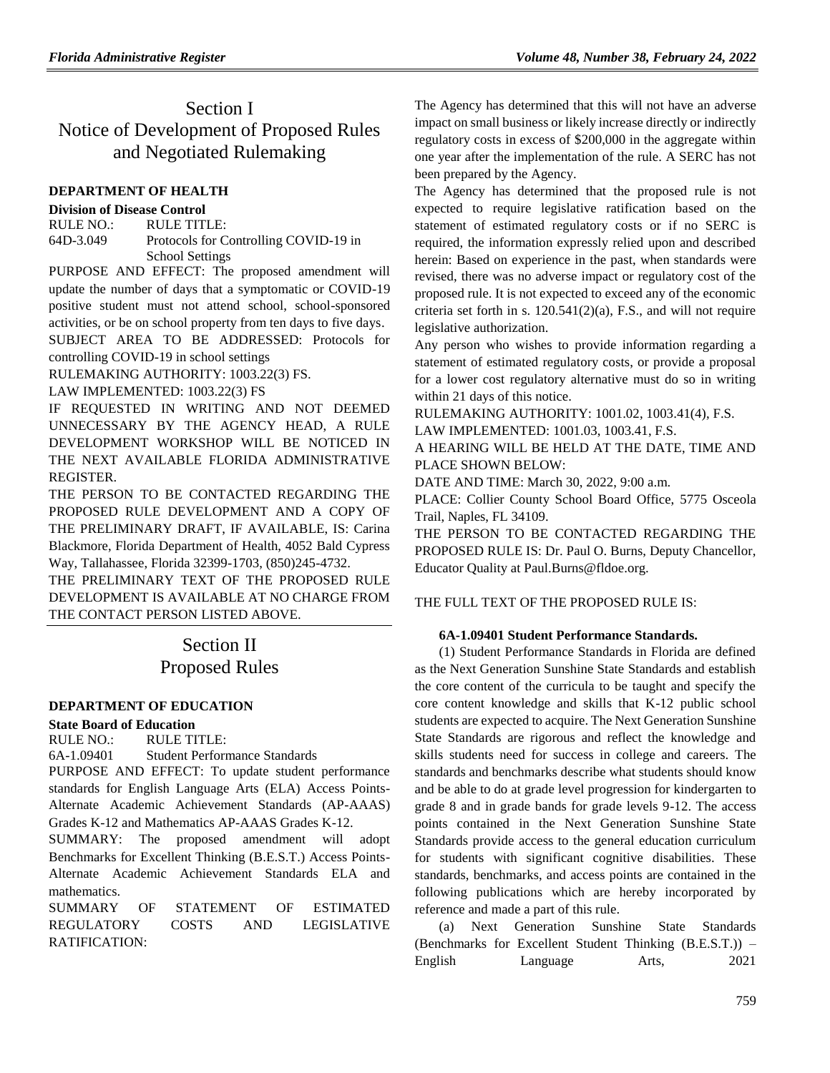# Section I Notice of Development of Proposed Rules and Negotiated Rulemaking

# **[DEPARTMENT OF HEALTH](https://www.flrules.org/gateway/department.asp?id=64)**

### **[Division of Disease Control](https://www.flrules.org/gateway/organization.asp?id=334)**

RULE NO.: RULE TITLE: [64D-3.049](https://www.flrules.org/gateway/ruleNo.asp?id=64D-3.049) Protocols for Controlling COVID-19 in School Settings

PURPOSE AND EFFECT: The proposed amendment will update the number of days that a symptomatic or COVID-19 positive student must not attend school, school-sponsored activities, or be on school property from ten days to five days.

SUBJECT AREA TO BE ADDRESSED: Protocols for controlling COVID-19 in school settings

RULEMAKING AUTHORITY: [1003.22\(3\) FS.](https://www.flrules.org/gateway/statute.asp?id=1003.22(3)%20FS.)

LAW IMPLEMENTED: [1003.22\(3\) FS](https://www.flrules.org/gateway/cfr.asp?id=1003.22(3)%20FS)

IF REQUESTED IN WRITING AND NOT DEEMED UNNECESSARY BY THE AGENCY HEAD, A RULE DEVELOPMENT WORKSHOP WILL BE NOTICED IN THE NEXT AVAILABLE FLORIDA ADMINISTRATIVE REGISTER.

THE PERSON TO BE CONTACTED REGARDING THE PROPOSED RULE DEVELOPMENT AND A COPY OF THE PRELIMINARY DRAFT, IF AVAILABLE, IS: Carina Blackmore, Florida Department of Health, 4052 Bald Cypress Way, Tallahassee, Florida 32399-1703, (850)245-4732.

THE PRELIMINARY TEXT OF THE PROPOSED RULE DEVELOPMENT IS AVAILABLE AT NO CHARGE FROM THE CONTACT PERSON LISTED ABOVE.

# Section II Proposed Rules

### **[DEPARTMENT OF EDUCATION](https://www.flrules.org/gateway/department.asp?id=6)**

### **[State Board of Education](https://www.flrules.org/gateway/organization.asp?id=195)**

RULE NO.: RULE TITLE:

[6A-1.09401](https://www.flrules.org/gateway/ruleNo.asp?id=6A-1.09401) Student Performance Standards

PURPOSE AND EFFECT: To update student performance standards for English Language Arts (ELA) Access Points-Alternate Academic Achievement Standards (AP-AAAS) Grades K-12 and Mathematics AP-AAAS Grades K-12.

SUMMARY: The proposed amendment will adopt Benchmarks for Excellent Thinking (B.E.S.T.) Access Points-Alternate Academic Achievement Standards ELA and mathematics.

SUMMARY OF STATEMENT OF ESTIMATED REGULATORY COSTS AND LEGISLATIVE RATIFICATION:

The Agency has determined that this will not have an adverse impact on small business or likely increase directly or indirectly regulatory costs in excess of \$200,000 in the aggregate within one year after the implementation of the rule. A SERC has not been prepared by the Agency.

The Agency has determined that the proposed rule is not expected to require legislative ratification based on the statement of estimated regulatory costs or if no SERC is required, the information expressly relied upon and described herein: Based on experience in the past, when standards were revised, there was no adverse impact or regulatory cost of the proposed rule. It is not expected to exceed any of the economic criteria set forth in s. 120.541(2)(a), F.S., and will not require legislative authorization.

Any person who wishes to provide information regarding a statement of estimated regulatory costs, or provide a proposal for a lower cost regulatory alternative must do so in writing within 21 days of this notice.

RULEMAKING AUTHORITY: [1001.02,](https://www.flrules.org/gateway/statute.asp?id=1001.02) [1003.41\(4\),](https://www.flrules.org/gateway/statute.asp?id=%201003.41(4)) F.S.

LAW IMPLEMENTED: [1001.03,](https://www.flrules.org/gateway/statute.asp?id=1001.03) [1003.41,](https://www.flrules.org/gateway/statute.asp?id=%201003.41) F.S.

A HEARING WILL BE HELD AT THE DATE, TIME AND PLACE SHOWN BELOW:

DATE AND TIME: March 30, 2022, 9:00 a.m.

PLACE: Collier County School Board Office, 5775 Osceola Trail, Naples, FL 34109.

THE PERSON TO BE CONTACTED REGARDING THE PROPOSED RULE IS: Dr. Paul O. Burns, Deputy Chancellor, Educator Quality at Paul.Burns@fldoe.org.

THE FULL TEXT OF THE PROPOSED RULE IS:

### **6A-1.09401 Student Performance Standards.**

(1) Student Performance Standards in Florida are defined as the Next Generation Sunshine State Standards and establish the core content of the curricula to be taught and specify the core content knowledge and skills that K-12 public school students are expected to acquire. The Next Generation Sunshine State Standards are rigorous and reflect the knowledge and skills students need for success in college and careers. The standards and benchmarks describe what students should know and be able to do at grade level progression for kindergarten to grade 8 and in grade bands for grade levels 9-12. The access points contained in the Next Generation Sunshine State Standards provide access to the general education curriculum for students with significant cognitive disabilities. These standards, benchmarks, and access points are contained in the following publications which are hereby incorporated by reference and made a part of this rule.

(a) Next Generation Sunshine State Standards (Benchmarks for Excellent Student Thinking (B.E.S.T.)) – English Language Arts, 2021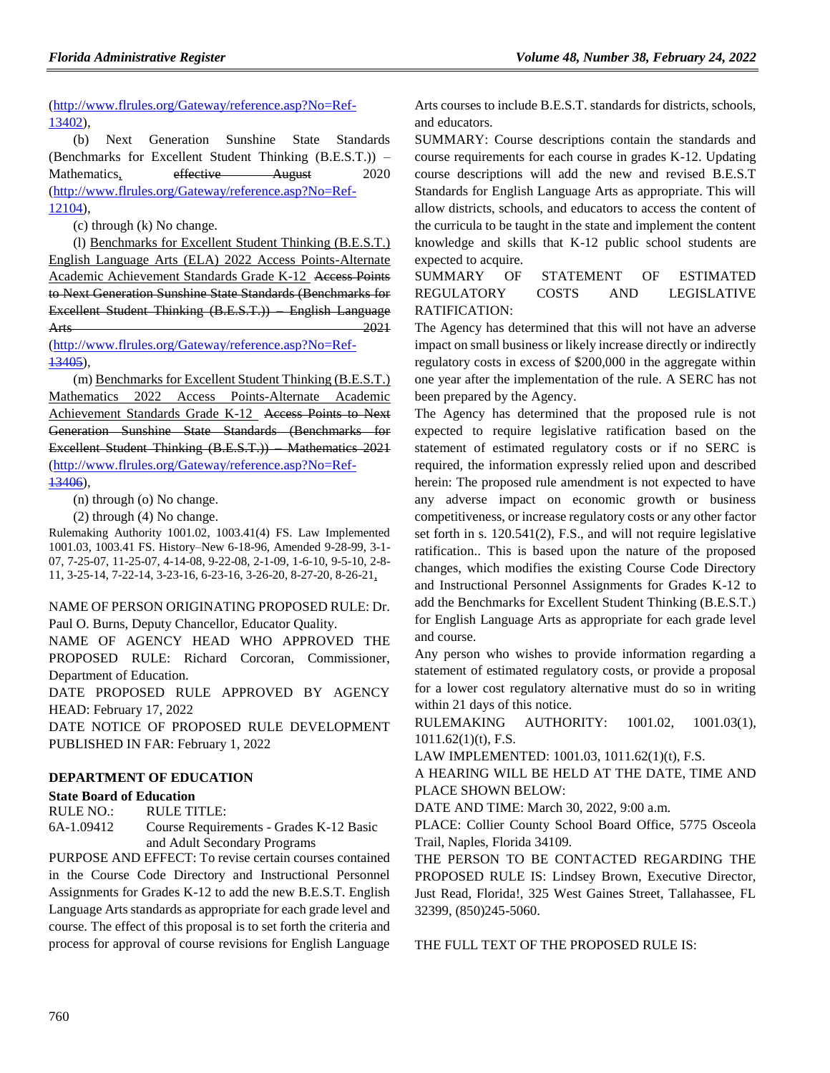(http://www.flrules.org/Gateway/reference.asp?No=Ref-13402),

(b) Next Generation Sunshine State Standards (Benchmarks for Excellent Student Thinking (B.E.S.T.)) – Mathematics, effective August 2020 (http://www.flrules.org/Gateway/reference.asp?No=Ref-12104),

(c) through (k) No change.

(l) Benchmarks for Excellent Student Thinking (B.E.S.T.) English Language Arts (ELA) 2022 Access Points-Alternate Academic Achievement Standards Grade K-12 Access Points to Next Generation Sunshine State Standards (Benchmarks for Excellent Student Thinking (B.E.S.T.)) – English Language Arts 2021

(http://www.flrules.org/Gateway/reference.asp?No=Ref-13405),

(m) Benchmarks for Excellent Student Thinking (B.E.S.T.) Mathematics 2022 Access Points-Alternate Academic Achievement Standards Grade K-12 Access Points to Next Generation Sunshine State Standards (Benchmarks for Excellent Student Thinking (B.E.S.T.)) – Mathematics 2021 (http://www.flrules.org/Gateway/reference.asp?No=Ref-13406),

(n) through (o) No change.

(2) through (4) No change.

Rulemaking Authority 1001.02, 1003.41(4) FS. Law Implemented 1001.03, 1003.41 FS. History–New 6-18-96, Amended 9-28-99, 3-1- 07, 7-25-07, 11-25-07, 4-14-08, 9-22-08, 2-1-09, 1-6-10, 9-5-10, 2-8- 11, 3-25-14, 7-22-14, 3-23-16, 6-23-16, 3-26-20, 8-27-20, 8-26-21,

### NAME OF PERSON ORIGINATING PROPOSED RULE: Dr. Paul O. Burns, Deputy Chancellor, Educator Quality.

NAME OF AGENCY HEAD WHO APPROVED THE PROPOSED RULE: Richard Corcoran, Commissioner, Department of Education.

DATE PROPOSED RULE APPROVED BY AGENCY HEAD: February 17, 2022

DATE NOTICE OF PROPOSED RULE DEVELOPMENT PUBLISHED IN FAR: February 1, 2022

### **[DEPARTMENT OF EDUCATION](https://www.flrules.org/gateway/department.asp?id=6)**

### **[State Board of Education](https://www.flrules.org/gateway/organization.asp?id=195)**

RULE NO.: RULE TITLE: [6A-1.09412](https://www.flrules.org/gateway/ruleNo.asp?id=6A-1.09412) Course Requirements - Grades K-12 Basic and Adult Secondary Programs

PURPOSE AND EFFECT: To revise certain courses contained in the Course Code Directory and Instructional Personnel Assignments for Grades K-12 to add the new B.E.S.T. English Language Arts standards as appropriate for each grade level and course. The effect of this proposal is to set forth the criteria and process for approval of course revisions for English Language

Arts courses to include B.E.S.T. standards for districts, schools, and educators.

SUMMARY: Course descriptions contain the standards and course requirements for each course in grades K-12. Updating course descriptions will add the new and revised B.E.S.T Standards for English Language Arts as appropriate. This will allow districts, schools, and educators to access the content of the curricula to be taught in the state and implement the content knowledge and skills that K-12 public school students are expected to acquire.

# SUMMARY OF STATEMENT OF ESTIMATED REGULATORY COSTS AND LEGISLATIVE RATIFICATION:

The Agency has determined that this will not have an adverse impact on small business or likely increase directly or indirectly regulatory costs in excess of \$200,000 in the aggregate within one year after the implementation of the rule. A SERC has not been prepared by the Agency.

The Agency has determined that the proposed rule is not expected to require legislative ratification based on the statement of estimated regulatory costs or if no SERC is required, the information expressly relied upon and described herein: The proposed rule amendment is not expected to have any adverse impact on economic growth or business competitiveness, or increase regulatory costs or any other factor set forth in s. 120.541(2), F.S., and will not require legislative ratification.. This is based upon the nature of the proposed changes, which modifies the existing Course Code Directory and Instructional Personnel Assignments for Grades K-12 to add the Benchmarks for Excellent Student Thinking (B.E.S.T.) for English Language Arts as appropriate for each grade level and course.

Any person who wishes to provide information regarding a statement of estimated regulatory costs, or provide a proposal for a lower cost regulatory alternative must do so in writing within 21 days of this notice.

RULEMAKING AUTHORITY: [1001.02,](https://www.flrules.org/gateway/statute.asp?id=1001.02) [1001.03\(1\),](https://www.flrules.org/gateway/statute.asp?id=%201001.03(1))  $1011.62(1)(t)$ , F.S.

LAW IMPLEMENTED: [1001.03,](https://www.flrules.org/gateway/statute.asp?id=1001.03) [1011.62\(1\)\(t\),](https://www.flrules.org/gateway/statute.asp?id=%201011.62(1)(t)) F.S.

A HEARING WILL BE HELD AT THE DATE, TIME AND PLACE SHOWN BELOW:

DATE AND TIME: March 30, 2022, 9:00 a.m.

PLACE: Collier County School Board Office, 5775 Osceola Trail, Naples, Florida 34109.

THE PERSON TO BE CONTACTED REGARDING THE PROPOSED RULE IS: Lindsey Brown, Executive Director, Just Read, Florida!, 325 West Gaines Street, Tallahassee, FL 32399, (850)245-5060.

THE FULL TEXT OF THE PROPOSED RULE IS: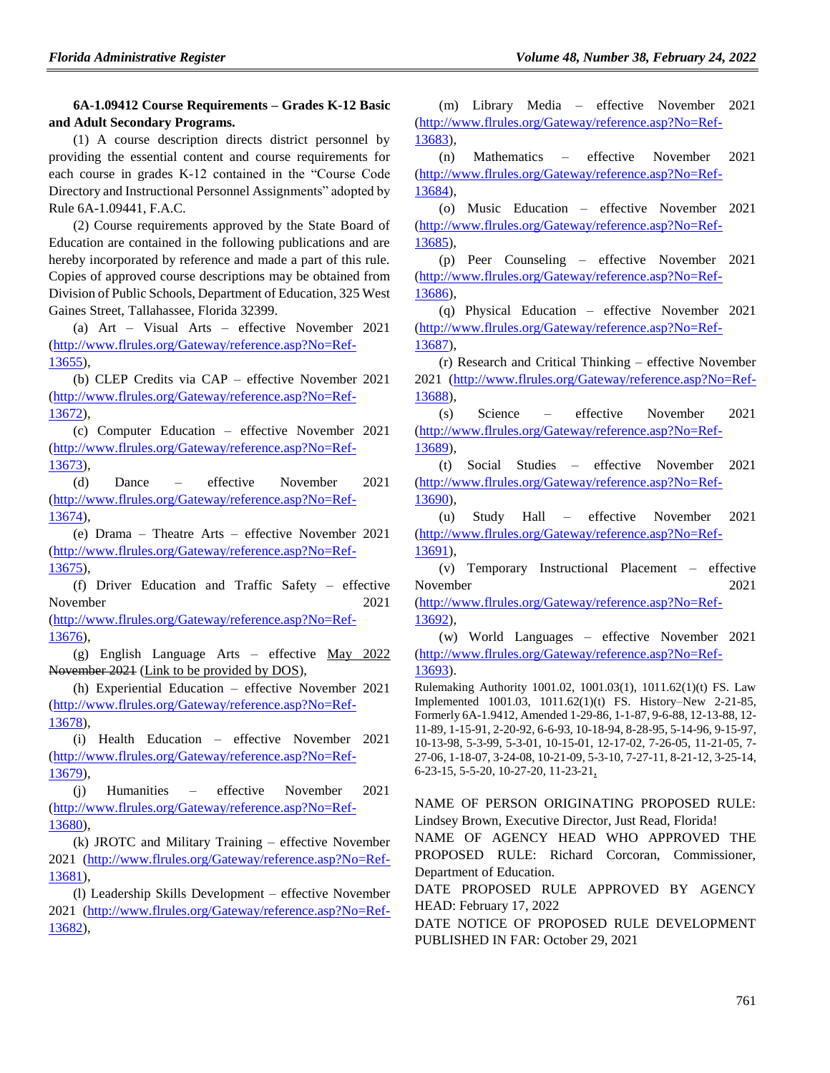# **6A-1.09412 Course Requirements – Grades K-12 Basic and Adult Secondary Programs.**

(1) A course description directs district personnel by providing the essential content and course requirements for each course in grades K-12 contained in the "Course Code Directory and Instructional Personnel Assignments" adopted by Rule 6A-1.09441, F.A.C.

(2) Course requirements approved by the State Board of Education are contained in the following publications and are hereby incorporated by reference and made a part of this rule. Copies of approved course descriptions may be obtained from Division of Public Schools, Department of Education, 325 West Gaines Street, Tallahassee, Florida 32399.

(a) Art – Visual Arts – effective November 2021 (http://www.flrules.org/Gateway/reference.asp?No=Ref-13655),

(b) CLEP Credits via CAP – effective November 2021 (http://www.flrules.org/Gateway/reference.asp?No=Ref-13672),

(c) Computer Education – effective November 2021 (http://www.flrules.org/Gateway/reference.asp?No=Ref-13673),

(d) Dance – effective November 2021 (http://www.flrules.org/Gateway/reference.asp?No=Ref-13674),

(e) Drama – Theatre Arts – effective November 2021 (http://www.flrules.org/Gateway/reference.asp?No=Ref-13675),

(f) Driver Education and Traffic Safety – effective November 2021 (http://www.flrules.org/Gateway/reference.asp?No=Ref-

13676),

(g) English Language Arts – effective May 2022 November 2021 (Link to be provided by DOS),

(h) Experiential Education – effective November 2021 (http://www.flrules.org/Gateway/reference.asp?No=Ref-13678),

(i) Health Education – effective November 2021 (http://www.flrules.org/Gateway/reference.asp?No=Ref-13679),

(j) Humanities – effective November 2021 (http://www.flrules.org/Gateway/reference.asp?No=Ref-13680),

(k) JROTC and Military Training – effective November 2021 (http://www.flrules.org/Gateway/reference.asp?No=Ref-13681),

(l) Leadership Skills Development – effective November 2021 (http://www.flrules.org/Gateway/reference.asp?No=Ref-13682),

(m) Library Media – effective November 2021 (http://www.flrules.org/Gateway/reference.asp?No=Ref-13683),

(n) Mathematics – effective November 2021 (http://www.flrules.org/Gateway/reference.asp?No=Ref-13684),

(o) Music Education – effective November 2021 (http://www.flrules.org/Gateway/reference.asp?No=Ref-13685),

(p) Peer Counseling – effective November 2021 (http://www.flrules.org/Gateway/reference.asp?No=Ref-13686),

(q) Physical Education – effective November 2021 (http://www.flrules.org/Gateway/reference.asp?No=Ref-13687),

(r) Research and Critical Thinking – effective November 2021 (http://www.flrules.org/Gateway/reference.asp?No=Ref-13688),

(s) Science – effective November 2021 (http://www.flrules.org/Gateway/reference.asp?No=Ref-13689),

(t) Social Studies – effective November 2021 (http://www.flrules.org/Gateway/reference.asp?No=Ref-13690),

(u) Study Hall – effective November 2021 (http://www.flrules.org/Gateway/reference.asp?No=Ref-13691),

(v) Temporary Instructional Placement – effective November 2021

(http://www.flrules.org/Gateway/reference.asp?No=Ref-13692),

(w) World Languages – effective November 2021 (http://www.flrules.org/Gateway/reference.asp?No=Ref-13693).

Rulemaking Authority 1001.02, 1001.03(1), 1011.62(1)(t) FS. Law Implemented 1001.03, 1011.62(1)(t) FS. History–New 2-21-85, Formerly 6A-1.9412, Amended 1-29-86, 1-1-87, 9-6-88, 12-13-88, 12- 11-89, 1-15-91, 2-20-92, 6-6-93, 10-18-94, 8-28-95, 5-14-96, 9-15-97, 10-13-98, 5-3-99, 5-3-01, 10-15-01, 12-17-02, 7-26-05, 11-21-05, 7- 27-06, 1-18-07, 3-24-08, 10-21-09, 5-3-10, 7-27-11, 8-21-12, 3-25-14, 6-23-15, 5-5-20, 10-27-20, 11-23-21,

NAME OF PERSON ORIGINATING PROPOSED RULE: Lindsey Brown, Executive Director, Just Read, Florida!

NAME OF AGENCY HEAD WHO APPROVED THE PROPOSED RULE: Richard Corcoran, Commissioner, Department of Education.

DATE PROPOSED RULE APPROVED BY AGENCY HEAD: February 17, 2022

DATE NOTICE OF PROPOSED RULE DEVELOPMENT PUBLISHED IN FAR: October 29, 2021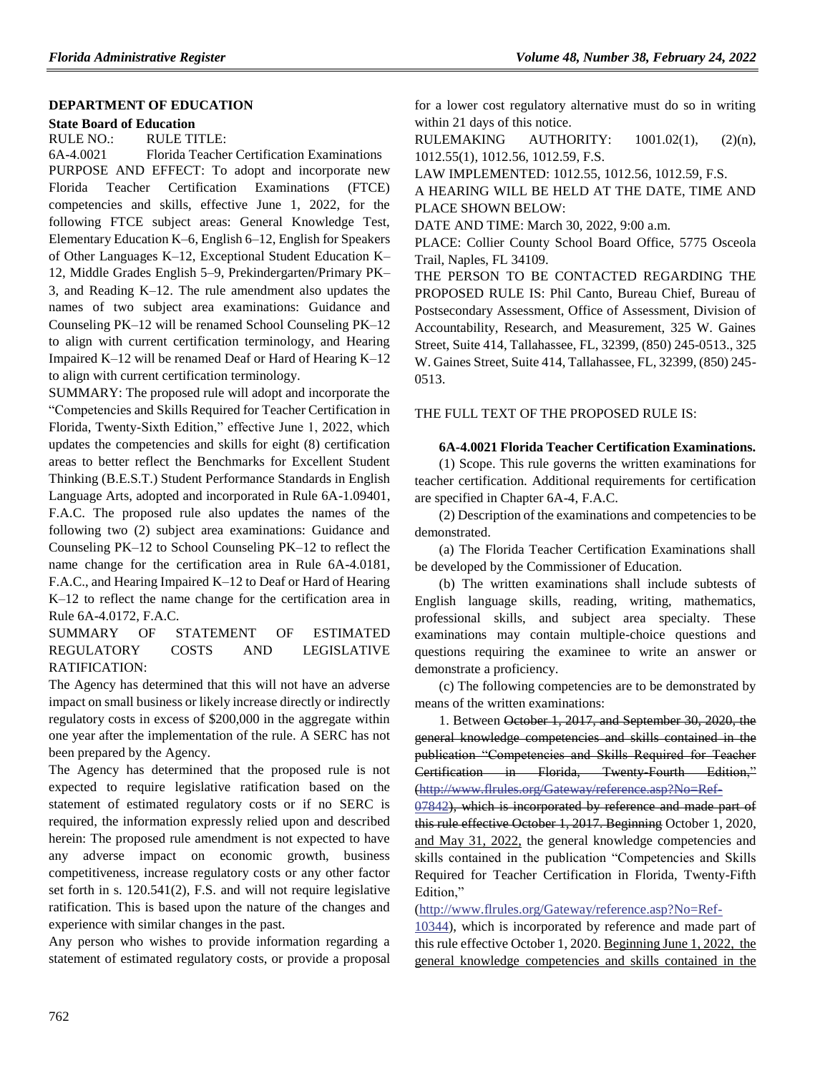### **[DEPARTMENT OF EDUCATION](https://www.flrules.org/gateway/department.asp?id=6)**

# **[State Board of Education](https://www.flrules.org/gateway/organization.asp?id=195)**

RULE NO.: RULE TITLE:

[6A-4.0021](https://www.flrules.org/gateway/ruleNo.asp?id=6A-4.0021) Florida Teacher Certification Examinations PURPOSE AND EFFECT: To adopt and incorporate new Florida Teacher Certification Examinations (FTCE) competencies and skills, effective June 1, 2022, for the following FTCE subject areas: General Knowledge Test, Elementary Education K–6, English 6–12, English for Speakers of Other Languages K–12, Exceptional Student Education K– 12, Middle Grades English 5–9, Prekindergarten/Primary PK– 3, and Reading K–12. The rule amendment also updates the names of two subject area examinations: Guidance and Counseling PK–12 will be renamed School Counseling PK–12 to align with current certification terminology, and Hearing Impaired K–12 will be renamed Deaf or Hard of Hearing K–12 to align with current certification terminology.

SUMMARY: The proposed rule will adopt and incorporate the "Competencies and Skills Required for Teacher Certification in Florida, Twenty-Sixth Edition," effective June 1, 2022, which updates the competencies and skills for eight (8) certification areas to better reflect the Benchmarks for Excellent Student Thinking (B.E.S.T.) Student Performance Standards in English Language Arts, adopted and incorporated in Rule 6A-1.09401, F.A.C. The proposed rule also updates the names of the following two (2) subject area examinations: Guidance and Counseling PK–12 to School Counseling PK–12 to reflect the name change for the certification area in Rule 6A-4.0181, F.A.C., and Hearing Impaired K–12 to Deaf or Hard of Hearing K–12 to reflect the name change for the certification area in Rule 6A-4.0172, F.A.C.

# SUMMARY OF STATEMENT OF ESTIMATED REGULATORY COSTS AND LEGISLATIVE RATIFICATION:

The Agency has determined that this will not have an adverse impact on small business or likely increase directly or indirectly regulatory costs in excess of \$200,000 in the aggregate within one year after the implementation of the rule. A SERC has not been prepared by the Agency.

The Agency has determined that the proposed rule is not expected to require legislative ratification based on the statement of estimated regulatory costs or if no SERC is required, the information expressly relied upon and described herein: The proposed rule amendment is not expected to have any adverse impact on economic growth, business competitiveness, increase regulatory costs or any other factor set forth in s. 120.541(2), F.S. and will not require legislative ratification. This is based upon the nature of the changes and experience with similar changes in the past.

Any person who wishes to provide information regarding a statement of estimated regulatory costs, or provide a proposal for a lower cost regulatory alternative must do so in writing within 21 days of this notice.

RULEMAKING AUTHORITY:  $1001.02(1)$ ,  $(2)(n)$ , [1012.55\(1\),](https://www.flrules.org/gateway/statute.asp?id=%201012.55(1)) [1012.56,](https://www.flrules.org/gateway/statute.asp?id=%201012.56) [1012.59,](https://www.flrules.org/gateway/statute.asp?id=%201012.59) F.S.

LAW IMPLEMENTED: [1012.55,](https://www.flrules.org/gateway/statute.asp?id=1012.55) [1012.56,](https://www.flrules.org/gateway/statute.asp?id=%201012.56) [1012.59,](https://www.flrules.org/gateway/statute.asp?id=%201012.59) F.S.

A HEARING WILL BE HELD AT THE DATE, TIME AND PLACE SHOWN BELOW:

DATE AND TIME: March 30, 2022, 9:00 a.m.

PLACE: Collier County School Board Office, 5775 Osceola Trail, Naples, FL 34109.

THE PERSON TO BE CONTACTED REGARDING THE PROPOSED RULE IS: Phil Canto, Bureau Chief, Bureau of Postsecondary Assessment, Office of Assessment, Division of Accountability, Research, and Measurement, 325 W. Gaines Street, Suite 414, Tallahassee, FL, 32399, (850) 245-0513., 325 W. Gaines Street, Suite 414, Tallahassee, FL, 32399, (850) 245- 0513.

THE FULL TEXT OF THE PROPOSED RULE IS:

**6A-4.0021 Florida Teacher Certification Examinations.**

(1) Scope. This rule governs the written examinations for teacher certification. Additional requirements for certification are specified in Chapter 6A-4, F.A.C.

(2) Description of the examinations and competencies to be demonstrated.

(a) The Florida Teacher Certification Examinations shall be developed by the Commissioner of Education.

(b) The written examinations shall include subtests of English language skills, reading, writing, mathematics, professional skills, and subject area specialty. These examinations may contain multiple-choice questions and questions requiring the examinee to write an answer or demonstrate a proficiency.

(c) The following competencies are to be demonstrated by means of the written examinations:

1. Between October 1, 2017, and September 30, 2020, the general knowledge competencies and skills contained in the publication "Competencies and Skills Required for Teacher Certification in Florida, Twenty-Fourth Edition," [\(http://www.flrules.org/Gateway/reference.asp?No=Ref-](https://www.flrules.org/Gateway/reference.asp?No=Ref-07842)

[07842\)](https://www.flrules.org/Gateway/reference.asp?No=Ref-07842), which is incorporated by reference and made part of this rule effective October 1, 2017. Beginning October 1, 2020, and May 31, 2022, the general knowledge competencies and skills contained in the publication "Competencies and Skills Required for Teacher Certification in Florida, Twenty-Fifth Edition,"

(http://www.flrules.org/Gateway/reference.asp?No=Ref-

10344), which is incorporated by reference and made part of this rule effective October 1, 2020. Beginning June 1, 2022, the general knowledge competencies and skills contained in the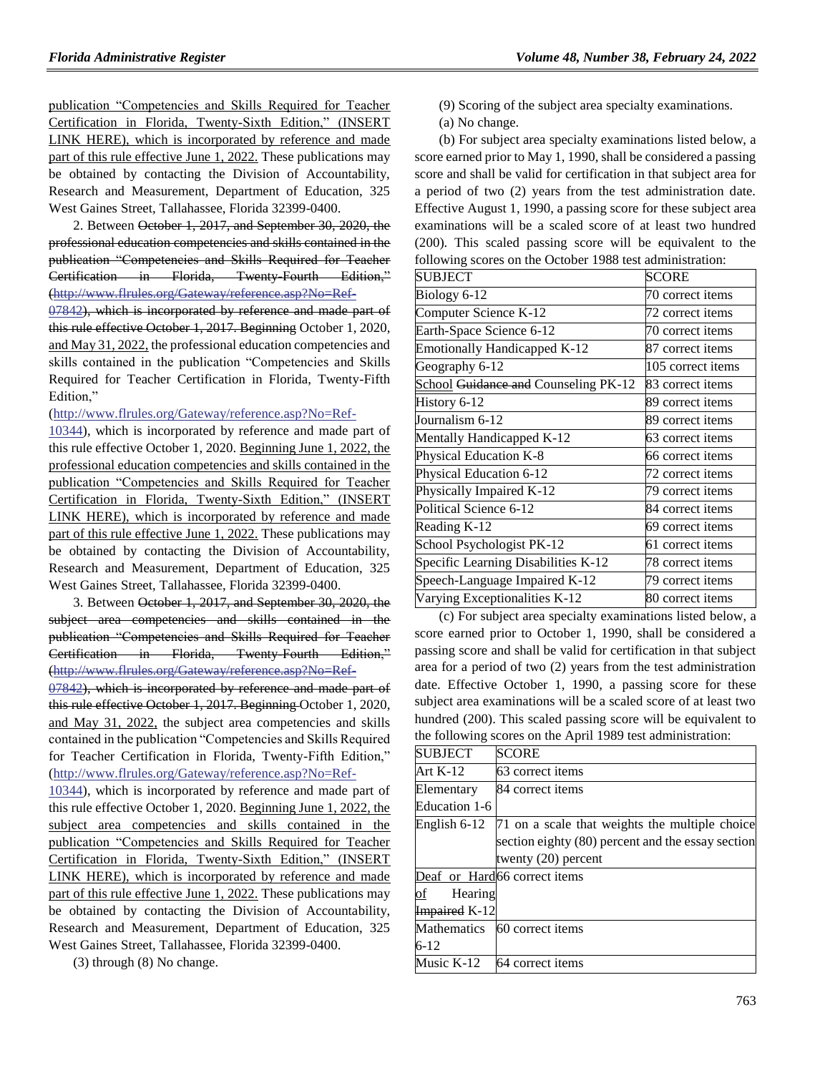publication "Competencies and Skills Required for Teacher Certification in Florida, Twenty-Sixth Edition," (INSERT LINK HERE), which is incorporated by reference and made part of this rule effective June 1, 2022. These publications may be obtained by contacting the Division of Accountability, Research and Measurement, Department of Education, 325 West Gaines Street, Tallahassee, Florida 32399-0400.

2. Between October 1, 2017, and September 30, 2020, the professional education competencies and skills contained in the publication "Competencies and Skills Required for Teacher Certification in Florida, Twenty-Fourth Edition," [\(http://www.flrules.org/Gateway/reference.asp?No=Ref-](https://www.flrules.org/Gateway/reference.asp?No=Ref-07842)

[07842\)](https://www.flrules.org/Gateway/reference.asp?No=Ref-07842), which is incorporated by reference and made part of this rule effective October 1, 2017. Beginning October 1, 2020, and May 31, 2022, the professional education competencies and skills contained in the publication "Competencies and Skills Required for Teacher Certification in Florida, Twenty-Fifth Edition,"

[\(http://www.flrules.org/Gateway/reference.asp?No=Ref-](https://www.flrules.org/Gateway/reference.asp?No=Ref-10344)

[10344\)](https://www.flrules.org/Gateway/reference.asp?No=Ref-10344), which is incorporated by reference and made part of this rule effective October 1, 2020. Beginning June 1, 2022, the professional education competencies and skills contained in the publication "Competencies and Skills Required for Teacher Certification in Florida, Twenty-Sixth Edition," (INSERT LINK HERE), which is incorporated by reference and made part of this rule effective June 1, 2022. These publications may be obtained by contacting the Division of Accountability, Research and Measurement, Department of Education, 325 West Gaines Street, Tallahassee, Florida 32399-0400.

3. Between October 1, 2017, and September 30, 2020, the subject area competencies and skills contained in the publication "Competencies and Skills Required for Teacher Certification in Florida, Twenty-Fourth Edition," [\(http://www.flrules.org/Gateway/reference.asp?No=Ref-](https://www.flrules.org/Gateway/reference.asp?No=Ref-07842)

[07842\)](https://www.flrules.org/Gateway/reference.asp?No=Ref-07842), which is incorporated by reference and made part of this rule effective October 1, 2017. Beginning October 1, 2020, and May 31, 2022, the subject area competencies and skills contained in the publication "Competencies and Skills Required for Teacher Certification in Florida, Twenty-Fifth Edition," [\(http://www.flrules.org/Gateway/reference.asp?No=Ref-](https://www.flrules.org/Gateway/reference.asp?No=Ref-10344)

[10344\)](https://www.flrules.org/Gateway/reference.asp?No=Ref-10344), which is incorporated by reference and made part of this rule effective October 1, 2020. Beginning June 1, 2022, the subject area competencies and skills contained in the publication "Competencies and Skills Required for Teacher Certification in Florida, Twenty-Sixth Edition," (INSERT LINK HERE), which is incorporated by reference and made part of this rule effective June 1, 2022. These publications may be obtained by contacting the Division of Accountability, Research and Measurement, Department of Education, 325 West Gaines Street, Tallahassee, Florida 32399-0400.

(3) through (8) No change.

- (9) Scoring of the subject area specialty examinations.
- (a) No change.

(b) For subject area specialty examinations listed below, a score earned prior to May 1, 1990, shall be considered a passing score and shall be valid for certification in that subject area for a period of two (2) years from the test administration date. Effective August 1, 1990, a passing score for these subject area examinations will be a scaled score of at least two hundred (200). This scaled passing score will be equivalent to the following scores on the October 1988 test administration:

| <b>SUBJECT</b>                       | <b>SCORE</b>      |
|--------------------------------------|-------------------|
| Biology 6-12                         | 70 correct items  |
| Computer Science K-12                | 72 correct items  |
| Earth-Space Science 6-12             | 70 correct items  |
| <b>Emotionally Handicapped K-12</b>  | 87 correct items  |
| Geography 6-12                       | 105 correct items |
| School Guidance and Counseling PK-12 | 83 correct items  |
| History 6-12                         | 89 correct items  |
| Journalism 6-12                      | 89 correct items  |
| Mentally Handicapped K-12            | 63 correct items  |
| Physical Education K-8               | 66 correct items  |
| Physical Education 6-12              | 72 correct items  |
| Physically Impaired K-12             | 79 correct items  |
| Political Science 6-12               | 84 correct items  |
| Reading K-12                         | 69 correct items  |
| School Psychologist PK-12            | 61 correct items  |
| Specific Learning Disabilities K-12  | 78 correct items  |
| Speech-Language Impaired K-12        | 79 correct items  |
| Varying Exceptionalities K-12        | 80 correct items  |

(c) For subject area specialty examinations listed below, a score earned prior to October 1, 1990, shall be considered a passing score and shall be valid for certification in that subject area for a period of two (2) years from the test administration date. Effective October 1, 1990, a passing score for these subject area examinations will be a scaled score of at least two hundred (200). This scaled passing score will be equivalent to the following scores on the April 1989 test administration:

| <b>SCORE</b>                                      |
|---------------------------------------------------|
| 63 correct items                                  |
| 84 correct items                                  |
|                                                   |
| 71 on a scale that weights the multiple choice    |
| section eighty (80) percent and the essay section |
| twenty $(20)$ percent                             |
| Deaf or Hard66 correct items                      |
| Hearing                                           |
| <b>Impaired K-12</b>                              |
| Mathematics 60 correct items                      |
|                                                   |
| 64 correct items                                  |
|                                                   |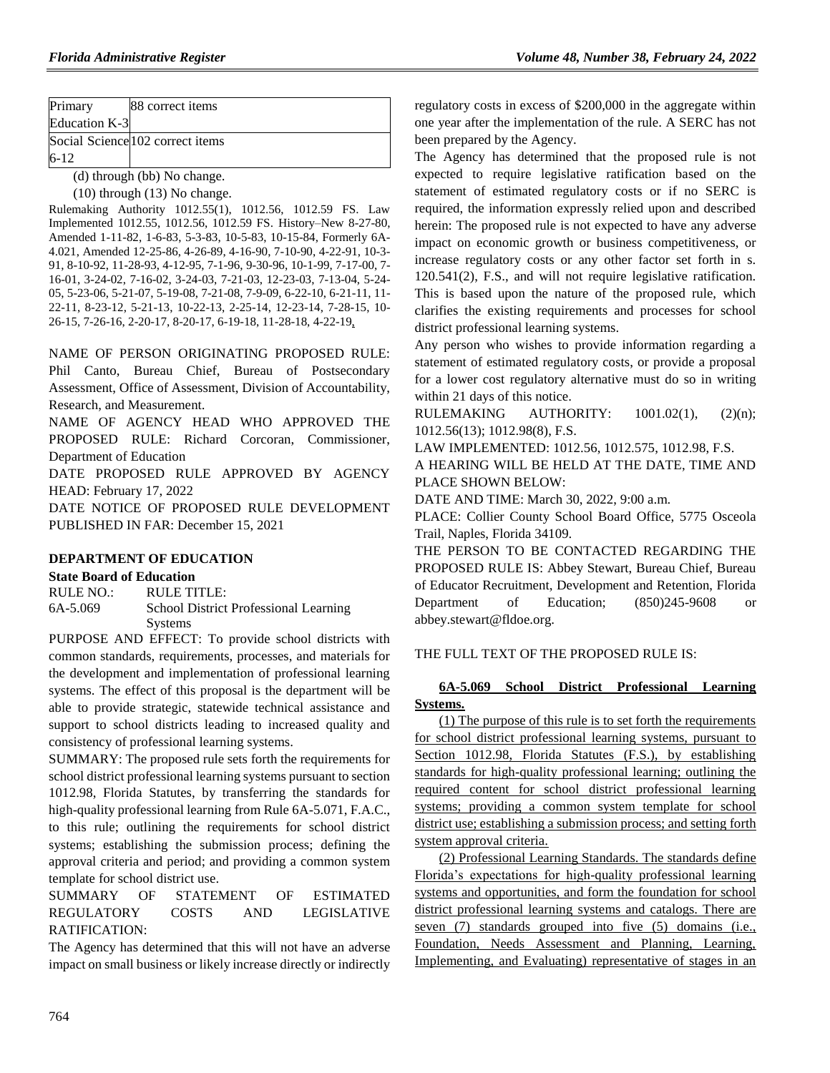| Primary       | 88 correct items                                        |
|---------------|---------------------------------------------------------|
| Education K-3 |                                                         |
|               | Social Science 102 correct items                        |
| $6 - 12$      |                                                         |
|               | $(1)$ thus call $(1,1)$ . $\mathbf{M}$ and $\mathbf{M}$ |

(d) through (bb) No change.

(10) through (13) No change.

Rulemaking Authority 1012.55(1), 1012.56, 1012.59 FS. Law Implemented 1012.55, 1012.56, 1012.59 FS. History–New 8-27-80, Amended 1-11-82, 1-6-83, 5-3-83, 10-5-83, 10-15-84, Formerly 6A-4.021, Amended 12-25-86, 4-26-89, 4-16-90, 7-10-90, 4-22-91, 10-3- 91, 8-10-92, 11-28-93, 4-12-95, 7-1-96, 9-30-96, 10-1-99, 7-17-00, 7- 16-01, 3-24-02, 7-16-02, 3-24-03, 7-21-03, 12-23-03, 7-13-04, 5-24- 05, 5-23-06, 5-21-07, 5-19-08, 7-21-08, 7-9-09, 6-22-10, 6-21-11, 11- 22-11, 8-23-12, 5-21-13, 10-22-13, 2-25-14, 12-23-14, 7-28-15, 10- 26-15, 7-26-16, 2-20-17, 8-20-17, 6-19-18, 11-28-18, 4-22-19,

NAME OF PERSON ORIGINATING PROPOSED RULE: Phil Canto, Bureau Chief, Bureau of Postsecondary Assessment, Office of Assessment, Division of Accountability, Research, and Measurement.

NAME OF AGENCY HEAD WHO APPROVED THE PROPOSED RULE: Richard Corcoran, Commissioner, Department of Education

DATE PROPOSED RULE APPROVED BY AGENCY HEAD: February 17, 2022

DATE NOTICE OF PROPOSED RULE DEVELOPMENT PUBLISHED IN FAR: December 15, 2021

### **[DEPARTMENT OF EDUCATION](https://www.flrules.org/gateway/department.asp?id=6)**

### **[State Board of Education](https://www.flrules.org/gateway/organization.asp?id=195)**

RULE NO.: RULE TITLE: [6A-5.069](https://www.flrules.org/gateway/ruleNo.asp?id=6A-5.069) School District Professional Learning **Systems** 

PURPOSE AND EFFECT: To provide school districts with common standards, requirements, processes, and materials for the development and implementation of professional learning systems. The effect of this proposal is the department will be able to provide strategic, statewide technical assistance and support to school districts leading to increased quality and consistency of professional learning systems.

SUMMARY: The proposed rule sets forth the requirements for school district professional learning systems pursuant to section 1012.98, Florida Statutes, by transferring the standards for high-quality professional learning from Rule 6A-5.071, F.A.C., to this rule; outlining the requirements for school district systems; establishing the submission process; defining the approval criteria and period; and providing a common system template for school district use.

SUMMARY OF STATEMENT OF ESTIMATED REGULATORY COSTS AND LEGISLATIVE RATIFICATION:

The Agency has determined that this will not have an adverse impact on small business or likely increase directly or indirectly regulatory costs in excess of \$200,000 in the aggregate within one year after the implementation of the rule. A SERC has not been prepared by the Agency.

The Agency has determined that the proposed rule is not expected to require legislative ratification based on the statement of estimated regulatory costs or if no SERC is required, the information expressly relied upon and described herein: The proposed rule is not expected to have any adverse impact on economic growth or business competitiveness, or increase regulatory costs or any other factor set forth in s. 120.541(2), F.S., and will not require legislative ratification. This is based upon the nature of the proposed rule, which clarifies the existing requirements and processes for school district professional learning systems.

Any person who wishes to provide information regarding a statement of estimated regulatory costs, or provide a proposal for a lower cost regulatory alternative must do so in writing within 21 days of this notice.

RULEMAKING AUTHORITY: [1001.02\(1\),](https://www.flrules.org/gateway/statute.asp?id=1001.02(1)) (2)(n); 1012.56(13); 1012.98(8), F.S.

LAW IMPLEMENTED: [1012.56,](https://www.flrules.org/gateway/statute.asp?id=1012.56) [1012.575,](https://www.flrules.org/gateway/statute.asp?id=%201012.575) [1012.98,](https://www.flrules.org/gateway/statute.asp?id=%201012.98) F.S.

A HEARING WILL BE HELD AT THE DATE, TIME AND PLACE SHOWN BELOW:

DATE AND TIME: March 30, 2022, 9:00 a.m.

PLACE: Collier County School Board Office, 5775 Osceola Trail, Naples, Florida 34109.

THE PERSON TO BE CONTACTED REGARDING THE PROPOSED RULE IS: Abbey Stewart, Bureau Chief, Bureau of Educator Recruitment, Development and Retention, Florida Department of Education; (850)245-9608 or abbey.stewart@fldoe.org.

### THE FULL TEXT OF THE PROPOSED RULE IS:

# **6A-5.069 School District Professional Learning Systems.**

(1) The purpose of this rule is to set forth the requirements for school district professional learning systems, pursuant to Section 1012.98, Florida Statutes (F.S.), by establishing standards for high-quality professional learning; outlining the required content for school district professional learning systems; providing a common system template for school district use; establishing a submission process; and setting forth system approval criteria.

(2) Professional Learning Standards. The standards define Florida's expectations for high-quality professional learning systems and opportunities, and form the foundation for school district professional learning systems and catalogs. There are seven (7) standards grouped into five (5) domains (i.e., Foundation, Needs Assessment and Planning, Learning, Implementing, and Evaluating) representative of stages in an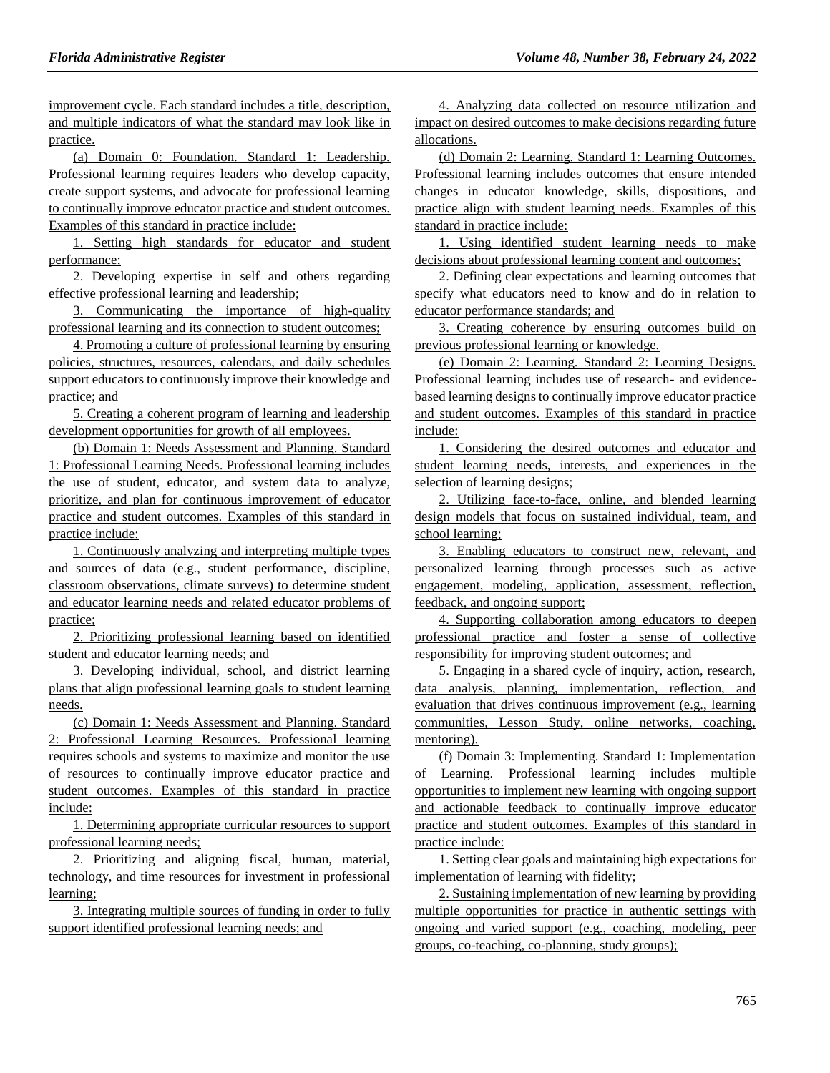improvement cycle. Each standard includes a title, description, and multiple indicators of what the standard may look like in practice.

(a) Domain 0: Foundation. Standard 1: Leadership. Professional learning requires leaders who develop capacity, create support systems, and advocate for professional learning to continually improve educator practice and student outcomes. Examples of this standard in practice include:

1. Setting high standards for educator and student performance;

2. Developing expertise in self and others regarding effective professional learning and leadership;

3. Communicating the importance of high-quality professional learning and its connection to student outcomes;

4. Promoting a culture of professional learning by ensuring policies, structures, resources, calendars, and daily schedules support educators to continuously improve their knowledge and practice; and

5. Creating a coherent program of learning and leadership development opportunities for growth of all employees.

(b) Domain 1: Needs Assessment and Planning. Standard 1: Professional Learning Needs. Professional learning includes the use of student, educator, and system data to analyze, prioritize, and plan for continuous improvement of educator practice and student outcomes. Examples of this standard in practice include:

1. Continuously analyzing and interpreting multiple types and sources of data (e.g., student performance, discipline, classroom observations, climate surveys) to determine student and educator learning needs and related educator problems of practice;

2. Prioritizing professional learning based on identified student and educator learning needs; and

3. Developing individual, school, and district learning plans that align professional learning goals to student learning needs.

(c) Domain 1: Needs Assessment and Planning. Standard 2: Professional Learning Resources. Professional learning requires schools and systems to maximize and monitor the use of resources to continually improve educator practice and student outcomes. Examples of this standard in practice include:

1. Determining appropriate curricular resources to support professional learning needs;

2. Prioritizing and aligning fiscal, human, material, technology, and time resources for investment in professional learning;

3. Integrating multiple sources of funding in order to fully support identified professional learning needs; and

4. Analyzing data collected on resource utilization and impact on desired outcomes to make decisions regarding future allocations.

(d) Domain 2: Learning. Standard 1: Learning Outcomes. Professional learning includes outcomes that ensure intended changes in educator knowledge, skills, dispositions, and practice align with student learning needs. Examples of this standard in practice include:

1. Using identified student learning needs to make decisions about professional learning content and outcomes;

2. Defining clear expectations and learning outcomes that specify what educators need to know and do in relation to educator performance standards; and

3. Creating coherence by ensuring outcomes build on previous professional learning or knowledge.

(e) Domain 2: Learning. Standard 2: Learning Designs. Professional learning includes use of research- and evidencebased learning designs to continually improve educator practice and student outcomes. Examples of this standard in practice include:

1. Considering the desired outcomes and educator and student learning needs, interests, and experiences in the selection of learning designs;

2. Utilizing face-to-face, online, and blended learning design models that focus on sustained individual, team, and school learning;

3. Enabling educators to construct new, relevant, and personalized learning through processes such as active engagement, modeling, application, assessment, reflection, feedback, and ongoing support;

4. Supporting collaboration among educators to deepen professional practice and foster a sense of collective responsibility for improving student outcomes; and

5. Engaging in a shared cycle of inquiry, action, research, data analysis, planning, implementation, reflection, and evaluation that drives continuous improvement (e.g., learning communities, Lesson Study, online networks, coaching, mentoring).

(f) Domain 3: Implementing. Standard 1: Implementation of Learning. Professional learning includes multiple opportunities to implement new learning with ongoing support and actionable feedback to continually improve educator practice and student outcomes. Examples of this standard in practice include:

1. Setting clear goals and maintaining high expectations for implementation of learning with fidelity;

2. Sustaining implementation of new learning by providing multiple opportunities for practice in authentic settings with ongoing and varied support (e.g., coaching, modeling, peer groups, co-teaching, co-planning, study groups);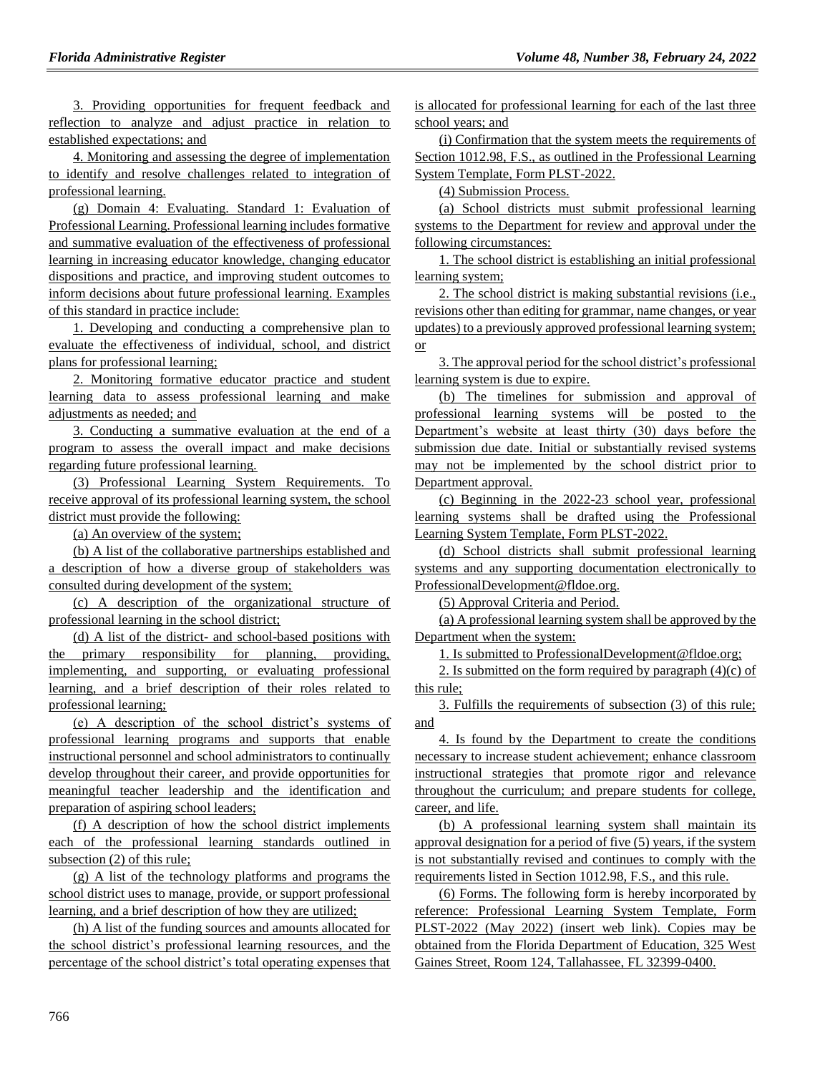3. Providing opportunities for frequent feedback and reflection to analyze and adjust practice in relation to established expectations; and

4. Monitoring and assessing the degree of implementation to identify and resolve challenges related to integration of professional learning.

(g) Domain 4: Evaluating. Standard 1: Evaluation of Professional Learning. Professional learning includes formative and summative evaluation of the effectiveness of professional learning in increasing educator knowledge, changing educator dispositions and practice, and improving student outcomes to inform decisions about future professional learning. Examples of this standard in practice include:

1. Developing and conducting a comprehensive plan to evaluate the effectiveness of individual, school, and district plans for professional learning;

2. Monitoring formative educator practice and student learning data to assess professional learning and make adjustments as needed; and

3. Conducting a summative evaluation at the end of a program to assess the overall impact and make decisions regarding future professional learning.

(3) Professional Learning System Requirements. To receive approval of its professional learning system, the school district must provide the following:

(a) An overview of the system;

(b) A list of the collaborative partnerships established and a description of how a diverse group of stakeholders was consulted during development of the system;

(c) A description of the organizational structure of professional learning in the school district;

(d) A list of the district- and school-based positions with the primary responsibility for planning, providing, implementing, and supporting, or evaluating professional learning, and a brief description of their roles related to professional learning;

(e) A description of the school district's systems of professional learning programs and supports that enable instructional personnel and school administrators to continually develop throughout their career, and provide opportunities for meaningful teacher leadership and the identification and preparation of aspiring school leaders;

(f) A description of how the school district implements each of the professional learning standards outlined in subsection (2) of this rule;

(g) A list of the technology platforms and programs the school district uses to manage, provide, or support professional learning, and a brief description of how they are utilized;

(h) A list of the funding sources and amounts allocated for the school district's professional learning resources, and the percentage of the school district's total operating expenses that is allocated for professional learning for each of the last three school years; and

(i) Confirmation that the system meets the requirements of Section 1012.98, F.S., as outlined in the Professional Learning System Template, Form PLST-2022.

(4) Submission Process.

(a) School districts must submit professional learning systems to the Department for review and approval under the following circumstances:

1. The school district is establishing an initial professional learning system;

2. The school district is making substantial revisions (i.e., revisions other than editing for grammar, name changes, or year updates) to a previously approved professional learning system; or

3. The approval period for the school district's professional learning system is due to expire.

(b) The timelines for submission and approval of professional learning systems will be posted to the Department's website at least thirty (30) days before the submission due date. Initial or substantially revised systems may not be implemented by the school district prior to Department approval.

(c) Beginning in the 2022-23 school year, professional learning systems shall be drafted using the Professional Learning System Template, Form PLST-2022.

(d) School districts shall submit professional learning systems and any supporting documentation electronically to ProfessionalDevelopment@fldoe.org.

(5) Approval Criteria and Period.

(a) A professional learning system shall be approved by the Department when the system:

1. Is submitted to ProfessionalDevelopment@fldoe.org;

2. Is submitted on the form required by paragraph  $(4)(c)$  of this rule;

3. Fulfills the requirements of subsection (3) of this rule; and

4. Is found by the Department to create the conditions necessary to increase student achievement; enhance classroom instructional strategies that promote rigor and relevance throughout the curriculum; and prepare students for college, career, and life.

(b) A professional learning system shall maintain its approval designation for a period of five (5) years, if the system is not substantially revised and continues to comply with the requirements listed in Section 1012.98, F.S., and this rule.

(6) Forms. The following form is hereby incorporated by reference: Professional Learning System Template, Form PLST-2022 (May 2022) (insert web link). Copies may be obtained from the Florida Department of Education, 325 West Gaines Street, Room 124, Tallahassee, FL 32399-0400.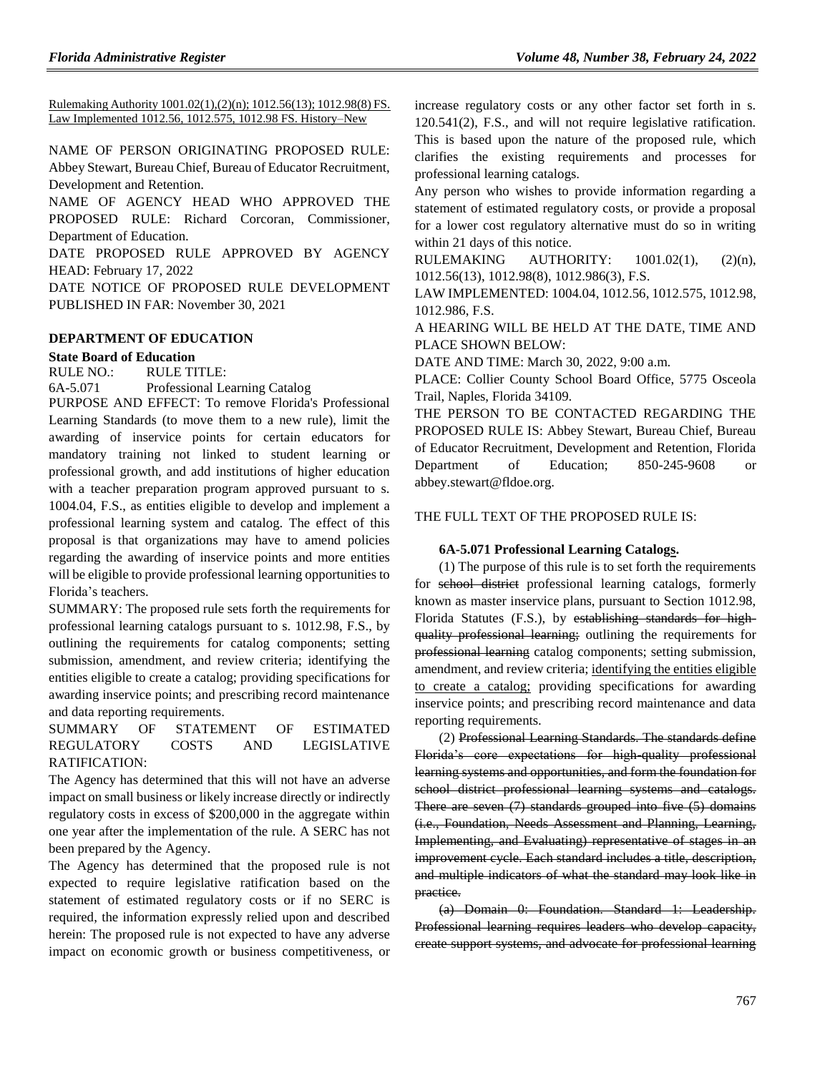Rulemaking Authority 1001.02(1),(2)(n); 1012.56(13); 1012.98(8) FS. Law Implemented 1012.56, 1012.575, 1012.98 FS. History–New

NAME OF PERSON ORIGINATING PROPOSED RULE: Abbey Stewart, Bureau Chief, Bureau of Educator Recruitment, Development and Retention.

NAME OF AGENCY HEAD WHO APPROVED THE PROPOSED RULE: Richard Corcoran, Commissioner, Department of Education.

DATE PROPOSED RULE APPROVED BY AGENCY HEAD: February 17, 2022

DATE NOTICE OF PROPOSED RULE DEVELOPMENT PUBLISHED IN FAR: November 30, 2021

### **[DEPARTMENT OF EDUCATION](https://www.flrules.org/gateway/department.asp?id=6)**

### **[State Board of Education](https://www.flrules.org/gateway/organization.asp?id=195)**

RULE NO.: RULE TITLE:

[6A-5.071](https://www.flrules.org/gateway/ruleNo.asp?id=6A-5.071) Professional Learning Catalog

PURPOSE AND EFFECT: To remove Florida's Professional Learning Standards (to move them to a new rule), limit the awarding of inservice points for certain educators for mandatory training not linked to student learning or professional growth, and add institutions of higher education with a teacher preparation program approved pursuant to s. 1004.04, F.S., as entities eligible to develop and implement a professional learning system and catalog. The effect of this proposal is that organizations may have to amend policies regarding the awarding of inservice points and more entities will be eligible to provide professional learning opportunities to Florida's teachers.

SUMMARY: The proposed rule sets forth the requirements for professional learning catalogs pursuant to s. 1012.98, F.S., by outlining the requirements for catalog components; setting submission, amendment, and review criteria; identifying the entities eligible to create a catalog; providing specifications for awarding inservice points; and prescribing record maintenance and data reporting requirements.

# SUMMARY OF STATEMENT OF ESTIMATED REGULATORY COSTS AND LEGISLATIVE RATIFICATION:

The Agency has determined that this will not have an adverse impact on small business or likely increase directly or indirectly regulatory costs in excess of \$200,000 in the aggregate within one year after the implementation of the rule. A SERC has not been prepared by the Agency.

The Agency has determined that the proposed rule is not expected to require legislative ratification based on the statement of estimated regulatory costs or if no SERC is required, the information expressly relied upon and described herein: The proposed rule is not expected to have any adverse impact on economic growth or business competitiveness, or increase regulatory costs or any other factor set forth in s. 120.541(2), F.S., and will not require legislative ratification. This is based upon the nature of the proposed rule, which clarifies the existing requirements and processes for professional learning catalogs.

Any person who wishes to provide information regarding a statement of estimated regulatory costs, or provide a proposal for a lower cost regulatory alternative must do so in writing within 21 days of this notice.

RULEMAKING AUTHORITY:  $1001.02(1)$ ,  $(2)(n)$ , [1012.56\(13\),](https://www.flrules.org/gateway/statute.asp?id=%201012.56(13)) [1012.98\(8\),](https://www.flrules.org/gateway/statute.asp?id=%201012.98(8)) [1012.986\(3\),](https://www.flrules.org/gateway/statute.asp?id=%201012.986(3)) F.S.

LAW IMPLEMENTED[: 1004.04,](https://www.flrules.org/gateway/statute.asp?id=1004.04) [1012.56,](https://www.flrules.org/gateway/statute.asp?id=%201012.56) [1012.575,](https://www.flrules.org/gateway/statute.asp?id=%201012.575) [1012.98,](https://www.flrules.org/gateway/statute.asp?id=%201012.98) [1012.986,](https://www.flrules.org/gateway/statute.asp?id=%201012.986) F.S.

A HEARING WILL BE HELD AT THE DATE, TIME AND PLACE SHOWN BELOW:

DATE AND TIME: March 30, 2022, 9:00 a.m.

PLACE: Collier County School Board Office, 5775 Osceola Trail, Naples, Florida 34109.

THE PERSON TO BE CONTACTED REGARDING THE PROPOSED RULE IS: Abbey Stewart, Bureau Chief, Bureau of Educator Recruitment, Development and Retention, Florida Department of Education; 850-245-9608 or abbey.stewart@fldoe.org.

THE FULL TEXT OF THE PROPOSED RULE IS:

### **6A-5.071 Professional Learning Catalogs.**

(1) The purpose of this rule is to set forth the requirements for school district professional learning catalogs, formerly known as master inservice plans, pursuant to Section 1012.98, Florida Statutes (F.S.), by establishing standards for highquality professional learning; outlining the requirements for professional learning catalog components; setting submission, amendment, and review criteria; identifying the entities eligible to create a catalog; providing specifications for awarding inservice points; and prescribing record maintenance and data reporting requirements.

(2) Professional Learning Standards. The standards define Florida's core expectations for high-quality professional learning systems and opportunities, and form the foundation for school district professional learning systems and catalogs. There are seven (7) standards grouped into five (5) domains (i.e., Foundation, Needs Assessment and Planning, Learning, Implementing, and Evaluating) representative of stages in an improvement cycle. Each standard includes a title, description, and multiple indicators of what the standard may look like in practice.

(a) Domain 0: Foundation. Standard 1: Leadership. Professional learning requires leaders who develop capacity, create support systems, and advocate for professional learning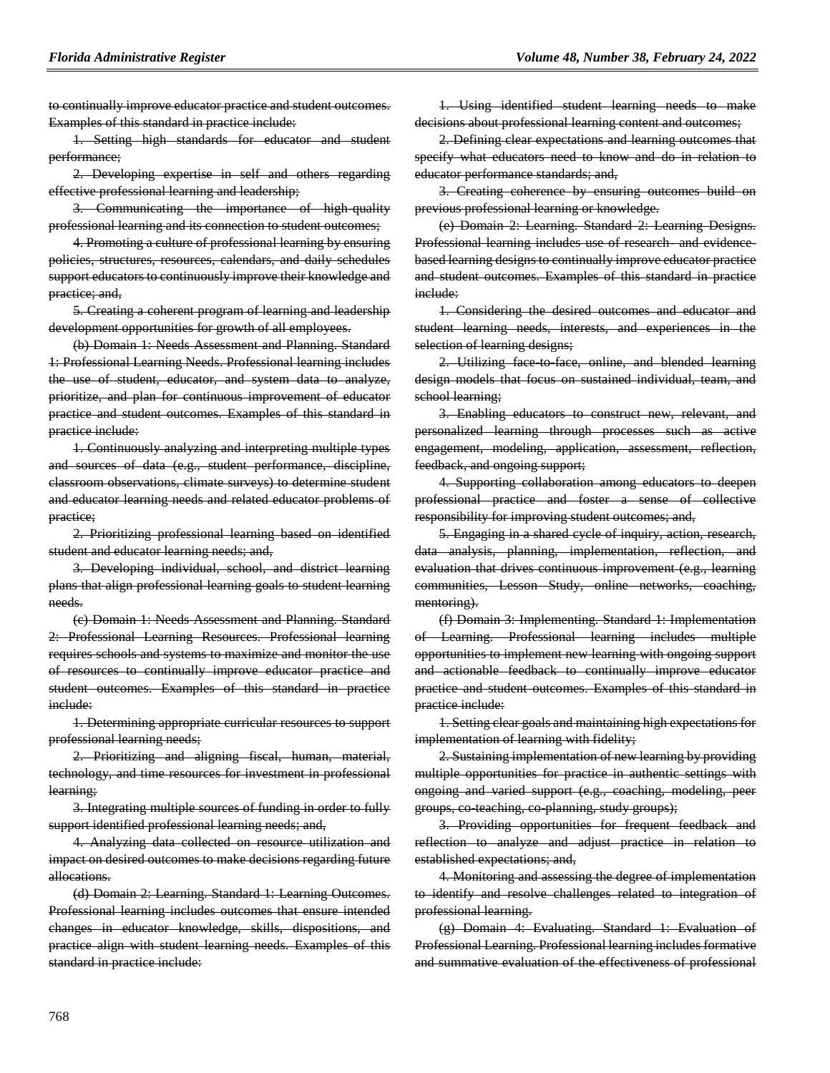to continually improve educator practice and student outcomes. Examples of this standard in practice include:

1. Setting high standards for educator and student performance;

2. Developing expertise in self and others regarding effective professional learning and leadership;

3. Communicating the importance of high-quality professional learning and its connection to student outcomes;

4. Promoting a culture of professional learning by ensuring policies, structures, resources, calendars, and daily schedules support educators to continuously improve their knowledge and practice; and,

5. Creating a coherent program of learning and leadership development opportunities for growth of all employees.

(b) Domain 1: Needs Assessment and Planning. Standard 1: Professional Learning Needs. Professional learning includes the use of student, educator, and system data to analyze, prioritize, and plan for continuous improvement of educator practice and student outcomes. Examples of this standard in practice include:

1. Continuously analyzing and interpreting multiple types and sources of data (e.g., student performance, discipline, classroom observations, climate surveys) to determine student and educator learning needs and related educator problems of practice;

2. Prioritizing professional learning based on identified student and educator learning needs; and,

3. Developing individual, school, and district learning plans that align professional learning goals to student learning needs.

(c) Domain 1: Needs Assessment and Planning. Standard 2: Professional Learning Resources. Professional learning requires schools and systems to maximize and monitor the use of resources to continually improve educator practice and student outcomes. Examples of this standard in practice include:

1. Determining appropriate curricular resources to support professional learning needs;

2. Prioritizing and aligning fiscal, human, material, technology, and time resources for investment in professional learning;

3. Integrating multiple sources of funding in order to fully support identified professional learning needs; and,

4. Analyzing data collected on resource utilization and impact on desired outcomes to make decisions regarding future allocations.

(d) Domain 2: Learning. Standard 1: Learning Outcomes. Professional learning includes outcomes that ensure intended changes in educator knowledge, skills, dispositions, and practice align with student learning needs. Examples of this standard in practice include:

1. Using identified student learning needs to make decisions about professional learning content and outcomes;

2. Defining clear expectations and learning outcomes that specify what educators need to know and do in relation to educator performance standards; and,

3. Creating coherence by ensuring outcomes build on previous professional learning or knowledge.

(e) Domain 2: Learning. Standard 2: Learning Designs. Professional learning includes use of research and evidencebased learning designs to continually improve educator practice and student outcomes. Examples of this standard in practice include:

1. Considering the desired outcomes and educator and student learning needs, interests, and experiences in the selection of learning designs;

2. Utilizing face to face, online, and blended learning design models that focus on sustained individual, team, and school learning;

3. Enabling educators to construct new, relevant, and personalized learning through processes such as active engagement, modeling, application, assessment, reflection, feedback, and ongoing support;

4. Supporting collaboration among educators to deepen professional practice and foster a sense of collective responsibility for improving student outcomes; and,

5. Engaging in a shared cycle of inquiry, action, research, data analysis, planning, implementation, reflection, and evaluation that drives continuous improvement (e.g., learning communities, Lesson Study, online networks, coaching, mentoring).

(f) Domain 3: Implementing. Standard 1: Implementation of Learning. Professional learning includes multiple opportunities to implement new learning with ongoing support and actionable feedback to continually improve educator practice and student outcomes. Examples of this standard in practice include:

1. Setting clear goals and maintaining high expectations for implementation of learning with fidelity;

2. Sustaining implementation of new learning by providing multiple opportunities for practice in authentic settings with ongoing and varied support (e.g., coaching, modeling, peer groups, co-teaching, co-planning, study groups);

3. Providing opportunities for frequent feedback and reflection to analyze and adjust practice in relation to established expectations; and,

4. Monitoring and assessing the degree of implementation to identify and resolve challenges related to integration of professional learning.

(g) Domain 4: Evaluating. Standard 1: Evaluation of Professional Learning. Professional learning includes formative and summative evaluation of the effectiveness of professional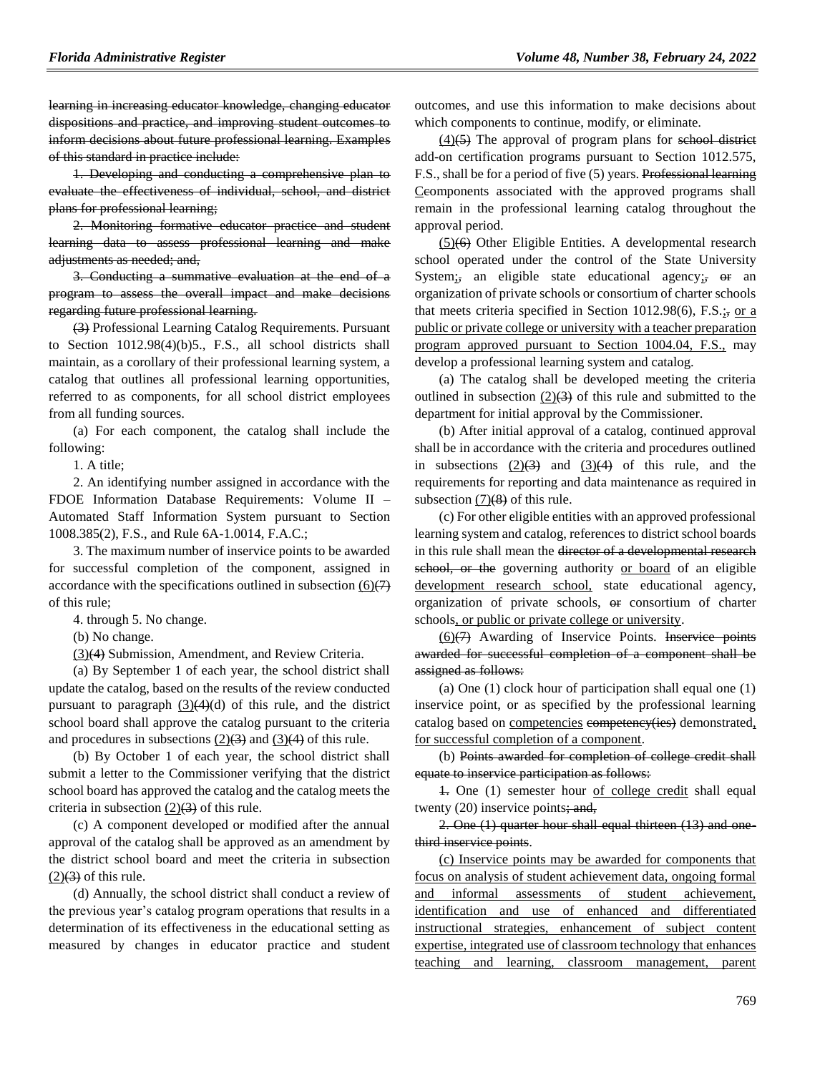learning in increasing educator knowledge, changing educator dispositions and practice, and improving student outcomes to inform decisions about future professional learning. Examples of this standard in practice include:

1. Developing and conducting a comprehensive plan to evaluate the effectiveness of individual, school, and district plans for professional learning;

2. Monitoring formative educator practice and student learning data to assess professional learning and make adjustments as needed; and,

3. Conducting a summative evaluation at the end of a program to assess the overall impact and make decisions regarding future professional learning.

(3) Professional Learning Catalog Requirements. Pursuant to Section 1012.98(4)(b)5., F.S., all school districts shall maintain, as a corollary of their professional learning system, a catalog that outlines all professional learning opportunities, referred to as components, for all school district employees from all funding sources.

(a) For each component, the catalog shall include the following:

1. A title;

2. An identifying number assigned in accordance with the FDOE Information Database Requirements: Volume II – Automated Staff Information System pursuant to Section 1008.385(2), F.S., and Rule 6A-1.0014, F.A.C.;

3. The maximum number of inservice points to be awarded for successful completion of the component, assigned in accordance with the specifications outlined in subsection  $(6)(7)$ of this rule;

4. through 5. No change.

(b) No change.

(3)(4) Submission, Amendment, and Review Criteria.

(a) By September 1 of each year, the school district shall update the catalog, based on the results of the review conducted pursuant to paragraph  $(3)(4)(d)$  of this rule, and the district school board shall approve the catalog pursuant to the criteria and procedures in subsections  $(2)(3)$  and  $(3)(4)$  of this rule.

(b) By October 1 of each year, the school district shall submit a letter to the Commissioner verifying that the district school board has approved the catalog and the catalog meets the criteria in subsection  $(2)(3)$  of this rule.

(c) A component developed or modified after the annual approval of the catalog shall be approved as an amendment by the district school board and meet the criteria in subsection  $(2)(3)$  of this rule.

(d) Annually, the school district shall conduct a review of the previous year's catalog program operations that results in a determination of its effectiveness in the educational setting as measured by changes in educator practice and student outcomes, and use this information to make decisions about which components to continue, modify, or eliminate.

 $(4)$ (5) The approval of program plans for school district add-on certification programs pursuant to Section 1012.575, F.S., shall be for a period of five (5) years. Professional learning Ceomponents associated with the approved programs shall remain in the professional learning catalog throughout the approval period.

(5)(6) Other Eligible Entities. A developmental research school operated under the control of the State University System;, an eligible state educational agency; or an organization of private schools or consortium of charter schools that meets criteria specified in Section 1012.98(6), F.S.;, or a public or private college or university with a teacher preparation program approved pursuant to Section 1004.04, F.S., may develop a professional learning system and catalog.

(a) The catalog shall be developed meeting the criteria outlined in subsection  $(2)(3)$  of this rule and submitted to the department for initial approval by the Commissioner.

(b) After initial approval of a catalog, continued approval shall be in accordance with the criteria and procedures outlined in subsections  $(2)(3)$  and  $(3)(4)$  of this rule, and the requirements for reporting and data maintenance as required in subsection  $(7)(8)$  of this rule.

(c) For other eligible entities with an approved professional learning system and catalog, references to district school boards in this rule shall mean the director of a developmental research school, or the governing authority or board of an eligible development research school, state educational agency, organization of private schools, or consortium of charter schools, or public or private college or university.

 $(6)(7)$  Awarding of Inservice Points. Inservice points awarded for successful completion of a component shall be assigned as follows:

(a) One (1) clock hour of participation shall equal one (1) inservice point, or as specified by the professional learning catalog based on competencies competency(ies) demonstrated, for successful completion of a component.

(b) Points awarded for completion of college credit shall equate to inservice participation as follows:

1. One (1) semester hour of college credit shall equal twenty  $(20)$  inservice points; and,

2. One (1) quarter hour shall equal thirteen (13) and onethird inservice points.

(c) Inservice points may be awarded for components that focus on analysis of student achievement data, ongoing formal and informal assessments of student achievement, identification and use of enhanced and differentiated instructional strategies, enhancement of subject content expertise, integrated use of classroom technology that enhances teaching and learning, classroom management, parent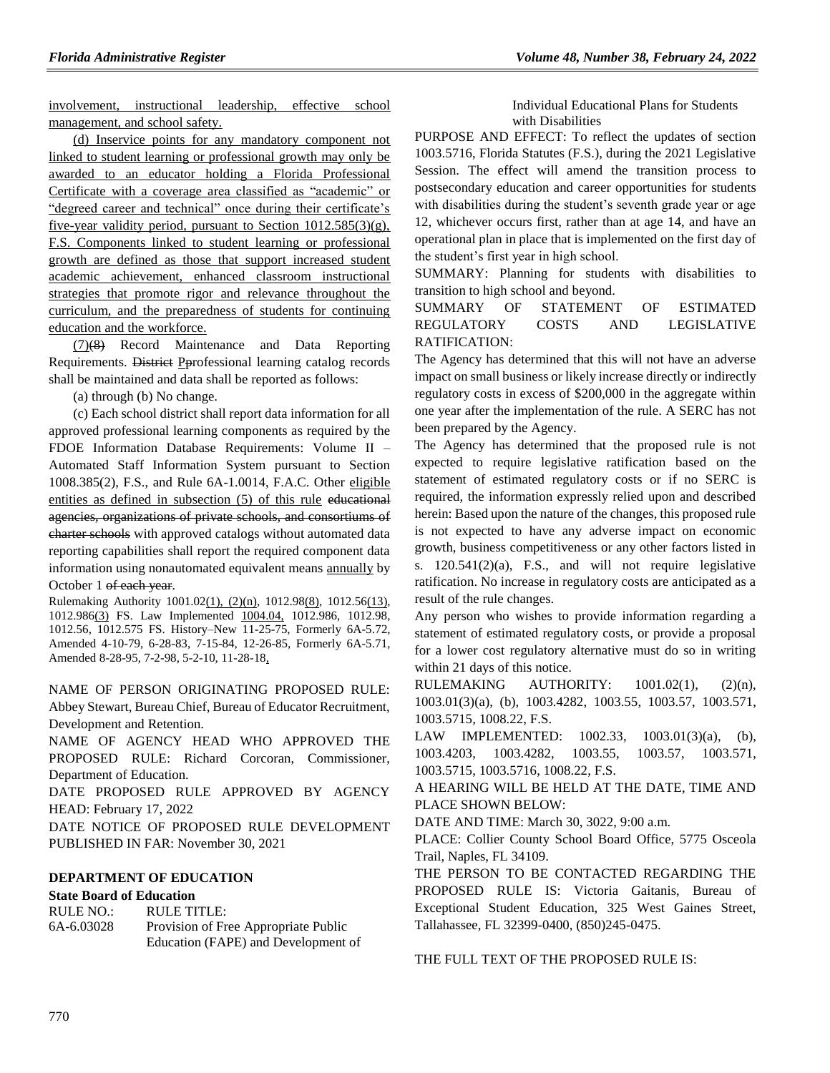involvement, instructional leadership, effective school management, and school safety.

(d) Inservice points for any mandatory component not linked to student learning or professional growth may only be awarded to an educator holding a Florida Professional Certificate with a coverage area classified as "academic" or "degreed career and technical" once during their certificate's five-year validity period, pursuant to Section 1012.585(3)(g), F.S. Components linked to student learning or professional growth are defined as those that support increased student academic achievement, enhanced classroom instructional strategies that promote rigor and relevance throughout the curriculum, and the preparedness of students for continuing education and the workforce.

(7)(8) Record Maintenance and Data Reporting Requirements. District Pprofessional learning catalog records shall be maintained and data shall be reported as follows:

(a) through (b) No change.

(c) Each school district shall report data information for all approved professional learning components as required by the FDOE Information Database Requirements: Volume II – Automated Staff Information System pursuant to Section 1008.385(2), F.S., and Rule 6A-1.0014, F.A.C. Other eligible entities as defined in subsection (5) of this rule educational agencies, organizations of private schools, and consortiums of charter schools with approved catalogs without automated data reporting capabilities shall report the required component data information using nonautomated equivalent means annually by October 1 of each year.

Rulemaking Authority 1001.02(1), (2)(n), 1012.98(8), 1012.56(13), 1012.986(3) FS. Law Implemented 1004.04, 1012.986, 1012.98, 1012.56, 1012.575 FS. History–New 11-25-75, Formerly 6A-5.72, Amended 4-10-79, 6-28-83, 7-15-84, 12-26-85, Formerly 6A-5.71, Amended 8-28-95, 7-2-98, 5-2-10, 11-28-18,

NAME OF PERSON ORIGINATING PROPOSED RULE: Abbey Stewart, Bureau Chief, Bureau of Educator Recruitment, Development and Retention.

NAME OF AGENCY HEAD WHO APPROVED THE PROPOSED RULE: Richard Corcoran, Commissioner, Department of Education.

DATE PROPOSED RULE APPROVED BY AGENCY HEAD: February 17, 2022

DATE NOTICE OF PROPOSED RULE DEVELOPMENT PUBLISHED IN FAR: November 30, 2021

### **[DEPARTMENT OF EDUCATION](https://www.flrules.org/gateway/department.asp?id=6)**

### **[State Board of Education](https://www.flrules.org/gateway/organization.asp?id=195)**

RULE NO.: RULE TITLE: [6A-6.03028](https://www.flrules.org/gateway/ruleNo.asp?id=6A-6.03028) Provision of Free Appropriate Public Education (FAPE) and Development of Individual Educational Plans for Students with Disabilities

PURPOSE AND EFFECT: To reflect the updates of section 1003.5716, Florida Statutes (F.S.), during the 2021 Legislative Session. The effect will amend the transition process to postsecondary education and career opportunities for students with disabilities during the student's seventh grade year or age 12, whichever occurs first, rather than at age 14, and have an operational plan in place that is implemented on the first day of the student's first year in high school.

SUMMARY: Planning for students with disabilities to transition to high school and beyond.

# SUMMARY OF STATEMENT OF ESTIMATED REGULATORY COSTS AND LEGISLATIVE RATIFICATION:

The Agency has determined that this will not have an adverse impact on small business or likely increase directly or indirectly regulatory costs in excess of \$200,000 in the aggregate within one year after the implementation of the rule. A SERC has not been prepared by the Agency.

The Agency has determined that the proposed rule is not expected to require legislative ratification based on the statement of estimated regulatory costs or if no SERC is required, the information expressly relied upon and described herein: Based upon the nature of the changes, this proposed rule is not expected to have any adverse impact on economic growth, business competitiveness or any other factors listed in s. 120.541(2)(a), F.S., and will not require legislative ratification. No increase in regulatory costs are anticipated as a result of the rule changes.

Any person who wishes to provide information regarding a statement of estimated regulatory costs, or provide a proposal for a lower cost regulatory alternative must do so in writing within 21 days of this notice.

RULEMAKING AUTHORITY: [1001.02\(1\),](https://www.flrules.org/gateway/statute.asp?id=1001.02(1)) (2)(n), [1003.01\(3\)\(a\),](https://www.flrules.org/gateway/statute.asp?id=%201003.01(3)(a)) (b), [1003.4282,](https://www.flrules.org/gateway/statute.asp?id=%201003.4282) [1003.55,](https://www.flrules.org/gateway/statute.asp?id=%201003.55) [1003.57,](https://www.flrules.org/gateway/statute.asp?id=%201003.57) [1003.571,](https://www.flrules.org/gateway/statute.asp?id=%201003.571) [1003.5715,](https://www.flrules.org/gateway/statute.asp?id=%201003.5715) [1008.22,](https://www.flrules.org/gateway/statute.asp?id=%201008.22) F.S.

LAW IMPLEMENTED: [1002.33,](https://www.flrules.org/gateway/statute.asp?id=1002.33) [1003.01\(3\)\(a\),](https://www.flrules.org/gateway/statute.asp?id=%201003.01(3)(a)) (b), [1003.4203,](https://www.flrules.org/gateway/statute.asp?id=%201003.4203) [1003.4282,](https://www.flrules.org/gateway/statute.asp?id=%201003.4282) [1003.55,](https://www.flrules.org/gateway/statute.asp?id=%201003.55) [1003.57,](https://www.flrules.org/gateway/statute.asp?id=%201003.57) [1003.571,](https://www.flrules.org/gateway/statute.asp?id=%201003.571) [1003.5715,](https://www.flrules.org/gateway/statute.asp?id=%201003.5715) [1003.5716,](https://www.flrules.org/gateway/statute.asp?id=%201003.5716) [1008.22,](https://www.flrules.org/gateway/statute.asp?id=%201008.22) F.S.

A HEARING WILL BE HELD AT THE DATE, TIME AND PLACE SHOWN BELOW:

DATE AND TIME: March 30, 3022, 9:00 a.m.

PLACE: Collier County School Board Office, 5775 Osceola Trail, Naples, FL 34109.

THE PERSON TO BE CONTACTED REGARDING THE PROPOSED RULE IS: Victoria Gaitanis, Bureau of Exceptional Student Education, 325 West Gaines Street, Tallahassee, FL 32399-0400, (850)245-0475.

THE FULL TEXT OF THE PROPOSED RULE IS: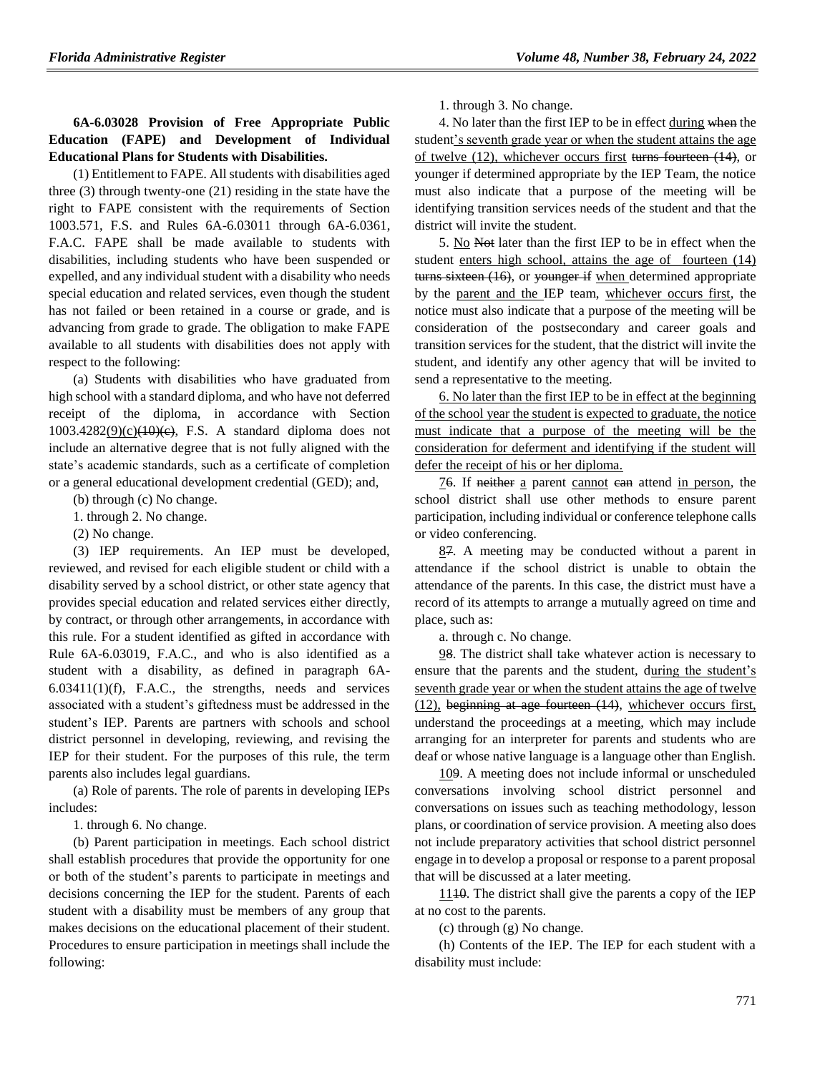# **6A-6.03028 Provision of Free Appropriate Public Education (FAPE) and Development of Individual Educational Plans for Students with Disabilities.**

(1) Entitlement to FAPE. All students with disabilities aged three (3) through twenty-one (21) residing in the state have the right to FAPE consistent with the requirements of Section 1003.571, F.S. and Rules 6A-6.03011 through 6A-6.0361, F.A.C. FAPE shall be made available to students with disabilities, including students who have been suspended or expelled, and any individual student with a disability who needs special education and related services, even though the student has not failed or been retained in a course or grade, and is advancing from grade to grade. The obligation to make FAPE available to all students with disabilities does not apply with respect to the following:

(a) Students with disabilities who have graduated from high school with a standard diploma, and who have not deferred receipt of the diploma, in accordance with Section  $1003.4282(9)(c)(10)(e),$  F.S. A standard diploma does not include an alternative degree that is not fully aligned with the state's academic standards, such as a certificate of completion or a general educational development credential (GED); and,

(b) through (c) No change.

1. through 2. No change.

(2) No change.

(3) IEP requirements. An IEP must be developed, reviewed, and revised for each eligible student or child with a disability served by a school district, or other state agency that provides special education and related services either directly, by contract, or through other arrangements, in accordance with this rule. For a student identified as gifted in accordance with Rule 6A-6.03019, F.A.C., and who is also identified as a student with a disability, as defined in paragraph 6A- $6.03411(1)(f)$ , F.A.C., the strengths, needs and services associated with a student's giftedness must be addressed in the student's IEP. Parents are partners with schools and school district personnel in developing, reviewing, and revising the IEP for their student. For the purposes of this rule, the term parents also includes legal guardians.

(a) Role of parents. The role of parents in developing IEPs includes:

1. through 6. No change.

(b) Parent participation in meetings. Each school district shall establish procedures that provide the opportunity for one or both of the student's parents to participate in meetings and decisions concerning the IEP for the student. Parents of each student with a disability must be members of any group that makes decisions on the educational placement of their student. Procedures to ensure participation in meetings shall include the following:

1. through 3. No change.

4. No later than the first IEP to be in effect during when the student's seventh grade year or when the student attains the age of twelve (12), whichever occurs first turns fourteen (14), or younger if determined appropriate by the IEP Team, the notice must also indicate that a purpose of the meeting will be identifying transition services needs of the student and that the district will invite the student.

5. No Not later than the first IEP to be in effect when the student enters high school, attains the age of fourteen (14) turns sixteen (16), or younger if when determined appropriate by the parent and the IEP team, whichever occurs first, the notice must also indicate that a purpose of the meeting will be consideration of the postsecondary and career goals and transition services for the student, that the district will invite the student, and identify any other agency that will be invited to send a representative to the meeting.

6. No later than the first IEP to be in effect at the beginning of the school year the student is expected to graduate, the notice must indicate that a purpose of the meeting will be the consideration for deferment and identifying if the student will defer the receipt of his or her diploma.

76. If neither a parent cannot ean attend in person, the school district shall use other methods to ensure parent participation, including individual or conference telephone calls or video conferencing.

87. A meeting may be conducted without a parent in attendance if the school district is unable to obtain the attendance of the parents. In this case, the district must have a record of its attempts to arrange a mutually agreed on time and place, such as:

a. through c. No change.

98. The district shall take whatever action is necessary to ensure that the parents and the student, during the student's seventh grade year or when the student attains the age of twelve (12), beginning at age fourteen (14), whichever occurs first, understand the proceedings at a meeting, which may include arranging for an interpreter for parents and students who are deaf or whose native language is a language other than English.

109. A meeting does not include informal or unscheduled conversations involving school district personnel and conversations on issues such as teaching methodology, lesson plans, or coordination of service provision. A meeting also does not include preparatory activities that school district personnel engage in to develop a proposal or response to a parent proposal that will be discussed at a later meeting.

1110. The district shall give the parents a copy of the IEP at no cost to the parents.

(c) through (g) No change.

(h) Contents of the IEP. The IEP for each student with a disability must include: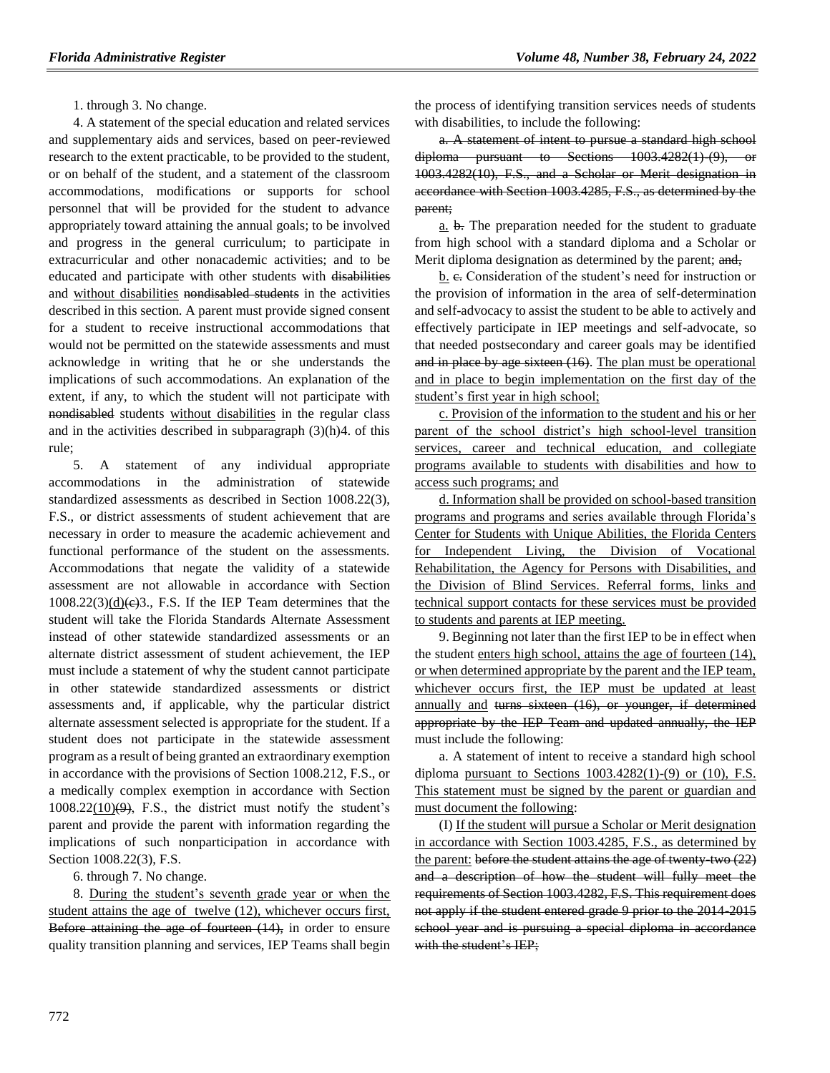1. through 3. No change.

4. A statement of the special education and related services and supplementary aids and services, based on peer-reviewed research to the extent practicable, to be provided to the student, or on behalf of the student, and a statement of the classroom accommodations, modifications or supports for school personnel that will be provided for the student to advance appropriately toward attaining the annual goals; to be involved and progress in the general curriculum; to participate in extracurricular and other nonacademic activities; and to be educated and participate with other students with disabilities and without disabilities nondisabled students in the activities described in this section. A parent must provide signed consent for a student to receive instructional accommodations that would not be permitted on the statewide assessments and must acknowledge in writing that he or she understands the implications of such accommodations. An explanation of the extent, if any, to which the student will not participate with nondisabled students without disabilities in the regular class and in the activities described in subparagraph (3)(h)4. of this rule;

5. A statement of any individual appropriate accommodations in the administration of statewide standardized assessments as described in Section 1008.22(3), F.S., or district assessments of student achievement that are necessary in order to measure the academic achievement and functional performance of the student on the assessments. Accommodations that negate the validity of a statewide assessment are not allowable in accordance with Section  $1008.22(3)$ (d)(e)3., F.S. If the IEP Team determines that the student will take the Florida Standards Alternate Assessment instead of other statewide standardized assessments or an alternate district assessment of student achievement, the IEP must include a statement of why the student cannot participate in other statewide standardized assessments or district assessments and, if applicable, why the particular district alternate assessment selected is appropriate for the student. If a student does not participate in the statewide assessment program as a result of being granted an extraordinary exemption in accordance with the provisions of Section 1008.212, F.S., or a medically complex exemption in accordance with Section  $1008.22(10)(9)$ , F.S., the district must notify the student's parent and provide the parent with information regarding the implications of such nonparticipation in accordance with Section 1008.22(3), F.S.

6. through 7. No change.

8. During the student's seventh grade year or when the student attains the age of twelve (12), whichever occurs first, Before attaining the age of fourteen  $(14)$ , in order to ensure quality transition planning and services, IEP Teams shall begin

the process of identifying transition services needs of students with disabilities, to include the following:

a. A statement of intent to pursue a standard high school diploma pursuant to Sections  $1003.4282(1)(9)$ , or 1003.4282(10), F.S., and a Scholar or Merit designation in accordance with Section 1003.4285, F.S., as determined by the parent;

a. b. The preparation needed for the student to graduate from high school with a standard diploma and a Scholar or Merit diploma designation as determined by the parent; and,

b. e. Consideration of the student's need for instruction or the provision of information in the area of self-determination and self-advocacy to assist the student to be able to actively and effectively participate in IEP meetings and self-advocate, so that needed postsecondary and career goals may be identified and in place by age sixteen (16). The plan must be operational and in place to begin implementation on the first day of the student's first year in high school;

c. Provision of the information to the student and his or her parent of the school district's high school-level transition services, career and technical education, and collegiate programs available to students with disabilities and how to access such programs; and

d. Information shall be provided on school-based transition programs and programs and series available through Florida's Center for Students with Unique Abilities, the Florida Centers for Independent Living, the Division of Vocational Rehabilitation, the Agency for Persons with Disabilities, and the Division of Blind Services. Referral forms, links and technical support contacts for these services must be provided to students and parents at IEP meeting.

9. Beginning not later than the first IEP to be in effect when the student enters high school, attains the age of fourteen (14), or when determined appropriate by the parent and the IEP team, whichever occurs first, the IEP must be updated at least annually and turns sixteen (16), or younger, if determined appropriate by the IEP Team and updated annually, the IEP must include the following:

a. A statement of intent to receive a standard high school diploma pursuant to Sections  $1003.4282(1)$ -(9) or (10), F.S. This statement must be signed by the parent or guardian and must document the following:

(I) If the student will pursue a Scholar or Merit designation in accordance with Section 1003.4285, F.S., as determined by the parent: before the student attains the age of twenty-two  $(22)$ and a description of how the student will fully meet the requirements of Section 1003.4282, F.S. This requirement does not apply if the student entered grade 9 prior to the 2014-2015 school year and is pursuing a special diploma in accordance with the student's IEP;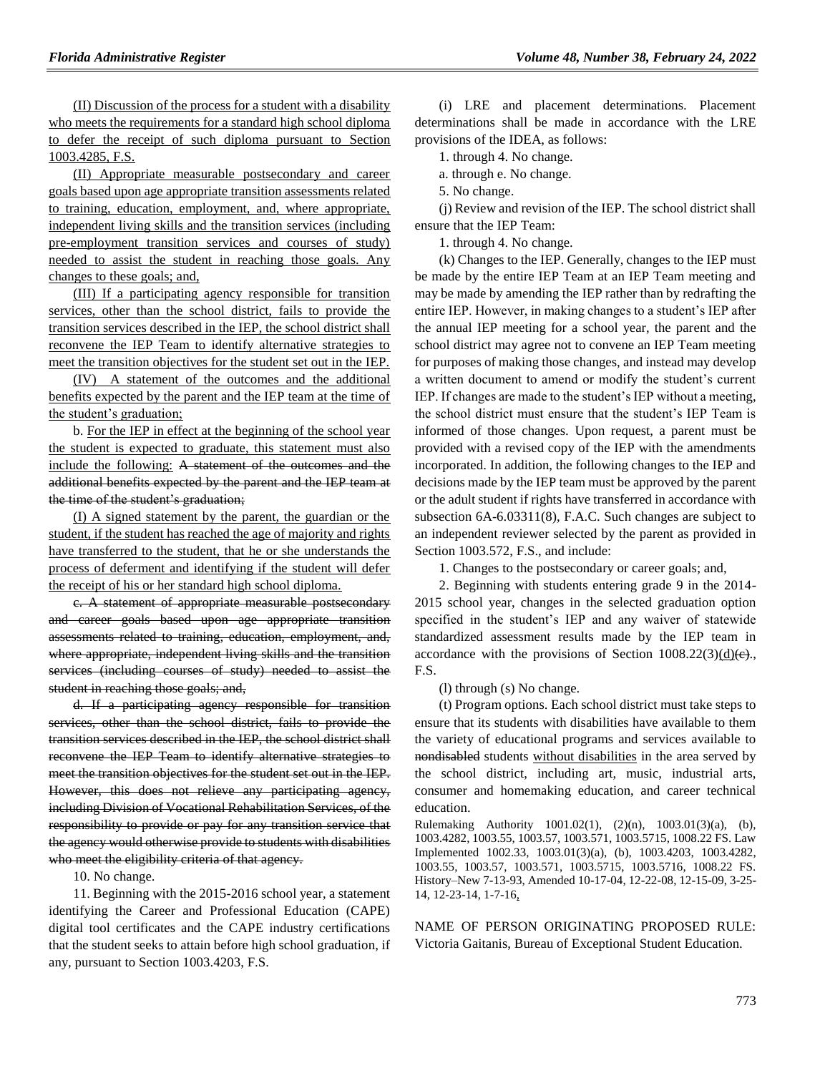(II) Discussion of the process for a student with a disability who meets the requirements for a standard high school diploma to defer the receipt of such diploma pursuant to Section 1003.4285, F.S.

(II) Appropriate measurable postsecondary and career goals based upon age appropriate transition assessments related to training, education, employment, and, where appropriate, independent living skills and the transition services (including pre-employment transition services and courses of study) needed to assist the student in reaching those goals. Any changes to these goals; and,

(III) If a participating agency responsible for transition services, other than the school district, fails to provide the transition services described in the IEP, the school district shall reconvene the IEP Team to identify alternative strategies to meet the transition objectives for the student set out in the IEP.

(IV) A statement of the outcomes and the additional benefits expected by the parent and the IEP team at the time of the student's graduation;

b. For the IEP in effect at the beginning of the school year the student is expected to graduate, this statement must also include the following: A statement of the outcomes and the additional benefits expected by the parent and the IEP team at the time of the student's graduation;

(I) A signed statement by the parent, the guardian or the student, if the student has reached the age of majority and rights have transferred to the student, that he or she understands the process of deferment and identifying if the student will defer the receipt of his or her standard high school diploma.

c. A statement of appropriate measurable postsecondary and career goals based upon age appropriate transition assessments related to training, education, employment, and, where appropriate, independent living skills and the transition services (including courses of study) needed to assist the student in reaching those goals; and,

d. If a participating agency responsible for transition services, other than the school district, fails to provide the transition services described in the IEP, the school district shall reconvene the IEP Team to identify alternative strategies to meet the transition objectives for the student set out in the IEP. However, this does not relieve any participating agency, including Division of Vocational Rehabilitation Services, of the responsibility to provide or pay for any transition service that the agency would otherwise provide to students with disabilities who meet the eligibility criteria of that agency.

10. No change.

11. Beginning with the 2015-2016 school year, a statement identifying the Career and Professional Education (CAPE) digital tool certificates and the CAPE industry certifications that the student seeks to attain before high school graduation, if any, pursuant to Section 1003.4203, F.S.

(i) LRE and placement determinations. Placement determinations shall be made in accordance with the LRE provisions of the IDEA, as follows:

1. through 4. No change.

a. through e. No change.

5. No change.

(j) Review and revision of the IEP. The school district shall ensure that the IEP Team:

1. through 4. No change.

(k) Changes to the IEP. Generally, changes to the IEP must be made by the entire IEP Team at an IEP Team meeting and may be made by amending the IEP rather than by redrafting the entire IEP. However, in making changes to a student's IEP after the annual IEP meeting for a school year, the parent and the school district may agree not to convene an IEP Team meeting for purposes of making those changes, and instead may develop a written document to amend or modify the student's current IEP. If changes are made to the student's IEP without a meeting, the school district must ensure that the student's IEP Team is informed of those changes. Upon request, a parent must be provided with a revised copy of the IEP with the amendments incorporated. In addition, the following changes to the IEP and decisions made by the IEP team must be approved by the parent or the adult student if rights have transferred in accordance with subsection 6A-6.03311(8), F.A.C. Such changes are subject to an independent reviewer selected by the parent as provided in Section 1003.572, F.S., and include:

1. Changes to the postsecondary or career goals; and,

2. Beginning with students entering grade 9 in the 2014- 2015 school year, changes in the selected graduation option specified in the student's IEP and any waiver of statewide standardized assessment results made by the IEP team in accordance with the provisions of Section  $1008.22(3)(d)$  (e). F.S.

(l) through (s) No change.

(t) Program options. Each school district must take steps to ensure that its students with disabilities have available to them the variety of educational programs and services available to nondisabled students without disabilities in the area served by the school district, including art, music, industrial arts, consumer and homemaking education, and career technical education.

Rulemaking Authority 1001.02(1), (2)(n), 1003.01(3)(a), (b), 1003.4282, 1003.55, 1003.57, 1003.571, 1003.5715, 1008.22 FS. Law Implemented 1002.33, 1003.01(3)(a), (b), 1003.4203, 1003.4282, 1003.55, 1003.57, 1003.571, 1003.5715, 1003.5716, 1008.22 FS. History–New 7-13-93, Amended 10-17-04, 12-22-08, 12-15-09, 3-25- 14, 12-23-14, 1-7-16,

NAME OF PERSON ORIGINATING PROPOSED RULE: Victoria Gaitanis, Bureau of Exceptional Student Education.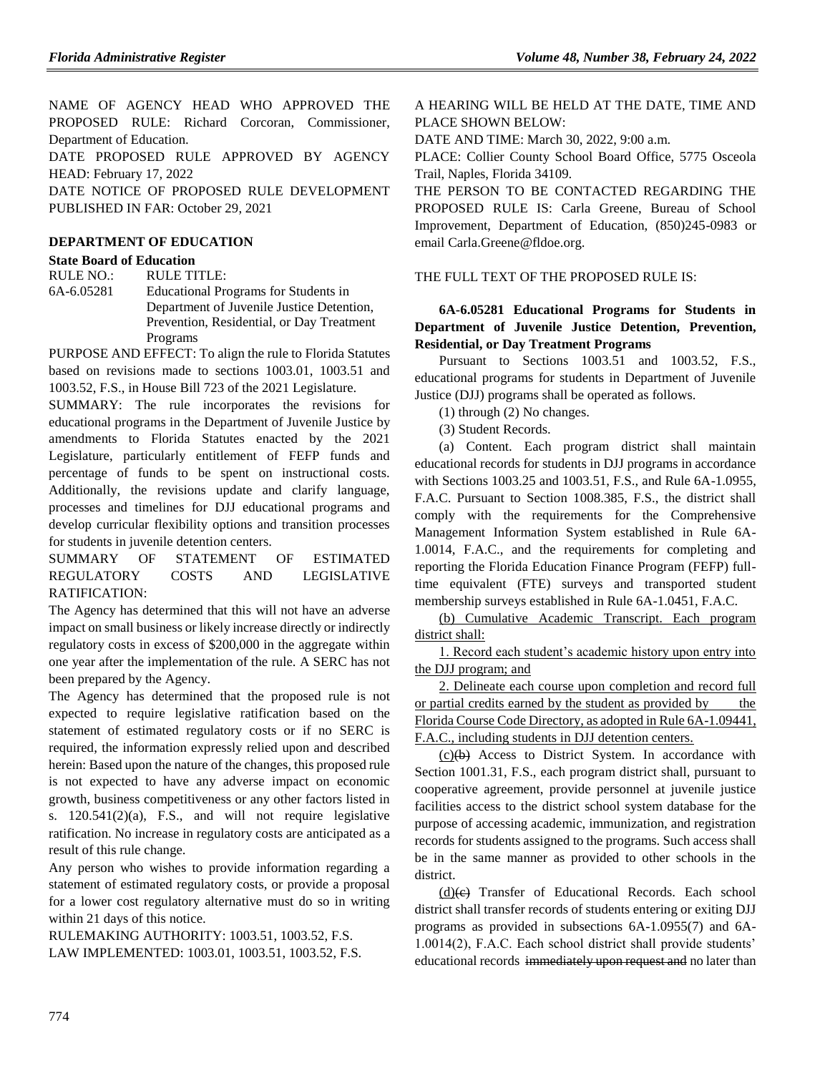NAME OF AGENCY HEAD WHO APPROVED THE PROPOSED RULE: Richard Corcoran, Commissioner, Department of Education.

DATE PROPOSED RULE APPROVED BY AGENCY HEAD: February 17, 2022

DATE NOTICE OF PROPOSED RULE DEVELOPMENT PUBLISHED IN FAR: October 29, 2021

# **[DEPARTMENT OF EDUCATION](https://www.flrules.org/gateway/department.asp?id=6)**

# **[State Board of Education](https://www.flrules.org/gateway/organization.asp?id=195)**

RULE NO.: RULE TITLE:

[6A-6.05281](https://www.flrules.org/gateway/ruleNo.asp?id=6A-6.05281) Educational Programs for Students in Department of Juvenile Justice Detention, Prevention, Residential, or Day Treatment Programs

PURPOSE AND EFFECT: To align the rule to Florida Statutes based on revisions made to sections 1003.01, 1003.51 and 1003.52, F.S., in House Bill 723 of the 2021 Legislature.

SUMMARY: The rule incorporates the revisions for educational programs in the Department of Juvenile Justice by amendments to Florida Statutes enacted by the 2021 Legislature, particularly entitlement of FEFP funds and percentage of funds to be spent on instructional costs. Additionally, the revisions update and clarify language, processes and timelines for DJJ educational programs and develop curricular flexibility options and transition processes for students in juvenile detention centers.

SUMMARY OF STATEMENT OF ESTIMATED REGULATORY COSTS AND LEGISLATIVE RATIFICATION:

The Agency has determined that this will not have an adverse impact on small business or likely increase directly or indirectly regulatory costs in excess of \$200,000 in the aggregate within one year after the implementation of the rule. A SERC has not been prepared by the Agency.

The Agency has determined that the proposed rule is not expected to require legislative ratification based on the statement of estimated regulatory costs or if no SERC is required, the information expressly relied upon and described herein: Based upon the nature of the changes, this proposed rule is not expected to have any adverse impact on economic growth, business competitiveness or any other factors listed in s. 120.541(2)(a), F.S., and will not require legislative ratification. No increase in regulatory costs are anticipated as a result of this rule change.

Any person who wishes to provide information regarding a statement of estimated regulatory costs, or provide a proposal for a lower cost regulatory alternative must do so in writing within 21 days of this notice.

RULEMAKING AUTHORITY: [1003.51,](https://www.flrules.org/gateway/statute.asp?id=1003.51) [1003.52,](https://www.flrules.org/gateway/statute.asp?id=%201003.52) F.S. LAW IMPLEMENTED: [1003.01,](https://www.flrules.org/gateway/statute.asp?id=1003.01) [1003.51,](https://www.flrules.org/gateway/statute.asp?id=%201003.51) [1003.52,](https://www.flrules.org/gateway/statute.asp?id=%201003.52) F.S. A HEARING WILL BE HELD AT THE DATE, TIME AND PLACE SHOWN BELOW:

DATE AND TIME: March 30, 2022, 9:00 a.m.

PLACE: Collier County School Board Office, 5775 Osceola Trail, Naples, Florida 34109.

THE PERSON TO BE CONTACTED REGARDING THE PROPOSED RULE IS: Carla Greene, Bureau of School Improvement, Department of Education, (850)245-0983 or email Carla.Greene@fldoe.org.

THE FULL TEXT OF THE PROPOSED RULE IS:

# **6A-6.05281 Educational Programs for Students in Department of Juvenile Justice Detention, Prevention, Residential, or Day Treatment Programs**

Pursuant to Sections 1003.51 and 1003.52, F.S., educational programs for students in Department of Juvenile Justice (DJJ) programs shall be operated as follows.

(1) through (2) No changes.

(3) Student Records.

(a) Content. Each program district shall maintain educational records for students in DJJ programs in accordance with Sections 1003.25 and 1003.51, F.S., and Rule 6A-1.0955, F.A.C. Pursuant to Section 1008.385, F.S., the district shall comply with the requirements for the Comprehensive Management Information System established in Rule 6A-1.0014, F.A.C., and the requirements for completing and reporting the Florida Education Finance Program (FEFP) fulltime equivalent (FTE) surveys and transported student membership surveys established in Rule 6A-1.0451, F.A.C.

(b) Cumulative Academic Transcript. Each program district shall:

1. Record each student's academic history upon entry into the DJJ program; and

2. Delineate each course upon completion and record full or partial credits earned by the student as provided by the Florida Course Code Directory, as adopted in Rule 6A-1.09441, F.A.C., including students in DJJ detention centers.

 $(c)(b)$  Access to District System. In accordance with Section 1001.31, F.S., each program district shall, pursuant to cooperative agreement, provide personnel at juvenile justice facilities access to the district school system database for the purpose of accessing academic, immunization, and registration records for students assigned to the programs. Such access shall be in the same manner as provided to other schools in the district.

 $(d)(e)$  Transfer of Educational Records. Each school district shall transfer records of students entering or exiting DJJ programs as provided in subsections 6A-1.0955(7) and 6A-1.0014(2), F.A.C. Each school district shall provide students' educational records immediately upon request and no later than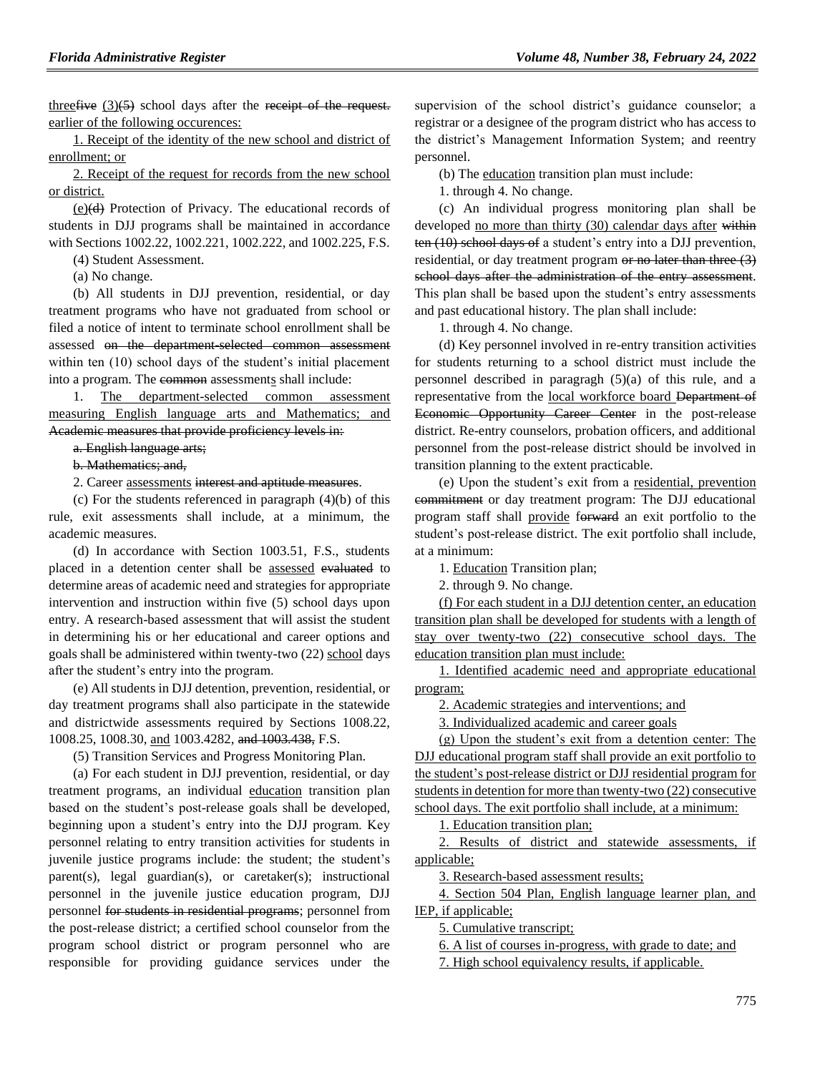three  $f(x)$  school days after the receipt of the request. earlier of the following occurences:

1. Receipt of the identity of the new school and district of enrollment; or

2. Receipt of the request for records from the new school or district.

(e)(d) Protection of Privacy. The educational records of students in DJJ programs shall be maintained in accordance with Sections 1002.22, 1002.221, 1002.222, and 1002.225, F.S.

(4) Student Assessment.

(a) No change.

(b) All students in DJJ prevention, residential, or day treatment programs who have not graduated from school or filed a notice of intent to terminate school enrollment shall be assessed on the department-selected common assessment within ten (10) school days of the student's initial placement into a program. The common assessments shall include:

1. The department-selected common assessment measuring English language arts and Mathematics; and Academic measures that provide proficiency levels in:

a. English language arts;

b. Mathematics; and,

2. Career assessments interest and aptitude measures.

(c) For the students referenced in paragraph (4)(b) of this rule, exit assessments shall include, at a minimum, the academic measures.

(d) In accordance with Section 1003.51, F.S., students placed in a detention center shall be assessed evaluated to determine areas of academic need and strategies for appropriate intervention and instruction within five (5) school days upon entry. A research-based assessment that will assist the student in determining his or her educational and career options and goals shall be administered within twenty-two (22) school days after the student's entry into the program.

(e) All students in DJJ detention, prevention, residential, or day treatment programs shall also participate in the statewide and districtwide assessments required by Sections 1008.22, 1008.25, 1008.30, and 1003.4282, and 1003.438, F.S.

(5) Transition Services and Progress Monitoring Plan.

(a) For each student in DJJ prevention, residential, or day treatment programs, an individual education transition plan based on the student's post-release goals shall be developed, beginning upon a student's entry into the DJJ program. Key personnel relating to entry transition activities for students in juvenile justice programs include: the student; the student's parent(s), legal guardian(s), or caretaker(s); instructional personnel in the juvenile justice education program, DJJ personnel for students in residential programs; personnel from the post-release district; a certified school counselor from the program school district or program personnel who are responsible for providing guidance services under the

supervision of the school district's guidance counselor; a registrar or a designee of the program district who has access to the district's Management Information System; and reentry personnel.

(b) The education transition plan must include:

1. through 4. No change.

(c) An individual progress monitoring plan shall be developed no more than thirty (30) calendar days after within ten (10) school days of a student's entry into a DJJ prevention, residential, or day treatment program or no later than three (3) school days after the administration of the entry assessment. This plan shall be based upon the student's entry assessments and past educational history. The plan shall include:

1. through 4. No change.

(d) Key personnel involved in re-entry transition activities for students returning to a school district must include the personnel described in paragragh (5)(a) of this rule, and a representative from the local workforce board Department of Economic Opportunity Career Center in the post-release district. Re-entry counselors, probation officers, and additional personnel from the post-release district should be involved in transition planning to the extent practicable.

(e) Upon the student's exit from a residential, prevention commitment or day treatment program: The DJJ educational program staff shall provide forward an exit portfolio to the student's post-release district. The exit portfolio shall include, at a minimum:

1. Education Transition plan;

2. through 9. No change.

(f) For each student in a DJJ detention center, an education transition plan shall be developed for students with a length of stay over twenty-two (22) consecutive school days. The education transition plan must include:

1. Identified academic need and appropriate educational program;

2. Academic strategies and interventions; and

3. Individualized academic and career goals

(g) Upon the student's exit from a detention center: The DJJ educational program staff shall provide an exit portfolio to the student's post-release district or DJJ residential program for students in detention for more than twenty-two (22) consecutive school days. The exit portfolio shall include, at a minimum:

1. Education transition plan;

2. Results of district and statewide assessments, if applicable;

3. Research-based assessment results;

4. Section 504 Plan, English language learner plan, and IEP, if applicable;

5. Cumulative transcript;

6. A list of courses in-progress, with grade to date; and

7. High school equivalency results, if applicable.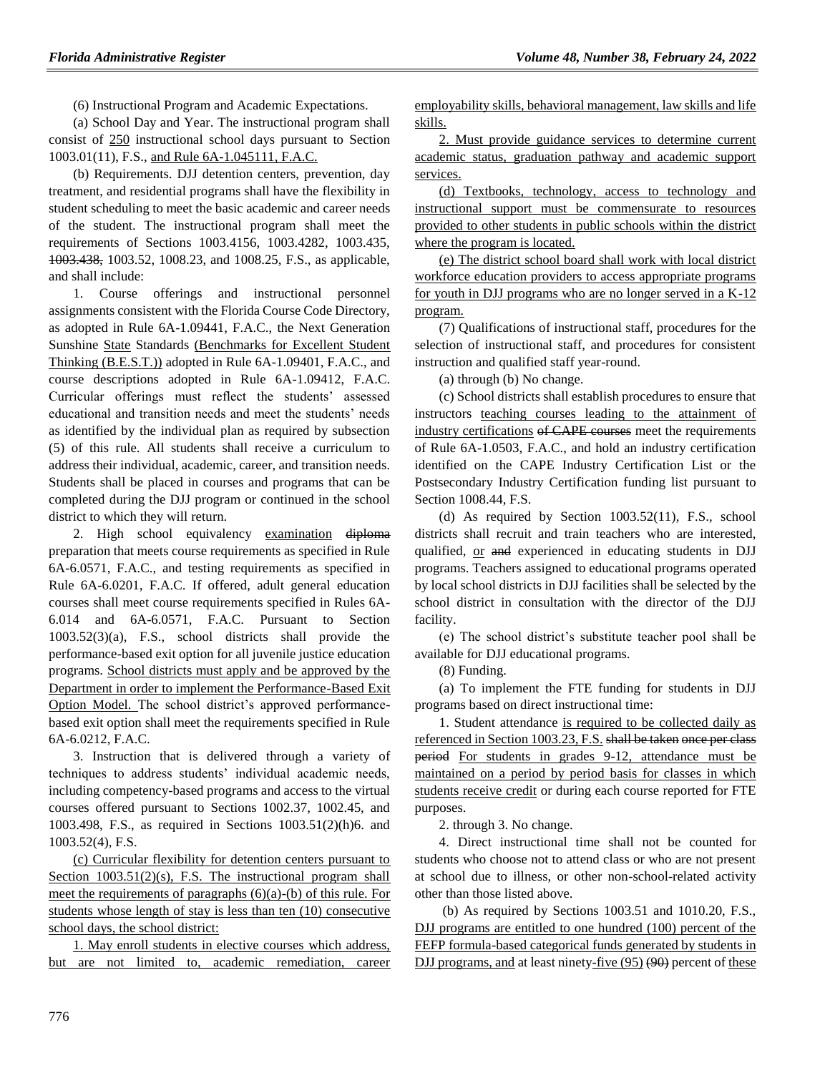(6) Instructional Program and Academic Expectations.

(a) School Day and Year. The instructional program shall consist of 250 instructional school days pursuant to Section 1003.01(11), F.S., and Rule 6A-1.045111, F.A.C.

(b) Requirements. DJJ detention centers, prevention, day treatment, and residential programs shall have the flexibility in student scheduling to meet the basic academic and career needs of the student. The instructional program shall meet the requirements of Sections 1003.4156, 1003.4282, 1003.435, 1003.438, 1003.52, 1008.23, and 1008.25, F.S., as applicable, and shall include:

1. Course offerings and instructional personnel assignments consistent with the Florida Course Code Directory, as adopted in Rule 6A-1.09441, F.A.C., the Next Generation Sunshine State Standards (Benchmarks for Excellent Student Thinking (B.E.S.T.)) adopted in Rule 6A-1.09401, F.A.C., and course descriptions adopted in Rule 6A-1.09412, F.A.C. Curricular offerings must reflect the students' assessed educational and transition needs and meet the students' needs as identified by the individual plan as required by subsection (5) of this rule. All students shall receive a curriculum to address their individual, academic, career, and transition needs. Students shall be placed in courses and programs that can be completed during the DJJ program or continued in the school district to which they will return.

2. High school equivalency examination diploma preparation that meets course requirements as specified in Rule 6A-6.0571, F.A.C., and testing requirements as specified in Rule 6A-6.0201, F.A.C. If offered, adult general education courses shall meet course requirements specified in Rules 6A-6.014 and 6A-6.0571, F.A.C. Pursuant to Section 1003.52(3)(a), F.S., school districts shall provide the performance-based exit option for all juvenile justice education programs. School districts must apply and be approved by the Department in order to implement the Performance-Based Exit Option Model. The school district's approved performancebased exit option shall meet the requirements specified in Rule 6A-6.0212, F.A.C.

3. Instruction that is delivered through a variety of techniques to address students' individual academic needs, including competency-based programs and access to the virtual courses offered pursuant to Sections 1002.37, 1002.45, and 1003.498, F.S., as required in Sections 1003.51(2)(h)6. and 1003.52(4), F.S.

(c) Curricular flexibility for detention centers pursuant to Section 1003.51(2)(s), F.S. The instructional program shall meet the requirements of paragraphs  $(6)(a)$ - $(b)$  of this rule. For students whose length of stay is less than ten (10) consecutive school days, the school district:

1. May enroll students in elective courses which address, but are not limited to, academic remediation, career employability skills, behavioral management, law skills and life skills.

2. Must provide guidance services to determine current academic status, graduation pathway and academic support services.

(d) Textbooks, technology, access to technology and instructional support must be commensurate to resources provided to other students in public schools within the district where the program is located.

(e) The district school board shall work with local district workforce education providers to access appropriate programs for youth in DJJ programs who are no longer served in a K-12 program.

(7) Qualifications of instructional staff, procedures for the selection of instructional staff, and procedures for consistent instruction and qualified staff year-round.

(a) through (b) No change.

(c) School districts shall establish procedures to ensure that instructors teaching courses leading to the attainment of industry certifications of CAPE courses meet the requirements of Rule 6A-1.0503, F.A.C., and hold an industry certification identified on the CAPE Industry Certification List or the Postsecondary Industry Certification funding list pursuant to Section 1008.44, F.S.

(d) As required by Section 1003.52(11), F.S., school districts shall recruit and train teachers who are interested, qualified, or and experienced in educating students in DJJ programs. Teachers assigned to educational programs operated by local school districts in DJJ facilities shall be selected by the school district in consultation with the director of the DJJ facility.

(e) The school district's substitute teacher pool shall be available for DJJ educational programs.

(8) Funding.

(a) To implement the FTE funding for students in DJJ programs based on direct instructional time:

1. Student attendance is required to be collected daily as referenced in Section 1003.23, F.S. shall be taken once per class period For students in grades 9-12, attendance must be maintained on a period by period basis for classes in which students receive credit or during each course reported for FTE purposes.

2. through 3. No change.

4. Direct instructional time shall not be counted for students who choose not to attend class or who are not present at school due to illness, or other non-school-related activity other than those listed above.

(b) As required by Sections 1003.51 and 1010.20, F.S., DJJ programs are entitled to one hundred (100) percent of the FEFP formula-based categorical funds generated by students in DJJ programs, and at least ninety-five (95) (90) percent of these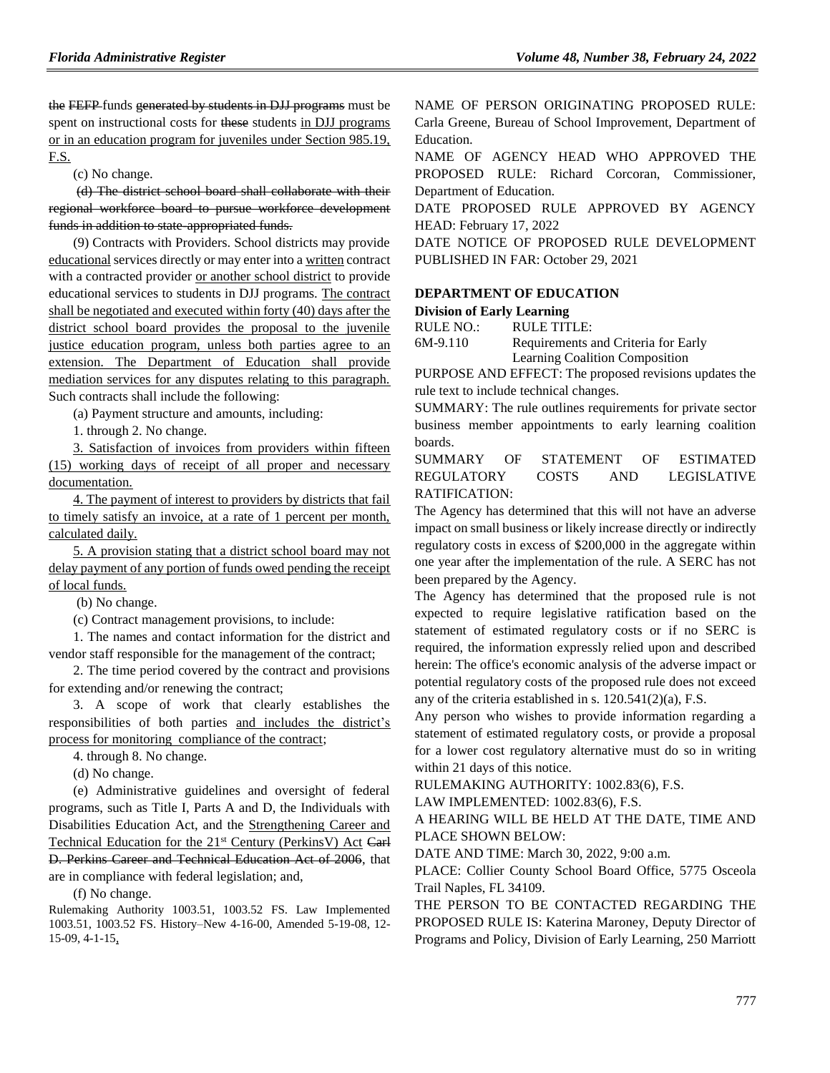the FEFP funds generated by students in DJJ programs must be spent on instructional costs for these students in DJJ programs or in an education program for juveniles under Section 985.19, F.S.

(c) No change.

(d) The district school board shall collaborate with their regional workforce board to pursue workforce development funds in addition to state appropriated funds.

(9) Contracts with Providers. School districts may provide educational services directly or may enter into a written contract with a contracted provider or another school district to provide educational services to students in DJJ programs. The contract shall be negotiated and executed within forty (40) days after the district school board provides the proposal to the juvenile justice education program, unless both parties agree to an extension. The Department of Education shall provide mediation services for any disputes relating to this paragraph. Such contracts shall include the following:

(a) Payment structure and amounts, including:

1. through 2. No change.

3. Satisfaction of invoices from providers within fifteen (15) working days of receipt of all proper and necessary documentation.

4. The payment of interest to providers by districts that fail to timely satisfy an invoice, at a rate of 1 percent per month, calculated daily.

5. A provision stating that a district school board may not delay payment of any portion of funds owed pending the receipt of local funds.

(b) No change.

(c) Contract management provisions, to include:

1. The names and contact information for the district and vendor staff responsible for the management of the contract;

2. The time period covered by the contract and provisions for extending and/or renewing the contract;

3. A scope of work that clearly establishes the responsibilities of both parties and includes the district's process for monitoring compliance of the contract;

4. through 8. No change.

(d) No change.

(e) Administrative guidelines and oversight of federal programs, such as Title I, Parts A and D, the Individuals with Disabilities Education Act, and the Strengthening Career and Technical Education for the 21st Century (PerkinsV) Act Carl D. Perkins Career and Technical Education Act of 2006, that are in compliance with federal legislation; and,

(f) No change.

Rulemaking Authority 1003.51, 1003.52 FS. Law Implemented 1003.51, 1003.52 FS. History–New 4-16-00, Amended 5-19-08, 12- 15-09, 4-1-15,

NAME OF PERSON ORIGINATING PROPOSED RULE: Carla Greene, Bureau of School Improvement, Department of Education.

NAME OF AGENCY HEAD WHO APPROVED THE PROPOSED RULE: Richard Corcoran, Commissioner, Department of Education.

DATE PROPOSED RULE APPROVED BY AGENCY HEAD: February 17, 2022

DATE NOTICE OF PROPOSED RULE DEVELOPMENT PUBLISHED IN FAR: October 29, 2021

### **[DEPARTMENT OF EDUCATION](https://www.flrules.org/gateway/department.asp?id=6)**

**[Division of Early Learning](https://www.flrules.org/gateway/organization.asp?id=1044)**

RULE NO.: RULE TITLE:

[6M-9.110](https://www.flrules.org/gateway/ruleNo.asp?id=6M-9.110) Requirements and Criteria for Early Learning Coalition Composition

PURPOSE AND EFFECT: The proposed revisions updates the rule text to include technical changes.

SUMMARY: The rule outlines requirements for private sector business member appointments to early learning coalition boards.

SUMMARY OF STATEMENT OF ESTIMATED REGULATORY COSTS AND LEGISLATIVE RATIFICATION:

The Agency has determined that this will not have an adverse impact on small business or likely increase directly or indirectly regulatory costs in excess of \$200,000 in the aggregate within one year after the implementation of the rule. A SERC has not been prepared by the Agency.

The Agency has determined that the proposed rule is not expected to require legislative ratification based on the statement of estimated regulatory costs or if no SERC is required, the information expressly relied upon and described herein: The office's economic analysis of the adverse impact or potential regulatory costs of the proposed rule does not exceed any of the criteria established in s. 120.541(2)(a), F.S.

Any person who wishes to provide information regarding a statement of estimated regulatory costs, or provide a proposal for a lower cost regulatory alternative must do so in writing within 21 days of this notice.

RULEMAKING AUTHORITY: [1002.83\(6\),](https://www.flrules.org/gateway/statute.asp?id=1002.83(6)) F.S.

LAW IMPLEMENTED: [1002.83\(6\),](https://www.flrules.org/gateway/statute.asp?id=1002.83(6)) F.S.

A HEARING WILL BE HELD AT THE DATE, TIME AND PLACE SHOWN BELOW:

DATE AND TIME: March 30, 2022, 9:00 a.m.

PLACE: Collier County School Board Office, 5775 Osceola Trail Naples, FL 34109.

THE PERSON TO BE CONTACTED REGARDING THE PROPOSED RULE IS: Katerina Maroney, Deputy Director of Programs and Policy, Division of Early Learning, 250 Marriott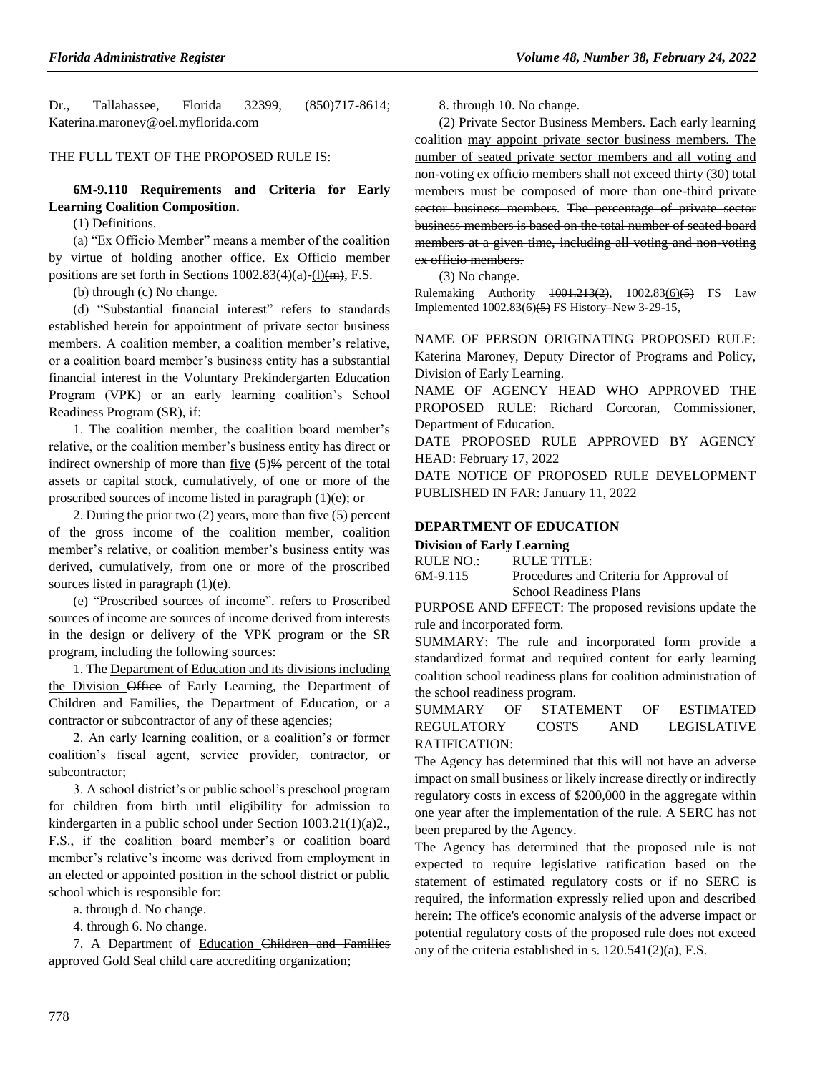Dr., Tallahassee, Florida 32399, (850)717-8614; Katerina.maroney@oel.myflorida.com

### THE FULL TEXT OF THE PROPOSED RULE IS:

### **6M-9.110 Requirements and Criteria for Early Learning Coalition Composition.**

(1) Definitions.

(a) "Ex Officio Member" means a member of the coalition by virtue of holding another office. Ex Officio member positions are set forth in Sections  $1002.83(4)(a)-(1)(m)$ , F.S.

(b) through (c) No change.

(d) "Substantial financial interest" refers to standards established herein for appointment of private sector business members. A coalition member, a coalition member's relative, or a coalition board member's business entity has a substantial financial interest in the Voluntary Prekindergarten Education Program (VPK) or an early learning coalition's School Readiness Program (SR), if:

1. The coalition member, the coalition board member's relative, or the coalition member's business entity has direct or indirect ownership of more than five  $(5)$ % percent of the total assets or capital stock, cumulatively, of one or more of the proscribed sources of income listed in paragraph (1)(e); or

2. During the prior two (2) years, more than five (5) percent of the gross income of the coalition member, coalition member's relative, or coalition member's business entity was derived, cumulatively, from one or more of the proscribed sources listed in paragraph (1)(e).

(e) "Proscribed sources of income". refers to Proscribed sources of income are sources of income derived from interests in the design or delivery of the VPK program or the SR program, including the following sources:

1. The Department of Education and its divisions including the Division Office of Early Learning, the Department of Children and Families, the Department of Education, or a contractor or subcontractor of any of these agencies;

2. An early learning coalition, or a coalition's or former coalition's fiscal agent, service provider, contractor, or subcontractor;

3. A school district's or public school's preschool program for children from birth until eligibility for admission to kindergarten in a public school under Section 1003.21(1)(a)2., F.S., if the coalition board member's or coalition board member's relative's income was derived from employment in an elected or appointed position in the school district or public school which is responsible for:

a. through d. No change.

4. through 6. No change.

7. A Department of Education Children and Families approved Gold Seal child care accrediting organization;

8. through 10. No change.

(2) Private Sector Business Members. Each early learning coalition may appoint private sector business members. The number of seated private sector members and all voting and non-voting ex officio members shall not exceed thirty (30) total members must be composed of more than one third private sector business members. The percentage of private sector business members is based on the total number of seated board members at a given time, including all voting and non-voting ex officio members.

(3) No change.

Rulemaking Authority 1001.213(2), 1002.83(6)(5) FS Law Implemented  $1002.83(6)(5)$  FS History–New 3-29-15,

NAME OF PERSON ORIGINATING PROPOSED RULE: Katerina Maroney, Deputy Director of Programs and Policy, Division of Early Learning.

NAME OF AGENCY HEAD WHO APPROVED THE PROPOSED RULE: Richard Corcoran, Commissioner, Department of Education.

DATE PROPOSED RULE APPROVED BY AGENCY HEAD: February 17, 2022

DATE NOTICE OF PROPOSED RULE DEVELOPMENT PUBLISHED IN FAR: January 11, 2022

### **[DEPARTMENT OF EDUCATION](https://www.flrules.org/gateway/department.asp?id=6)**

**[Division of Early Learning](https://www.flrules.org/gateway/organization.asp?id=1044)**

| RULE NO.: | RULE TITLE:                             |
|-----------|-----------------------------------------|
| 6M-9.115  | Procedures and Criteria for Approval of |
|           | <b>School Readiness Plans</b>           |

PURPOSE AND EFFECT: The proposed revisions update the rule and incorporated form.

SUMMARY: The rule and incorporated form provide a standardized format and required content for early learning coalition school readiness plans for coalition administration of the school readiness program.

# SUMMARY OF STATEMENT OF ESTIMATED REGULATORY COSTS AND LEGISLATIVE RATIFICATION:

The Agency has determined that this will not have an adverse impact on small business or likely increase directly or indirectly regulatory costs in excess of \$200,000 in the aggregate within one year after the implementation of the rule. A SERC has not been prepared by the Agency.

The Agency has determined that the proposed rule is not expected to require legislative ratification based on the statement of estimated regulatory costs or if no SERC is required, the information expressly relied upon and described herein: The office's economic analysis of the adverse impact or potential regulatory costs of the proposed rule does not exceed any of the criteria established in s. 120.541(2)(a), F.S.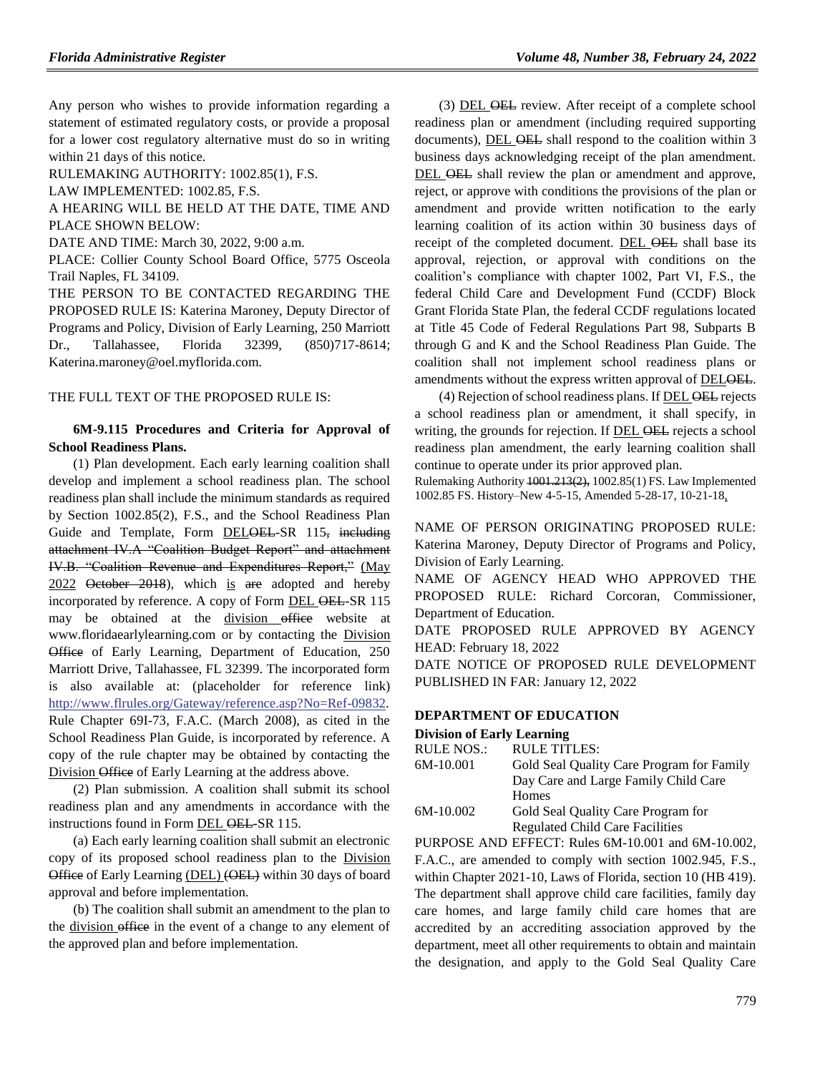Any person who wishes to provide information regarding a statement of estimated regulatory costs, or provide a proposal for a lower cost regulatory alternative must do so in writing within 21 days of this notice.

RULEMAKING AUTHORITY: [1002.85\(1\),](https://www.flrules.org/gateway/statute.asp?id=1002.85(1)) F.S.

LAW IMPLEMENTED: [1002.85,](https://www.flrules.org/gateway/statute.asp?id=1002.85) F.S.

A HEARING WILL BE HELD AT THE DATE, TIME AND PLACE SHOWN BELOW:

DATE AND TIME: March 30, 2022, 9:00 a.m.

PLACE: Collier County School Board Office, 5775 Osceola Trail Naples, FL 34109.

THE PERSON TO BE CONTACTED REGARDING THE PROPOSED RULE IS: Katerina Maroney, Deputy Director of Programs and Policy, Division of Early Learning, 250 Marriott Dr., Tallahassee, Florida 32399, (850)717-8614; Katerina.maroney@oel.myflorida.com.

#### THE FULL TEXT OF THE PROPOSED RULE IS:

### **6M-9.115 Procedures and Criteria for Approval of School Readiness Plans.**

(1) Plan development. Each early learning coalition shall develop and implement a school readiness plan. The school readiness plan shall include the minimum standards as required by Section 1002.85(2), F.S., and the School Readiness Plan Guide and Template, Form DELOEL-SR 115, including attachment IV.A "Coalition Budget Report" and attachment IV.B. "Coalition Revenue and Expenditures Report," (May  $2022$  October  $2018$ ), which is are adopted and hereby incorporated by reference. A copy of Form DEL OEL-SR 115 may be obtained at the division office website at www.floridaearlylearning.com or by contacting the Division Office of Early Learning, Department of Education, 250 Marriott Drive, Tallahassee, FL 32399. The incorporated form is also available at: (placeholder for reference link) [http://www.flrules.org/Gateway/reference.asp?No=Ref-09832.](https://www.flrules.org/Gateway/reference.asp?No=Ref-09832) Rule Chapter 69I-73, F.A.C. (March 2008), as cited in the School Readiness Plan Guide, is incorporated by reference. A copy of the rule chapter may be obtained by contacting the Division Office of Early Learning at the address above.

(2) Plan submission. A coalition shall submit its school readiness plan and any amendments in accordance with the instructions found in Form DEL OEL-SR 115.

(a) Each early learning coalition shall submit an electronic copy of its proposed school readiness plan to the Division Office of Early Learning (DEL) (OEL) within 30 days of board approval and before implementation.

(b) The coalition shall submit an amendment to the plan to the division office in the event of a change to any element of the approved plan and before implementation.

(3) DEL OEL review. After receipt of a complete school readiness plan or amendment (including required supporting documents), DEL  $\overline{\text{OEL}}$  shall respond to the coalition within 3 business days acknowledging receipt of the plan amendment. DEL OEL shall review the plan or amendment and approve, reject, or approve with conditions the provisions of the plan or amendment and provide written notification to the early learning coalition of its action within 30 business days of receipt of the completed document. DEL OEL shall base its approval, rejection, or approval with conditions on the coalition's compliance with chapter 1002, Part VI, F.S., the federal Child Care and Development Fund (CCDF) Block Grant Florida State Plan, the federal CCDF regulations located at Title 45 Code of Federal Regulations Part 98, Subparts B through G and K and the School Readiness Plan Guide. The coalition shall not implement school readiness plans or amendments without the express written approval of DELOEL.

(4) Rejection of school readiness plans. If DEL OEL rejects a school readiness plan or amendment, it shall specify, in writing, the grounds for rejection. If DEL OEL rejects a school readiness plan amendment, the early learning coalition shall continue to operate under its prior approved plan.

Rulemaking Authority 1001.213(2), 1002.85(1) FS. Law Implemented 1002.85 FS. History–New 4-5-15, Amended 5-28-17, 10-21-18,

NAME OF PERSON ORIGINATING PROPOSED RULE: Katerina Maroney, Deputy Director of Programs and Policy, Division of Early Learning.

NAME OF AGENCY HEAD WHO APPROVED THE PROPOSED RULE: Richard Corcoran, Commissioner, Department of Education.

DATE PROPOSED RULE APPROVED BY AGENCY HEAD: February 18, 2022

DATE NOTICE OF PROPOSED RULE DEVELOPMENT PUBLISHED IN FAR: January 12, 2022

### **[DEPARTMENT OF EDUCATION](https://www.flrules.org/gateway/department.asp?id=6)**

**[Division of Early Learning](https://www.flrules.org/gateway/organization.asp?id=1044)**

| RULE NOS.:                         | RULE TITLES:                                 |
|------------------------------------|----------------------------------------------|
| 6M-10.001                          | Gold Seal Quality Care Program for Family    |
|                                    | Day Care and Large Family Child Care         |
|                                    | <b>Homes</b>                                 |
| $\sim$ $\sim$ $\sim$ $\sim$ $\sim$ | $\sim$ $\sim$ $\sim$ $\sim$<br><b>A</b> 11 A |

| 6M-10.002 | Gold Seal Quality Care Program for |
|-----------|------------------------------------|
|           | Regulated Child Care Facilities    |

PURPOSE AND EFFECT: Rules 6M-10.001 and 6M-10.002, F.A.C., are amended to comply with section 1002.945, F.S., within Chapter 2021-10, Laws of Florida, section 10 (HB 419). The department shall approve child care facilities, family day care homes, and large family child care homes that are accredited by an accrediting association approved by the department, meet all other requirements to obtain and maintain the designation, and apply to the Gold Seal Quality Care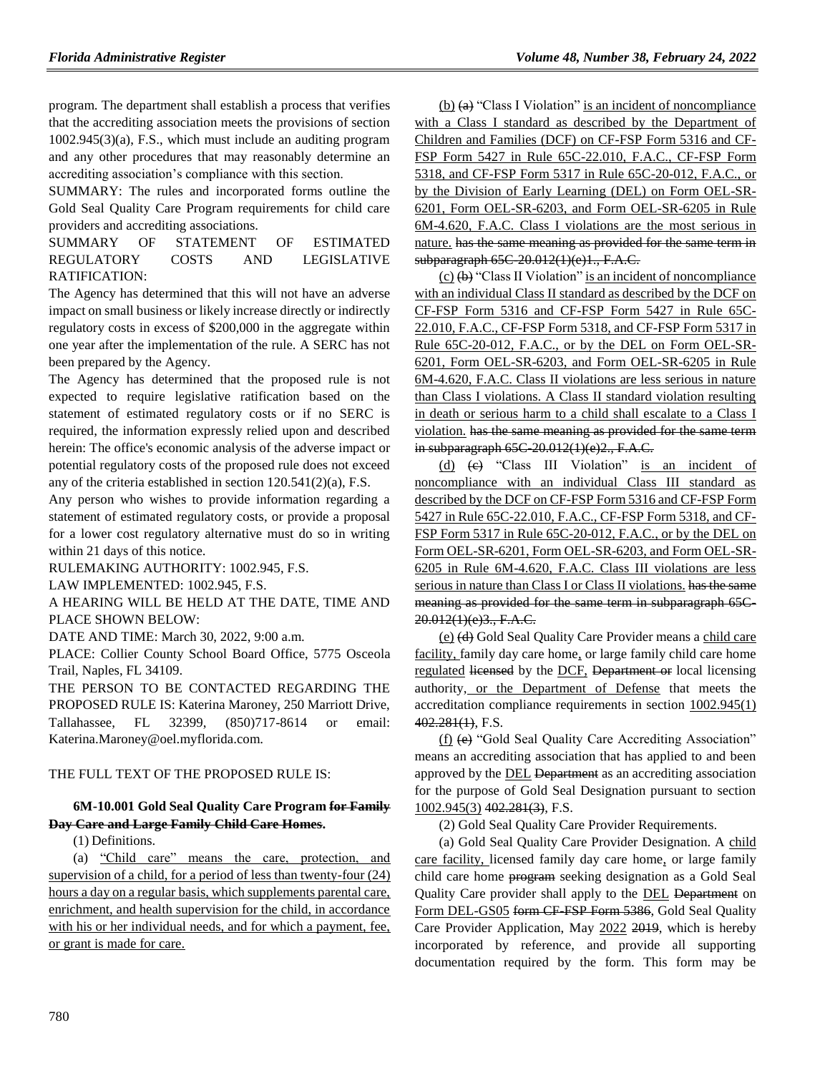program. The department shall establish a process that verifies that the accrediting association meets the provisions of section 1002.945(3)(a), F.S., which must include an auditing program and any other procedures that may reasonably determine an accrediting association's compliance with this section.

SUMMARY: The rules and incorporated forms outline the Gold Seal Quality Care Program requirements for child care providers and accrediting associations.

SUMMARY OF STATEMENT OF ESTIMATED REGULATORY COSTS AND LEGISLATIVE RATIFICATION:

The Agency has determined that this will not have an adverse impact on small business or likely increase directly or indirectly regulatory costs in excess of \$200,000 in the aggregate within one year after the implementation of the rule. A SERC has not been prepared by the Agency.

The Agency has determined that the proposed rule is not expected to require legislative ratification based on the statement of estimated regulatory costs or if no SERC is required, the information expressly relied upon and described herein: The office's economic analysis of the adverse impact or potential regulatory costs of the proposed rule does not exceed any of the criteria established in section 120.541(2)(a), F.S.

Any person who wishes to provide information regarding a statement of estimated regulatory costs, or provide a proposal for a lower cost regulatory alternative must do so in writing within 21 days of this notice.

RULEMAKING AUTHORITY: [1002.945,](https://www.flrules.org/gateway/statute.asp?id=1002.945) F.S.

LAW IMPLEMENTED: [1002.945,](https://www.flrules.org/gateway/statute.asp?id=1002.945) F.S.

A HEARING WILL BE HELD AT THE DATE, TIME AND PLACE SHOWN BELOW:

DATE AND TIME: March 30, 2022, 9:00 a.m.

PLACE: Collier County School Board Office, 5775 Osceola Trail, Naples, FL 34109.

THE PERSON TO BE CONTACTED REGARDING THE PROPOSED RULE IS: Katerina Maroney, 250 Marriott Drive, Tallahassee, FL 32399, (850)717-8614 or email: Katerina.Maroney@oel.myflorida.com.

### THE FULL TEXT OF THE PROPOSED RULE IS:

# **6M-10.001 Gold Seal Quality Care Program for Family Day Care and Large Family Child Care Homes.**

(1) Definitions.

(a) "Child care" means the care, protection, and supervision of a child, for a period of less than twenty-four (24) hours a day on a regular basis, which supplements parental care, enrichment, and health supervision for the child, in accordance with his or her individual needs, and for which a payment, fee, or grant is made for care.

 $(b)$  (a) "Class I Violation" is an incident of noncompliance with a Class I standard as described by the Department of Children and Families (DCF) on CF-FSP Form 5316 and CF-FSP Form 5427 in Rule 65C-22.010, F.A.C., CF-FSP Form 5318, and CF-FSP Form 5317 in Rule 65C-20-012, F.A.C., or by the Division of Early Learning (DEL) on Form OEL-SR-6201, Form OEL-SR-6203, and Form OEL-SR-6205 in Rule 6M-4.620, F.A.C. Class I violations are the most serious in nature. has the same meaning as provided for the same term in subparagraph 65C-20.012(1)(e)1., F.A.C.

 $(c)$   $(b)$  "Class II Violation" is an incident of noncompliance with an individual Class II standard as described by the DCF on CF-FSP Form 5316 and CF-FSP Form 5427 in Rule 65C-22.010, F.A.C., CF-FSP Form 5318, and CF-FSP Form 5317 in Rule 65C-20-012, F.A.C., or by the DEL on Form OEL-SR-6201, Form OEL-SR-6203, and Form OEL-SR-6205 in Rule 6M-4.620, F.A.C. Class II violations are less serious in nature than Class I violations. A Class II standard violation resulting in death or serious harm to a child shall escalate to a Class I violation. has the same meaning as provided for the same term in subparagraph 65C 20.012(1)(e)2., F.A.C.

(d) (c) "Class III Violation" is an incident of noncompliance with an individual Class III standard as described by the DCF on CF-FSP Form 5316 and CF-FSP Form 5427 in Rule 65C-22.010, F.A.C., CF-FSP Form 5318, and CF-FSP Form 5317 in Rule 65C-20-012, F.A.C., or by the DEL on Form OEL-SR-6201, Form OEL-SR-6203, and Form OEL-SR-6205 in Rule 6M-4.620, F.A.C. Class III violations are less serious in nature than Class I or Class II violations. has the same meaning as provided for the same term in subparagraph 65C-20.012(1)(e)3., F.A.C.

(e) (d) Gold Seal Quality Care Provider means a child care facility, family day care home, or large family child care home regulated licensed by the DCF, Department or local licensing authority, or the Department of Defense that meets the accreditation compliance requirements in section 1002.945(1) 402.281(1), F.S.

(f) (e) "Gold Seal Quality Care Accrediting Association" means an accrediting association that has applied to and been approved by the **DEL** Department as an accrediting association for the purpose of Gold Seal Designation pursuant to section 1002.945(3) 402.281(3), F.S.

(2) Gold Seal Quality Care Provider Requirements.

(a) Gold Seal Quality Care Provider Designation. A child care facility, licensed family day care home, or large family child care home program seeking designation as a Gold Seal Quality Care provider shall apply to the DEL Department on Form DEL-GS05 form CF-FSP Form 5386, Gold Seal Quality Care Provider Application, May 2022 2019, which is hereby incorporated by reference, and provide all supporting documentation required by the form. This form may be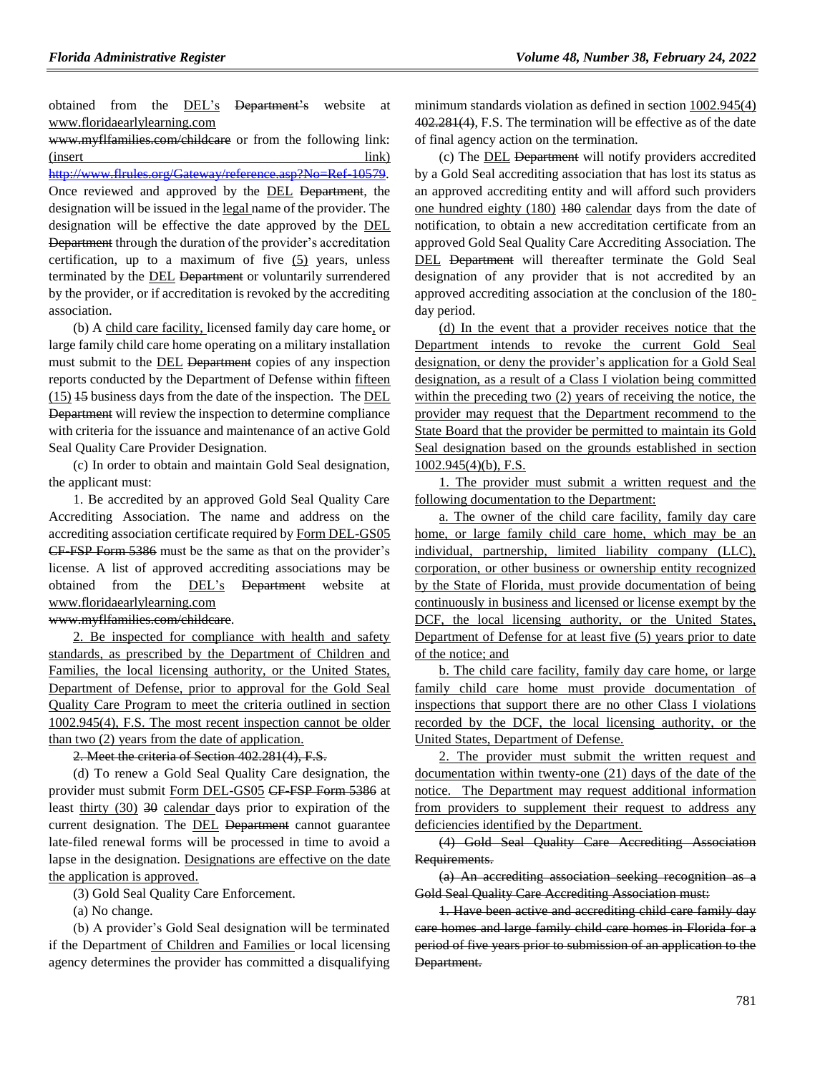obtained from the DEL's Department's website at www.floridaearlylearning.com

www.myflfamilies.com/childcare or from the following link: (insert link) http://www.flrules.org/Gateway/reference.asp?No=Ref-10579. Once reviewed and approved by the DEL Department, the designation will be issued in the legal name of the provider. The designation will be effective the date approved by the DEL Department through the duration of the provider's accreditation certification, up to a maximum of five (5) years, unless terminated by the DEL Department or voluntarily surrendered by the provider, or if accreditation is revoked by the accrediting association.

(b) A child care facility, licensed family day care home, or large family child care home operating on a military installation must submit to the **DEL** Department copies of any inspection reports conducted by the Department of Defense within fifteen (15) 15 business days from the date of the inspection. The DEL Department will review the inspection to determine compliance with criteria for the issuance and maintenance of an active Gold Seal Quality Care Provider Designation.

(c) In order to obtain and maintain Gold Seal designation, the applicant must:

1. Be accredited by an approved Gold Seal Quality Care Accrediting Association. The name and address on the accrediting association certificate required by Form DEL-GS05 CF-FSP Form 5386 must be the same as that on the provider's license. A list of approved accrediting associations may be obtained from the DEL's Department website at www.floridaearlylearning.com

### www.myflfamilies.com/childcare.

2. Be inspected for compliance with health and safety standards, as prescribed by the Department of Children and Families, the local licensing authority, or the United States, Department of Defense, prior to approval for the Gold Seal Quality Care Program to meet the criteria outlined in section 1002.945(4), F.S. The most recent inspection cannot be older than two (2) years from the date of application.

2. Meet the criteria of Section 402.281(4), F.S.

(d) To renew a Gold Seal Quality Care designation, the provider must submit Form DEL-GS05 CF-FSP Form 5386 at least thirty (30) 30 calendar days prior to expiration of the current designation. The **DEL Department** cannot guarantee late-filed renewal forms will be processed in time to avoid a lapse in the designation. Designations are effective on the date the application is approved.

(3) Gold Seal Quality Care Enforcement.

(a) No change.

(b) A provider's Gold Seal designation will be terminated if the Department of Children and Families or local licensing agency determines the provider has committed a disqualifying minimum standards violation as defined in section  $1002.945(4)$ 402.281(4), F.S. The termination will be effective as of the date of final agency action on the termination.

(c) The DEL Department will notify providers accredited by a Gold Seal accrediting association that has lost its status as an approved accrediting entity and will afford such providers one hundred eighty (180) 180 calendar days from the date of notification, to obtain a new accreditation certificate from an approved Gold Seal Quality Care Accrediting Association. The DEL Department will thereafter terminate the Gold Seal designation of any provider that is not accredited by an approved accrediting association at the conclusion of the 180 day period.

(d) In the event that a provider receives notice that the Department intends to revoke the current Gold Seal designation, or deny the provider's application for a Gold Seal designation, as a result of a Class I violation being committed within the preceding two (2) years of receiving the notice, the provider may request that the Department recommend to the State Board that the provider be permitted to maintain its Gold Seal designation based on the grounds established in section 1002.945(4)(b), F.S.

1. The provider must submit a written request and the following documentation to the Department:

a. The owner of the child care facility, family day care home, or large family child care home, which may be an individual, partnership, limited liability company (LLC), corporation, or other business or ownership entity recognized by the State of Florida, must provide documentation of being continuously in business and licensed or license exempt by the DCF, the local licensing authority, or the United States, Department of Defense for at least five (5) years prior to date of the notice; and

b. The child care facility, family day care home, or large family child care home must provide documentation of inspections that support there are no other Class I violations recorded by the DCF, the local licensing authority, or the United States, Department of Defense.

2. The provider must submit the written request and documentation within twenty-one (21) days of the date of the notice. The Department may request additional information from providers to supplement their request to address any deficiencies identified by the Department.

(4) Gold Seal Quality Care Accrediting Association Requirements.

(a) An accrediting association seeking recognition as a Gold Seal Quality Care Accrediting Association must:

1. Have been active and accrediting child care family day care homes and large family child care homes in Florida for a period of five years prior to submission of an application to the Department.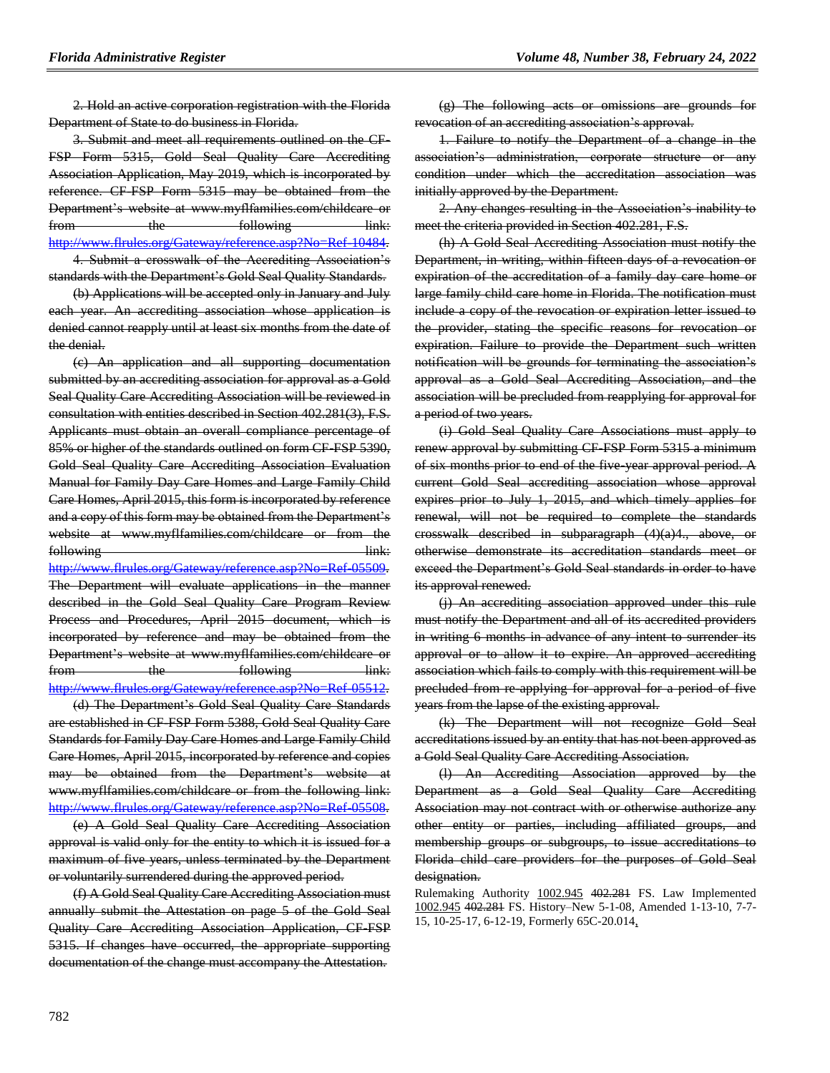2. Hold an active corporation registration with the Florida Department of State to do business in Florida.

3. Submit and meet all requirements outlined on the CF-FSP Form 5315, Gold Seal Quality Care Accrediting Association Application, May 2019, which is incorporated by reference. CF-FSP Form 5315 may be obtained from the Department's website at www.myflfamilies.com/childcare or from the following link: [http://www.flrules.org/Gateway/reference.asp?No=Ref-10484.](https://www.flrules.org/Gateway/reference.asp?No=Ref-10484) 4. Submit a crosswalk of the Accrediting Association's

standards with the Department's Gold Seal Quality Standards. (b) Applications will be accepted only in January and July

each year. An accrediting association whose application is denied cannot reapply until at least six months from the date of the denial.

(c) An application and all supporting documentation submitted by an accrediting association for approval as a Gold Seal Quality Care Accrediting Association will be reviewed in consultation with entities described in Section 402.281(3), F.S. Applicants must obtain an overall compliance percentage of 85% or higher of the standards outlined on form CF-FSP 5390, Gold Seal Quality Care Accrediting Association Evaluation Manual for Family Day Care Homes and Large Family Child Care Homes, April 2015, this form is incorporated by reference and a copy of this form may be obtained from the Department's website at www.myflfamilies.com/childcare or from the following link:

[http://www.flrules.org/Gateway/reference.asp?No=Ref-05509.](https://www.flrules.org/Gateway/reference.asp?No=Ref-05509) The Department will evaluate applications in the manner described in the Gold Seal Quality Care Program Review Process and Procedures, April 2015 document, which is incorporated by reference and may be obtained from the Department's website at www.myflfamilies.com/childcare or from the following link: [http://www.flrules.org/Gateway/reference.asp?No=Ref-05512.](https://www.flrules.org/Gateway/reference.asp?No=Ref-05512)

(d) The Department's Gold Seal Quality Care Standards are established in CF-FSP Form 5388, Gold Seal Quality Care Standards for Family Day Care Homes and Large Family Child Care Homes, April 2015, incorporated by reference and copies may be obtained from the Department's website www.myflfamilies.com/childcare or from the following link: [http://www.flrules.org/Gateway/reference.asp?No=Ref-05508.](https://www.flrules.org/Gateway/reference.asp?No=Ref-05508)

(e) A Gold Seal Quality Care Accrediting Association approval is valid only for the entity to which it is issued for a maximum of five years, unless terminated by the Department or voluntarily surrendered during the approved period.

(f) A Gold Seal Quality Care Accrediting Association must annually submit the Attestation on page 5 of the Gold Seal Quality Care Accrediting Association Application, CF-FSP 5315. If changes have occurred, the appropriate supporting documentation of the change must accompany the Attestation.

(g) The following acts or omissions are grounds for revocation of an accrediting association's approval.

1. Failure to notify the Department of a change in the association's administration, corporate structure or any condition under which the accreditation association was initially approved by the Department.

2. Any changes resulting in the Association's inability to meet the criteria provided in Section 402.281, F.S.

(h) A Gold Seal Accrediting Association must notify the Department, in writing, within fifteen days of a revocation or expiration of the accreditation of a family day care home or large family child care home in Florida. The notification must include a copy of the revocation or expiration letter issued to the provider, stating the specific reasons for revocation or expiration. Failure to provide the Department such written notification will be grounds for terminating the association's approval as a Gold Seal Accrediting Association, and the association will be precluded from reapplying for approval for a period of two years.

(i) Gold Seal Quality Care Associations must apply to renew approval by submitting CF-FSP Form 5315 a minimum of six months prior to end of the five-year approval period. A current Gold Seal accrediting association whose approval expires prior to July 1, 2015, and which timely applies for renewal, will not be required to complete the standards crosswalk described in subparagraph (4)(a)4., above, or otherwise demonstrate its accreditation standards meet or exceed the Department's Gold Seal standards in order to have its approval renewed.

(j) An accrediting association approved under this rule must notify the Department and all of its accredited providers in writing 6 months in advance of any intent to surrender its approval or to allow it to expire. An approved accrediting association which fails to comply with this requirement will be precluded from re-applying for approval for a period of five years from the lapse of the existing approval.

(k) The Department will not recognize Gold Seal accreditations issued by an entity that has not been approved as a Gold Seal Quality Care Accrediting Association.

(l) An Accrediting Association approved by the Department as a Gold Seal Quality Care Accrediting Association may not contract with or otherwise authorize any other entity or parties, including affiliated groups, and membership groups or subgroups, to issue accreditations to Florida child care providers for the purposes of Gold Seal designation.

Rulemaking Authority 1002.945 402.281 FS. Law Implemented 1002.945 402.281 FS. History–New 5-1-08, Amended 1-13-10, 7-7- 15, 10-25-17, 6-12-19, Formerly 65C-20.014,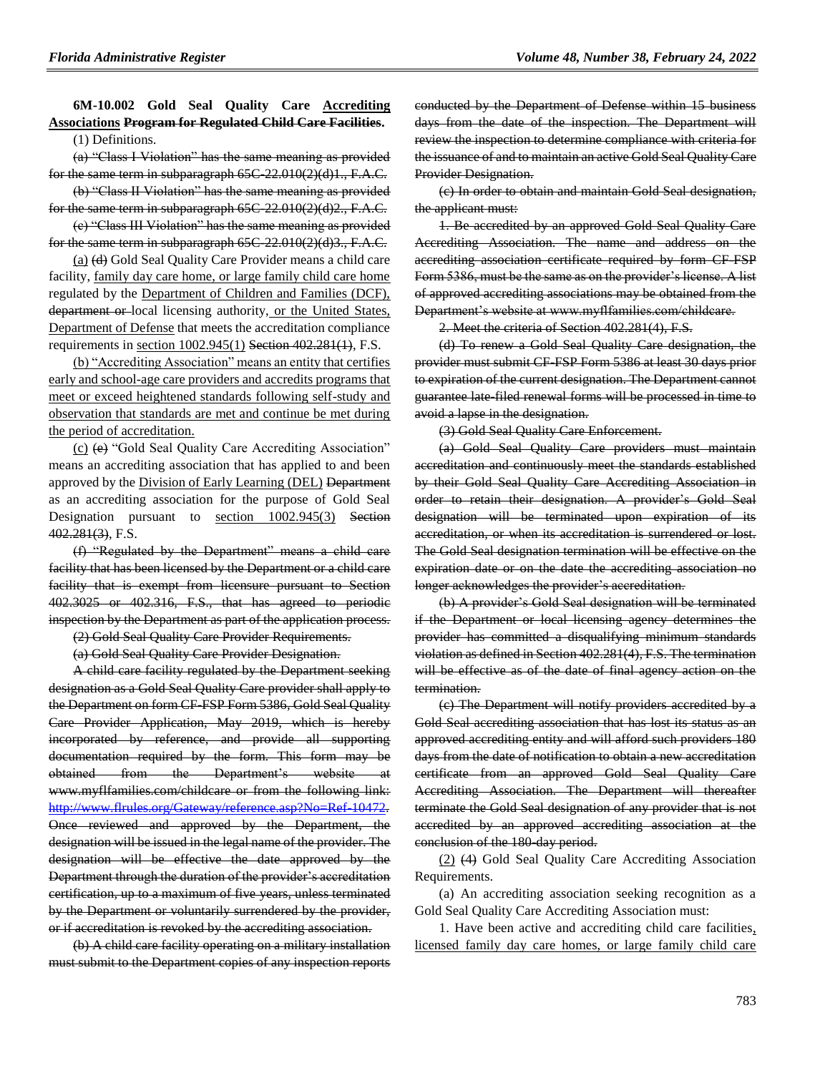# **6M-10.002 Gold Seal Quality Care Accrediting Associations Program for Regulated Child Care Facilities.**

(1) Definitions.

(a) "Class I Violation" has the same meaning as provided for the same term in subparagraph 65C-22.010(2)(d)1., F.A.C.

(b) "Class II Violation" has the same meaning as provided for the same term in subparagraph 65C-22.010(2)(d)2., F.A.C.

(c) "Class III Violation" has the same meaning as provided for the same term in subparagraph 65C-22.010(2)(d)3., F.A.C.

(a) (d) Gold Seal Quality Care Provider means a child care facility, family day care home, or large family child care home regulated by the Department of Children and Families (DCF), department or local licensing authority, or the United States, Department of Defense that meets the accreditation compliance requirements in section 1002.945(1) Section 402.281(1), F.S.

(b) "Accrediting Association" means an entity that certifies early and school-age care providers and accredits programs that meet or exceed heightened standards following self-study and observation that standards are met and continue be met during the period of accreditation.

(c) (e) "Gold Seal Quality Care Accrediting Association" means an accrediting association that has applied to and been approved by the Division of Early Learning (DEL) Department as an accrediting association for the purpose of Gold Seal Designation pursuant to section 1002.945(3) Section 402.281(3), F.S.

(f) "Regulated by the Department" means a child care facility that has been licensed by the Department or a child care facility that is exempt from licensure pursuant to Section 402.3025 or 402.316, F.S., that has agreed to periodic inspection by the Department as part of the application process.

(2) Gold Seal Quality Care Provider Requirements.

(a) Gold Seal Quality Care Provider Designation.

A child care facility regulated by the Department seeking designation as a Gold Seal Quality Care provider shall apply to the Department on form CF-FSP Form 5386, Gold Seal Quality Care Provider Application, May 2019, which is hereby incorporated by reference, and provide all supporting documentation required by the form. This form may be obtained from the Department's website at www.myflfamilies.com/childcare or from the following link: [http://www.flrules.org/Gateway/reference.asp?No=Ref-10472.](https://www.flrules.org/Gateway/reference.asp?No=Ref-10472) Once reviewed and approved by the Department, the designation will be issued in the legal name of the provider. The designation will be effective the date approved by the Department through the duration of the provider's accreditation certification, up to a maximum of five years, unless terminated by the Department or voluntarily surrendered by the provider, or if accreditation is revoked by the accrediting association.

(b) A child care facility operating on a military installation must submit to the Department copies of any inspection reports conducted by the Department of Defense within 15 business days from the date of the inspection. The Department will review the inspection to determine compliance with criteria for the issuance of and to maintain an active Gold Seal Quality Care Provider Designation.

(c) In order to obtain and maintain Gold Seal designation, the applicant must:

1. Be accredited by an approved Gold Seal Quality Care Accrediting Association. The name and address on the accrediting association certificate required by form CF-FSP Form 5386, must be the same as on the provider's license. A list of approved accrediting associations may be obtained from the Department's website at www.myflfamilies.com/childcare.

2. Meet the criteria of Section 402.281(4), F.S.

(d) To renew a Gold Seal Quality Care designation, the provider must submit CF-FSP Form 5386 at least 30 days prior to expiration of the current designation. The Department cannot guarantee late-filed renewal forms will be processed in time to avoid a lapse in the designation.

(3) Gold Seal Quality Care Enforcement.

(a) Gold Seal Quality Care providers must maintain accreditation and continuously meet the standards established by their Gold Seal Quality Care Accrediting Association in order to retain their designation. A provider's Gold Seal designation will be terminated upon expiration of its accreditation, or when its accreditation is surrendered or lost. The Gold Seal designation termination will be effective on the expiration date or on the date the accrediting association no longer acknowledges the provider's accreditation.

(b) A provider's Gold Seal designation will be terminated if the Department or local licensing agency determines the provider has committed a disqualifying minimum standards violation as defined in Section 402.281(4), F.S. The termination will be effective as of the date of final agency action on the termination.

(c) The Department will notify providers accredited by a Gold Seal accrediting association that has lost its status as an approved accrediting entity and will afford such providers 180 days from the date of notification to obtain a new accreditation certificate from an approved Gold Seal Quality Care Accrediting Association. The Department will thereafter terminate the Gold Seal designation of any provider that is not accredited by an approved accrediting association at the conclusion of the 180-day period.

(2) (4) Gold Seal Quality Care Accrediting Association Requirements.

(a) An accrediting association seeking recognition as a Gold Seal Quality Care Accrediting Association must:

1. Have been active and accrediting child care facilities, licensed family day care homes, or large family child care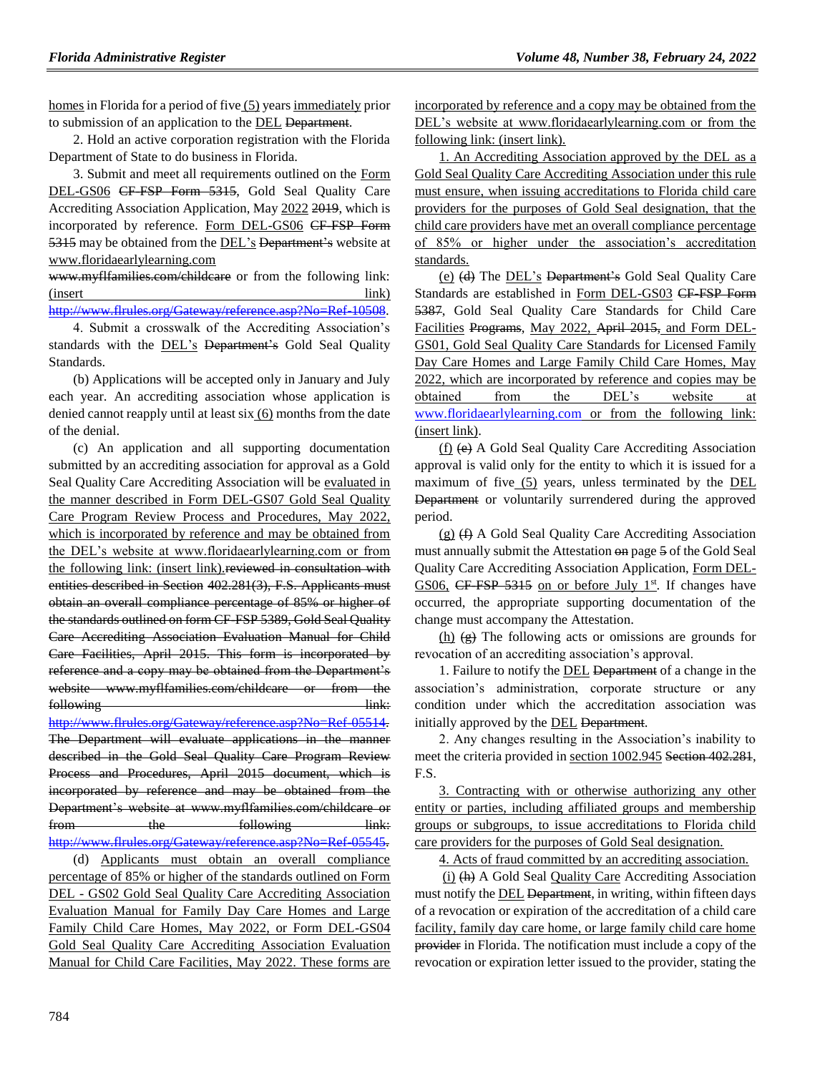homes in Florida for a period of five (5) years immediately prior to submission of an application to the DEL Department.

2. Hold an active corporation registration with the Florida Department of State to do business in Florida.

3. Submit and meet all requirements outlined on the Form DEL-GS06 CF-FSP Form 5315, Gold Seal Quality Care Accrediting Association Application, May 2022 2019, which is incorporated by reference. Form DEL-GS06 CF-FSP Form 5315 may be obtained from the DEL's Department's website at www.floridaearlylearning.com

www.myflfamilies.com/childcare or from the following link: (insert link)

[http://www.flrules.org/Gateway/reference.asp?No=Ref-10508.](https://www.flrules.org/Gateway/reference.asp?No=Ref-10508)

4. Submit a crosswalk of the Accrediting Association's standards with the DEL's Department's Gold Seal Quality Standards.

(b) Applications will be accepted only in January and July each year. An accrediting association whose application is denied cannot reapply until at least six (6) months from the date of the denial.

(c) An application and all supporting documentation submitted by an accrediting association for approval as a Gold Seal Quality Care Accrediting Association will be evaluated in the manner described in Form DEL-GS07 Gold Seal Quality Care Program Review Process and Procedures, May 2022, which is incorporated by reference and may be obtained from the DEL's website at www.floridaearlylearning.com or from the following link: (insert link). reviewed in consultation with entities described in Section 402.281(3), F.S. Applicants must obtain an overall compliance percentage of 85% or higher of the standards outlined on form CF-FSP 5389, Gold Seal Quality Care Accrediting Association Evaluation Manual for Child Care Facilities, April 2015. This form is incorporated by reference and a copy may be obtained from the Department's website www.myflfamilies.com/childcare or from the following link:

[http://www.flrules.org/Gateway/reference.asp?No=Ref-05514.](https://www.flrules.org/Gateway/reference.asp?No=Ref-05514) The Department will evaluate applications in the manner described in the Gold Seal Quality Care Program Review Process and Procedures, April 2015 document, which is incorporated by reference and may be obtained from the Department's website at www.myflfamilies.com/childcare or from the following link: [http://www.flrules.org/Gateway/reference.asp?No=Ref-05545.](https://www.flrules.org/Gateway/reference.asp?No=Ref-05545)

(d) Applicants must obtain an overall compliance percentage of 85% or higher of the standards outlined on Form DEL - GS02 Gold Seal Quality Care Accrediting Association Evaluation Manual for Family Day Care Homes and Large Family Child Care Homes, May 2022, or Form DEL-GS04 Gold Seal Quality Care Accrediting Association Evaluation Manual for Child Care Facilities, May 2022. These forms are incorporated by reference and a copy may be obtained from the DEL's website at www.floridaearlylearning.com or from the following link: (insert link).

1. An Accrediting Association approved by the DEL as a Gold Seal Quality Care Accrediting Association under this rule must ensure, when issuing accreditations to Florida child care providers for the purposes of Gold Seal designation, that the child care providers have met an overall compliance percentage of 85% or higher under the association's accreditation standards.

(e) (d) The DEL's Department's Gold Seal Quality Care Standards are established in Form DEL-GS03 CF-FSP-Form 5387, Gold Seal Quality Care Standards for Child Care Facilities Programs, May 2022, April 2015, and Form DEL-GS01, Gold Seal Quality Care Standards for Licensed Family Day Care Homes and Large Family Child Care Homes, May 2022, which are incorporated by reference and copies may be obtained from the DEL's website at [www.floridaearlylearning.com](http://www.floridaearlylearning.com/) or from the following link: (insert link).

(f) (e) A Gold Seal Quality Care Accrediting Association approval is valid only for the entity to which it is issued for a maximum of five (5) years, unless terminated by the DEL Department or voluntarily surrendered during the approved period.

(g) (f) A Gold Seal Quality Care Accrediting Association must annually submit the Attestation on page 5 of the Gold Seal Quality Care Accrediting Association Application, Form DEL-GS06, CF-FSP 5315 on or before July  $1<sup>st</sup>$ . If changes have occurred, the appropriate supporting documentation of the change must accompany the Attestation.

(h)  $\left( \frac{\mathbf{e}}{\mathbf{e}} \right)$  The following acts or omissions are grounds for revocation of an accrediting association's approval.

1. Failure to notify the DEL Department of a change in the association's administration, corporate structure or any condition under which the accreditation association was initially approved by the **DEL** Department.

2. Any changes resulting in the Association's inability to meet the criteria provided in section 1002.945 Section 402.281, F.S.

3. Contracting with or otherwise authorizing any other entity or parties, including affiliated groups and membership groups or subgroups, to issue accreditations to Florida child care providers for the purposes of Gold Seal designation.

4. Acts of fraud committed by an accrediting association.

(i) (h) A Gold Seal Quality Care Accrediting Association must notify the DEL Department, in writing, within fifteen days of a revocation or expiration of the accreditation of a child care facility, family day care home, or large family child care home provider in Florida. The notification must include a copy of the revocation or expiration letter issued to the provider, stating the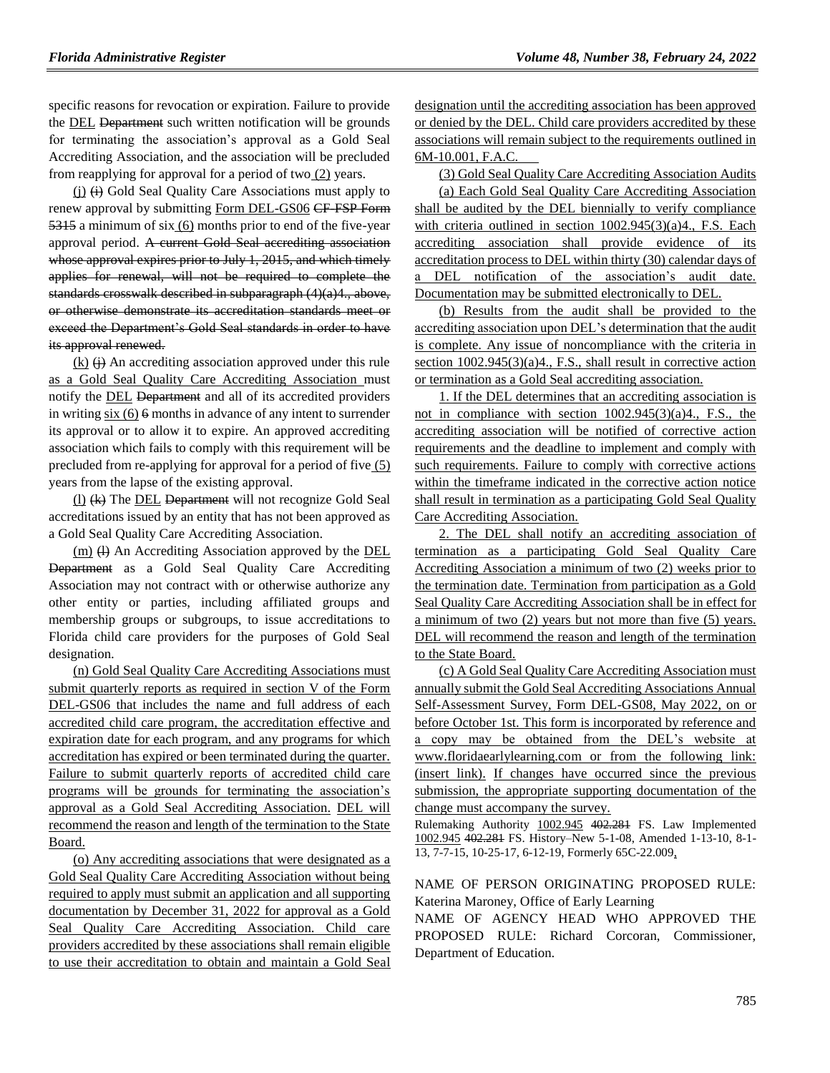specific reasons for revocation or expiration. Failure to provide the DEL Department such written notification will be grounds for terminating the association's approval as a Gold Seal Accrediting Association, and the association will be precluded from reapplying for approval for a period of two (2) years.

(j) (i) Gold Seal Quality Care Associations must apply to renew approval by submitting Form DEL-GS06 CF-FSP Form 5315 a minimum of six (6) months prior to end of the five-year approval period. A current Gold Seal accrediting association whose approval expires prior to July 1, 2015, and which timely applies for renewal, will not be required to complete the standards crosswalk described in subparagraph (4)(a)4., above, or otherwise demonstrate its accreditation standards meet or exceed the Department's Gold Seal standards in order to have its approval renewed.

 $(k)$   $(i)$  An accrediting association approved under this rule as a Gold Seal Quality Care Accrediting Association must notify the DEL Department and all of its accredited providers in writing six  $(6)$  6 months in advance of any intent to surrender its approval or to allow it to expire. An approved accrediting association which fails to comply with this requirement will be precluded from re-applying for approval for a period of five (5) years from the lapse of the existing approval.

(l) (k) The DEL Department will not recognize Gold Seal accreditations issued by an entity that has not been approved as a Gold Seal Quality Care Accrediting Association.

(m) (l) An Accrediting Association approved by the DEL Department as a Gold Seal Quality Care Accrediting Association may not contract with or otherwise authorize any other entity or parties, including affiliated groups and membership groups or subgroups, to issue accreditations to Florida child care providers for the purposes of Gold Seal designation.

(n) Gold Seal Quality Care Accrediting Associations must submit quarterly reports as required in section V of the Form DEL-GS06 that includes the name and full address of each accredited child care program, the accreditation effective and expiration date for each program, and any programs for which accreditation has expired or been terminated during the quarter. Failure to submit quarterly reports of accredited child care programs will be grounds for terminating the association's approval as a Gold Seal Accrediting Association. DEL will recommend the reason and length of the termination to the State Board.

(o) Any accrediting associations that were designated as a Gold Seal Quality Care Accrediting Association without being required to apply must submit an application and all supporting documentation by December 31, 2022 for approval as a Gold Seal Quality Care Accrediting Association. Child care providers accredited by these associations shall remain eligible to use their accreditation to obtain and maintain a Gold Seal designation until the accrediting association has been approved or denied by the DEL. Child care providers accredited by these associations will remain subject to the requirements outlined in 6M-10.001, F.A.C.

(3) Gold Seal Quality Care Accrediting Association Audits

(a) Each Gold Seal Quality Care Accrediting Association shall be audited by the DEL biennially to verify compliance with criteria outlined in section 1002.945(3)(a)4., F.S. Each accrediting association shall provide evidence of its accreditation process to DEL within thirty (30) calendar days of a DEL notification of the association's audit date. Documentation may be submitted electronically to DEL.

(b) Results from the audit shall be provided to the accrediting association upon DEL's determination that the audit is complete. Any issue of noncompliance with the criteria in section 1002.945(3)(a)4., F.S., shall result in corrective action or termination as a Gold Seal accrediting association.

1. If the DEL determines that an accrediting association is not in compliance with section 1002.945(3)(a)4., F.S., the accrediting association will be notified of corrective action requirements and the deadline to implement and comply with such requirements. Failure to comply with corrective actions within the timeframe indicated in the corrective action notice shall result in termination as a participating Gold Seal Quality Care Accrediting Association.

2. The DEL shall notify an accrediting association of termination as a participating Gold Seal Quality Care Accrediting Association a minimum of two (2) weeks prior to the termination date. Termination from participation as a Gold Seal Quality Care Accrediting Association shall be in effect for a minimum of two (2) years but not more than five (5) years. DEL will recommend the reason and length of the termination to the State Board.

(c) A Gold Seal Quality Care Accrediting Association must annually submit the Gold Seal Accrediting Associations Annual Self-Assessment Survey, Form DEL-GS08, May 2022, on or before October 1st. This form is incorporated by reference and a copy may be obtained from the DEL's website at www.floridaearlylearning.com or from the following link: (insert link). If changes have occurred since the previous submission, the appropriate supporting documentation of the change must accompany the survey.

Rulemaking Authority 1002.945 402.281 FS. Law Implemented 1002.945 402.281 FS. History–New 5-1-08, Amended 1-13-10, 8-1- 13, 7-7-15, 10-25-17, 6-12-19, Formerly 65C-22.009,

### NAME OF PERSON ORIGINATING PROPOSED RULE: Katerina Maroney, Office of Early Learning

NAME OF AGENCY HEAD WHO APPROVED THE PROPOSED RULE: Richard Corcoran, Commissioner, Department of Education.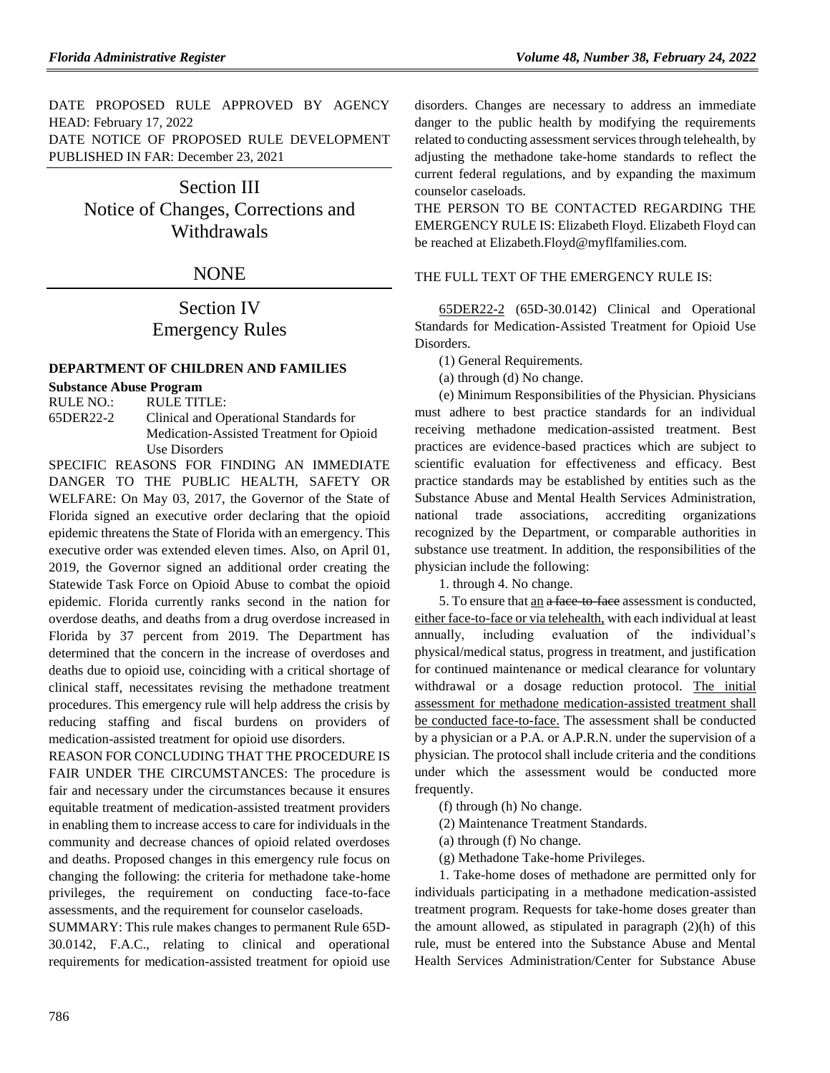DATE PROPOSED RULE APPROVED BY AGENCY HEAD: February 17, 2022 DATE NOTICE OF PROPOSED RULE DEVELOPMENT PUBLISHED IN FAR: December 23, 2021

> Section III Notice of Changes, Corrections and Withdrawals

# **NONE**

# Section IV Emergency Rules

### **[DEPARTMENT OF CHILDREN AND FAMILIES](https://www.flrules.org/gateway/department.asp?id=65)**

# **[Substance Abuse Program](https://www.flrules.org/gateway/organization.asp?id=343)**

RULE NO.: RULE TITLE: [65DER22-2](https://www.flrules.org/gateway/ruleNo.asp?id=65DER22-2) Clinical and Operational Standards for Medication-Assisted Treatment for Opioid Use Disorders

SPECIFIC REASONS FOR FINDING AN IMMEDIATE DANGER TO THE PUBLIC HEALTH, SAFETY OR WELFARE: On May 03, 2017, the Governor of the State of Florida signed an executive order declaring that the opioid epidemic threatens the State of Florida with an emergency. This executive order was extended eleven times. Also, on April 01, 2019, the Governor signed an additional order creating the Statewide Task Force on Opioid Abuse to combat the opioid epidemic. Florida currently ranks second in the nation for overdose deaths, and deaths from a drug overdose increased in Florida by 37 percent from 2019. The Department has determined that the concern in the increase of overdoses and deaths due to opioid use, coinciding with a critical shortage of clinical staff, necessitates revising the methadone treatment procedures. This emergency rule will help address the crisis by reducing staffing and fiscal burdens on providers of medication-assisted treatment for opioid use disorders.

REASON FOR CONCLUDING THAT THE PROCEDURE IS FAIR UNDER THE CIRCUMSTANCES: The procedure is fair and necessary under the circumstances because it ensures equitable treatment of medication-assisted treatment providers in enabling them to increase access to care for individuals in the community and decrease chances of opioid related overdoses and deaths. Proposed changes in this emergency rule focus on changing the following: the criteria for methadone take-home privileges, the requirement on conducting face-to-face assessments, and the requirement for counselor caseloads.

SUMMARY: This rule makes changes to permanent Rule 65D-30.0142, F.A.C., relating to clinical and operational requirements for medication-assisted treatment for opioid use

disorders. Changes are necessary to address an immediate danger to the public health by modifying the requirements related to conducting assessment services through telehealth, by adjusting the methadone take-home standards to reflect the current federal regulations, and by expanding the maximum counselor caseloads.

THE PERSON TO BE CONTACTED REGARDING THE EMERGENCY RULE IS: Elizabeth Floyd. Elizabeth Floyd can be reached at Elizabeth.Floyd@myflfamilies.com.

# THE FULL TEXT OF THE EMERGENCY RULE IS:

65DER22-2 (65D-30.0142) Clinical and Operational Standards for Medication-Assisted Treatment for Opioid Use Disorders.

(1) General Requirements.

(a) through (d) No change.

(e) Minimum Responsibilities of the Physician. Physicians must adhere to best practice standards for an individual receiving methadone medication-assisted treatment. Best practices are evidence-based practices which are subject to scientific evaluation for effectiveness and efficacy. Best practice standards may be established by entities such as the Substance Abuse and Mental Health Services Administration, national trade associations, accrediting organizations recognized by the Department, or comparable authorities in substance use treatment. In addition, the responsibilities of the physician include the following:

1. through 4. No change.

5. To ensure that an a face to face assessment is conducted, either face-to-face or via telehealth, with each individual at least annually, including evaluation of the individual's physical/medical status, progress in treatment, and justification for continued maintenance or medical clearance for voluntary withdrawal or a dosage reduction protocol. The initial assessment for methadone medication-assisted treatment shall be conducted face-to-face. The assessment shall be conducted by a physician or a P.A. or A.P.R.N. under the supervision of a physician. The protocol shall include criteria and the conditions under which the assessment would be conducted more frequently.

(f) through (h) No change.

(2) Maintenance Treatment Standards.

(a) through (f) No change.

(g) Methadone Take-home Privileges.

1. Take-home doses of methadone are permitted only for individuals participating in a methadone medication-assisted treatment program. Requests for take-home doses greater than the amount allowed, as stipulated in paragraph (2)(h) of this rule, must be entered into the Substance Abuse and Mental Health Services Administration/Center for Substance Abuse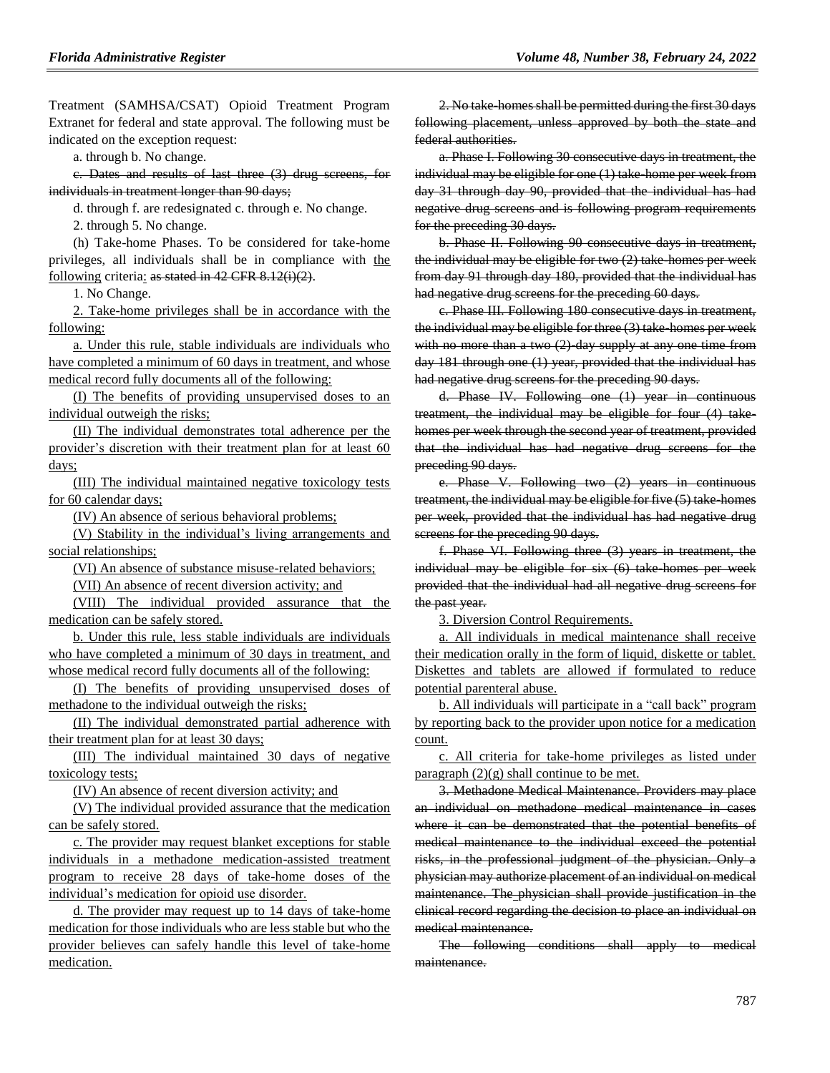Treatment (SAMHSA/CSAT) Opioid Treatment Program Extranet for federal and state approval. The following must be indicated on the exception request:

a. through b. No change.

c. Dates and results of last three (3) drug screens, for individuals in treatment longer than 90 days;

d. through f. are redesignated c. through e. No change.

2. through 5. No change.

(h) Take-home Phases. To be considered for take-home privileges, all individuals shall be in compliance with the following criteria: as stated in 42 CFR 8.12(i)(2).

1. No Change.

2. Take-home privileges shall be in accordance with the following:

a. Under this rule, stable individuals are individuals who have completed a minimum of 60 days in treatment, and whose medical record fully documents all of the following:

(I) The benefits of providing unsupervised doses to an individual outweigh the risks;

(II) The individual demonstrates total adherence per the provider's discretion with their treatment plan for at least 60 days;

(III) The individual maintained negative toxicology tests for 60 calendar days;

(IV) An absence of serious behavioral problems;

(V) Stability in the individual's living arrangements and social relationships;

(VI) An absence of substance misuse-related behaviors;

(VII) An absence of recent diversion activity; and

(VIII) The individual provided assurance that the medication can be safely stored.

b. Under this rule, less stable individuals are individuals who have completed a minimum of 30 days in treatment, and whose medical record fully documents all of the following:

(I) The benefits of providing unsupervised doses of methadone to the individual outweigh the risks;

(II) The individual demonstrated partial adherence with their treatment plan for at least 30 days;

(III) The individual maintained 30 days of negative toxicology tests;

(IV) An absence of recent diversion activity; and

(V) The individual provided assurance that the medication can be safely stored.

c. The provider may request blanket exceptions for stable individuals in a methadone medication-assisted treatment program to receive 28 days of take-home doses of the individual's medication for opioid use disorder.

d. The provider may request up to 14 days of take-home medication for those individuals who are less stable but who the provider believes can safely handle this level of take-home medication.

2. No take-homes shall be permitted during the first 30 days following placement, unless approved by both the state and federal authorities.

a. Phase I. Following 30 consecutive days in treatment, the individual may be eligible for one (1) take-home per week from day 31 through day 90, provided that the individual has had negative drug screens and is following program requirements for the preceding 30 days.

b. Phase II. Following 90 consecutive days in treatment, the individual may be eligible for two (2) take-homes per week from day 91 through day 180, provided that the individual has had negative drug screens for the preceding 60 days.

c. Phase III. Following 180 consecutive days in treatment, the individual may be eligible for three (3) take-homes per week with no more than a two  $(2)$  day supply at any one time from day 181 through one (1) year, provided that the individual has had negative drug screens for the preceding 90 days.

d. Phase IV. Following one (1) year in continuous treatment, the individual may be eligible for four (4) takehomes per week through the second year of treatment, provided that the individual has had negative drug screens for the preceding 90 days.

e. Phase V. Following two (2) years in continuous treatment, the individual may be eligible for five (5) take homes per week, provided that the individual has had negative drug screens for the preceding 90 days.

f. Phase VI. Following three (3) years in treatment, the individual may be eligible for six (6) take-homes per week provided that the individual had all negative drug screens for the past year.

3. Diversion Control Requirements.

a. All individuals in medical maintenance shall receive their medication orally in the form of liquid, diskette or tablet. Diskettes and tablets are allowed if formulated to reduce potential parenteral abuse.

b. All individuals will participate in a "call back" program by reporting back to the provider upon notice for a medication count.

c. All criteria for take-home privileges as listed under paragraph  $(2)(g)$  shall continue to be met.

3. Methadone Medical Maintenance. Providers may place an individual on methadone medical maintenance in cases where it can be demonstrated that the potential benefits of medical maintenance to the individual exceed the potential risks, in the professional judgment of the physician. Only a physician may authorize placement of an individual on medical maintenance. The physician shall provide justification in the clinical record regarding the decision to place an individual on medical maintenance.

The following conditions shall apply to medical maintenance.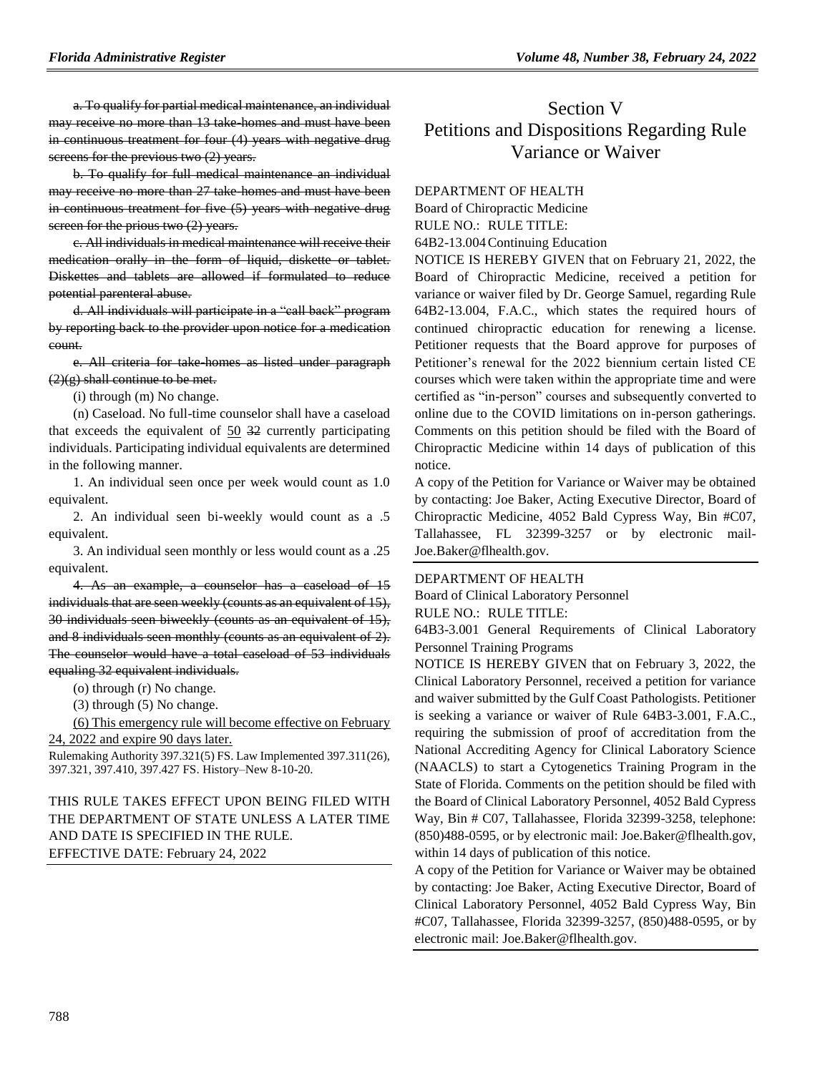a. To qualify for partial medical maintenance, an individual may receive no more than 13 take-homes and must have been in continuous treatment for four (4) years with negative drug screens for the previous two  $(2)$  years.

b. To qualify for full medical maintenance an individual may receive no more than 27 take-homes and must have been in continuous treatment for five (5) years with negative drug screen for the prious two (2) years.

c. All individuals in medical maintenance will receive their medication orally in the form of liquid, diskette or tablet. Diskettes and tablets are allowed if formulated to reduce potential parenteral abuse.

d. All individuals will participate in a "call back" program by reporting back to the provider upon notice for a medication count.

e. All criteria for take-homes as listed under paragraph  $(2)(g)$  shall continue to be met.

(i) through (m) No change.

(n) Caseload. No full-time counselor shall have a caseload that exceeds the equivalent of 50 32 currently participating individuals. Participating individual equivalents are determined in the following manner.

1. An individual seen once per week would count as 1.0 equivalent.

2. An individual seen bi-weekly would count as a .5 equivalent.

3. An individual seen monthly or less would count as a .25 equivalent.

4. As an example, a counselor has a caseload of 15 individuals that are seen weekly (counts as an equivalent of 15), 30 individuals seen biweekly (counts as an equivalent of 15), and 8 individuals seen monthly (counts as an equivalent of 2). The counselor would have a total caseload of 53 individuals equaling 32 equivalent individuals.

(o) through (r) No change.

(3) through (5) No change.

(6) This emergency rule will become effective on February 24, 2022 and expire 90 days later.

Rulemaking Authority 397.321(5) FS. Law Implemented 397.311(26), 397.321, 397.410, 397.427 FS. History–New 8-10-20.

# THIS RULE TAKES EFFECT UPON BEING FILED WITH THE DEPARTMENT OF STATE UNLESS A LATER TIME AND DATE IS SPECIFIED IN THE RULE. EFFECTIVE DATE: February 24, 2022

# Section V Petitions and Dispositions Regarding Rule Variance or Waiver

### [DEPARTMENT OF HEALTH](https://www.flrules.org/gateway/department.asp?id=64)

[Board of Chiropractic Medicine](https://www.flrules.org/gateway/organization.asp?id=311)

RULE NO.: RULE TITLE:

[64B2-13.004C](https://www.flrules.org/gateway/ruleNo.asp?id=64B2-13.004)ontinuing Education

NOTICE IS HEREBY GIVEN that on February 21, 2022, the Board of Chiropractic Medicine, received a petition for variance or waiver filed by Dr. George Samuel, regarding Rule 64B2-13.004, F.A.C., which states the required hours of continued chiropractic education for renewing a license. Petitioner requests that the Board approve for purposes of Petitioner's renewal for the 2022 biennium certain listed CE courses which were taken within the appropriate time and were certified as "in-person" courses and subsequently converted to online due to the COVID limitations on in-person gatherings. Comments on this petition should be filed with the Board of Chiropractic Medicine within 14 days of publication of this notice.

A copy of the Petition for Variance or Waiver may be obtained by contacting: Joe Baker, Acting Executive Director, Board of Chiropractic Medicine, 4052 Bald Cypress Way, Bin #C07, Tallahassee, FL 32399-3257 or by electronic mail-Joe.Baker@flhealth.gov.

### [DEPARTMENT OF HEALTH](https://www.flrules.org/gateway/department.asp?id=64)

[Board of Clinical Laboratory Personnel](https://www.flrules.org/gateway/organization.asp?id=322) RULE NO.: RULE TITLE:

[64B3-3.001](https://www.flrules.org/gateway/ruleNo.asp?id=64B3-3.001) General Requirements of Clinical Laboratory Personnel Training Programs

NOTICE IS HEREBY GIVEN that on February 3, 2022, the Clinical Laboratory Personnel, received a petition for variance and waiver submitted by the Gulf Coast Pathologists. Petitioner is seeking a variance or waiver of Rule 64B3-3.001, F.A.C., requiring the submission of proof of accreditation from the National Accrediting Agency for Clinical Laboratory Science (NAACLS) to start a Cytogenetics Training Program in the State of Florida. Comments on the petition should be filed with the Board of Clinical Laboratory Personnel, 4052 Bald Cypress Way, Bin # C07, Tallahassee, Florida 32399-3258, telephone: (850)488-0595, or by electronic mail: Joe.Baker@flhealth.gov, within 14 days of publication of this notice.

A copy of the Petition for Variance or Waiver may be obtained by contacting: Joe Baker, Acting Executive Director, Board of Clinical Laboratory Personnel, 4052 Bald Cypress Way, Bin #C07, Tallahassee, Florida 32399-3257, (850)488-0595, or by electronic mail: Joe.Baker@flhealth.gov.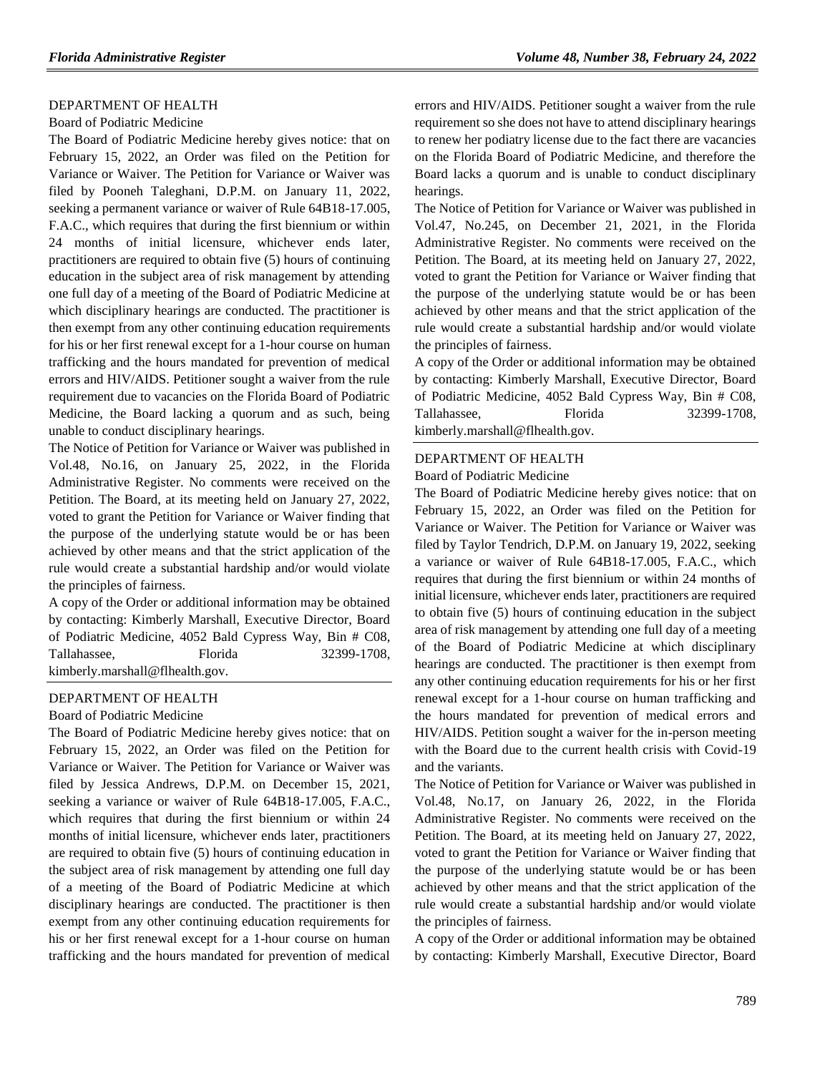### [DEPARTMENT OF HEALTH](https://www.flrules.org/gateway/department.asp?id=64)

### [Board of Podiatric Medicine](https://www.flrules.org/gateway/organization.asp?id=309)

The Board of Podiatric Medicine hereby gives notice: that on February 15, 2022, an Order was filed on the Petition for Variance or Waiver. The Petition for Variance or Waiver was filed by Pooneh Taleghani, D.P.M. on January 11, 2022, seeking a permanent variance or waiver of Rule 64B18-17.005, F.A.C., which requires that during the first biennium or within 24 months of initial licensure, whichever ends later, practitioners are required to obtain five (5) hours of continuing education in the subject area of risk management by attending one full day of a meeting of the Board of Podiatric Medicine at which disciplinary hearings are conducted. The practitioner is then exempt from any other continuing education requirements for his or her first renewal except for a 1-hour course on human trafficking and the hours mandated for prevention of medical errors and HIV/AIDS. Petitioner sought a waiver from the rule requirement due to vacancies on the Florida Board of Podiatric Medicine, the Board lacking a quorum and as such, being unable to conduct disciplinary hearings.

The Notice of Petition for Variance or Waiver was published in Vol.48, No.16, on January 25, 2022, in the Florida Administrative Register. No comments were received on the Petition. The Board, at its meeting held on January 27, 2022, voted to grant the Petition for Variance or Waiver finding that the purpose of the underlying statute would be or has been achieved by other means and that the strict application of the rule would create a substantial hardship and/or would violate the principles of fairness.

A copy of the Order or additional information may be obtained by contacting: Kimberly Marshall, Executive Director, Board of Podiatric Medicine, 4052 Bald Cypress Way, Bin # C08, Tallahassee, Florida 32399-1708, kimberly.marshall@flhealth.gov.

#### [DEPARTMENT OF HEALTH](https://www.flrules.org/gateway/department.asp?id=64)

### [Board of Podiatric Medicine](https://www.flrules.org/gateway/organization.asp?id=309)

The Board of Podiatric Medicine hereby gives notice: that on February 15, 2022, an Order was filed on the Petition for Variance or Waiver. The Petition for Variance or Waiver was filed by Jessica Andrews, D.P.M. on December 15, 2021, seeking a variance or waiver of Rule 64B18-17.005, F.A.C., which requires that during the first biennium or within 24 months of initial licensure, whichever ends later, practitioners are required to obtain five (5) hours of continuing education in the subject area of risk management by attending one full day of a meeting of the Board of Podiatric Medicine at which disciplinary hearings are conducted. The practitioner is then exempt from any other continuing education requirements for his or her first renewal except for a 1-hour course on human trafficking and the hours mandated for prevention of medical

errors and HIV/AIDS. Petitioner sought a waiver from the rule requirement so she does not have to attend disciplinary hearings to renew her podiatry license due to the fact there are vacancies on the Florida Board of Podiatric Medicine, and therefore the Board lacks a quorum and is unable to conduct disciplinary hearings.

The Notice of Petition for Variance or Waiver was published in Vol.47, No.245, on December 21, 2021, in the Florida Administrative Register. No comments were received on the Petition. The Board, at its meeting held on January 27, 2022, voted to grant the Petition for Variance or Waiver finding that the purpose of the underlying statute would be or has been achieved by other means and that the strict application of the rule would create a substantial hardship and/or would violate the principles of fairness.

A copy of the Order or additional information may be obtained by contacting: Kimberly Marshall, Executive Director, Board of Podiatric Medicine, 4052 Bald Cypress Way, Bin # C08, Tallahassee, Florida 32399-1708, kimberly.marshall@flhealth.gov.

#### [DEPARTMENT OF HEALTH](https://www.flrules.org/gateway/department.asp?id=64)

[Board of Podiatric Medicine](https://www.flrules.org/gateway/organization.asp?id=309)

The Board of Podiatric Medicine hereby gives notice: that on February 15, 2022, an Order was filed on the Petition for Variance or Waiver. The Petition for Variance or Waiver was filed by Taylor Tendrich, D.P.M. on January 19, 2022, seeking a variance or waiver of Rule 64B18-17.005, F.A.C., which requires that during the first biennium or within 24 months of initial licensure, whichever ends later, practitioners are required to obtain five (5) hours of continuing education in the subject area of risk management by attending one full day of a meeting of the Board of Podiatric Medicine at which disciplinary hearings are conducted. The practitioner is then exempt from any other continuing education requirements for his or her first renewal except for a 1-hour course on human trafficking and the hours mandated for prevention of medical errors and HIV/AIDS. Petition sought a waiver for the in-person meeting with the Board due to the current health crisis with Covid-19 and the variants.

The Notice of Petition for Variance or Waiver was published in Vol.48, No.17, on January 26, 2022, in the Florida Administrative Register. No comments were received on the Petition. The Board, at its meeting held on January 27, 2022, voted to grant the Petition for Variance or Waiver finding that the purpose of the underlying statute would be or has been achieved by other means and that the strict application of the rule would create a substantial hardship and/or would violate the principles of fairness.

A copy of the Order or additional information may be obtained by contacting: Kimberly Marshall, Executive Director, Board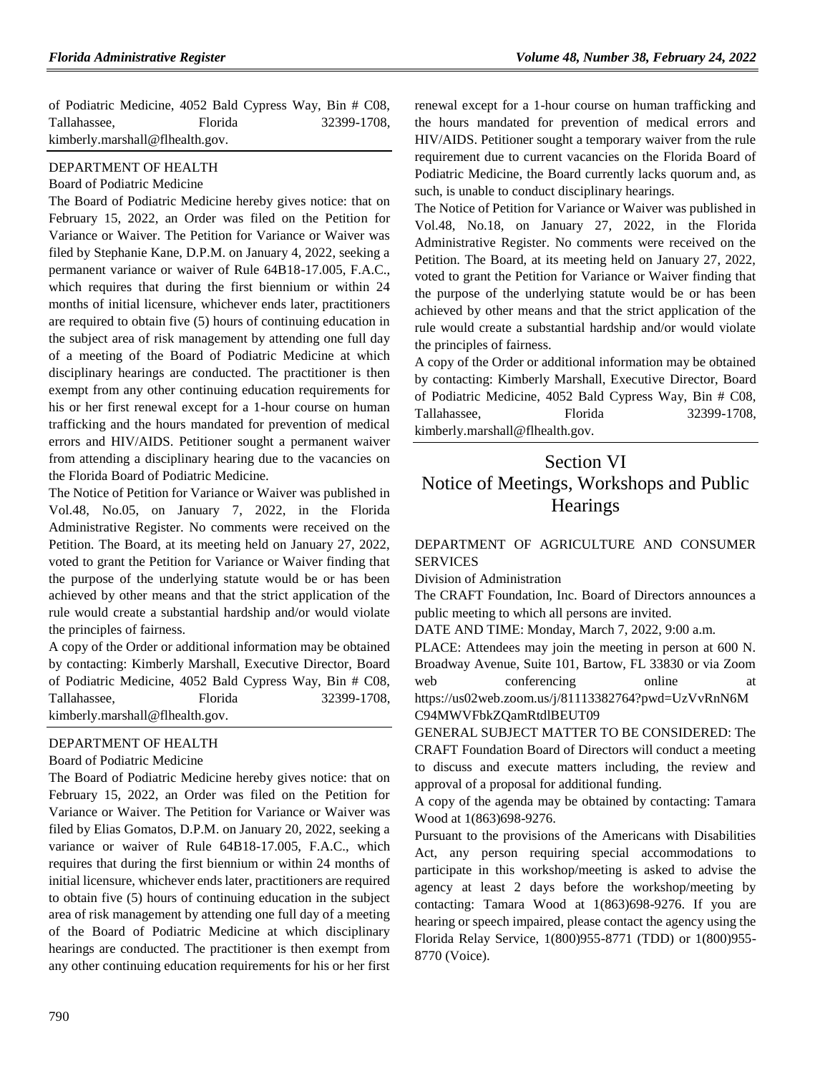| of Podiatric Medicine, 4052 Bald Cypress Way, Bin # C08, |                |             |
|----------------------------------------------------------|----------------|-------------|
| Tallahassee.                                             | <b>Florida</b> | 32399-1708. |
| kimberly.marshall@flhealth.gov.                          |                |             |

### [DEPARTMENT OF HEALTH](https://www.flrules.org/gateway/department.asp?id=64)

#### [Board of Podiatric Medicine](https://www.flrules.org/gateway/organization.asp?id=309)

The Board of Podiatric Medicine hereby gives notice: that on February 15, 2022, an Order was filed on the Petition for Variance or Waiver. The Petition for Variance or Waiver was filed by Stephanie Kane, D.P.M. on January 4, 2022, seeking a permanent variance or waiver of Rule 64B18-17.005, F.A.C., which requires that during the first biennium or within 24 months of initial licensure, whichever ends later, practitioners are required to obtain five (5) hours of continuing education in the subject area of risk management by attending one full day of a meeting of the Board of Podiatric Medicine at which disciplinary hearings are conducted. The practitioner is then exempt from any other continuing education requirements for his or her first renewal except for a 1-hour course on human trafficking and the hours mandated for prevention of medical errors and HIV/AIDS. Petitioner sought a permanent waiver from attending a disciplinary hearing due to the vacancies on the Florida Board of Podiatric Medicine.

The Notice of Petition for Variance or Waiver was published in Vol.48, No.05, on January 7, 2022, in the Florida Administrative Register. No comments were received on the Petition. The Board, at its meeting held on January 27, 2022, voted to grant the Petition for Variance or Waiver finding that the purpose of the underlying statute would be or has been achieved by other means and that the strict application of the rule would create a substantial hardship and/or would violate the principles of fairness.

A copy of the Order or additional information may be obtained by contacting: Kimberly Marshall, Executive Director, Board of Podiatric Medicine, 4052 Bald Cypress Way, Bin # C08, Tallahassee, Florida 32399-1708, kimberly.marshall@flhealth.gov.

### [DEPARTMENT OF HEALTH](https://www.flrules.org/gateway/department.asp?id=64)

#### [Board of Podiatric Medicine](https://www.flrules.org/gateway/organization.asp?id=309)

The Board of Podiatric Medicine hereby gives notice: that on February 15, 2022, an Order was filed on the Petition for Variance or Waiver. The Petition for Variance or Waiver was filed by Elias Gomatos, D.P.M. on January 20, 2022, seeking a variance or waiver of Rule 64B18-17.005, F.A.C., which requires that during the first biennium or within 24 months of initial licensure, whichever ends later, practitioners are required to obtain five (5) hours of continuing education in the subject area of risk management by attending one full day of a meeting of the Board of Podiatric Medicine at which disciplinary hearings are conducted. The practitioner is then exempt from any other continuing education requirements for his or her first renewal except for a 1-hour course on human trafficking and the hours mandated for prevention of medical errors and HIV/AIDS. Petitioner sought a temporary waiver from the rule requirement due to current vacancies on the Florida Board of Podiatric Medicine, the Board currently lacks quorum and, as such, is unable to conduct disciplinary hearings.

The Notice of Petition for Variance or Waiver was published in Vol.48, No.18, on January 27, 2022, in the Florida Administrative Register. No comments were received on the Petition. The Board, at its meeting held on January 27, 2022, voted to grant the Petition for Variance or Waiver finding that the purpose of the underlying statute would be or has been achieved by other means and that the strict application of the rule would create a substantial hardship and/or would violate the principles of fairness.

A copy of the Order or additional information may be obtained by contacting: Kimberly Marshall, Executive Director, Board of Podiatric Medicine, 4052 Bald Cypress Way, Bin # C08, Tallahassee, Florida 32399-1708, kimberly.marshall@flhealth.gov.

# Section VI Notice of Meetings, Workshops and Public **Hearings**

# [DEPARTMENT OF AGRICULTURE AND CONSUMER](https://www.flrules.org/gateway/department.asp?id=5)  [SERVICES](https://www.flrules.org/gateway/department.asp?id=5)

[Division of Administration](https://www.flrules.org/gateway/organization.asp?id=161)

The CRAFT Foundation, Inc. Board of Directors announces a public meeting to which all persons are invited.

DATE AND TIME: Monday, March 7, 2022, 9:00 a.m.

PLACE: Attendees may join the meeting in person at 600 N. Broadway Avenue, Suite 101, Bartow, FL 33830 or via Zoom web conferencing online at https://us02web.zoom.us/j/81113382764?pwd=UzVvRnN6M C94MWVFbkZQamRtdlBEUT09

GENERAL SUBJECT MATTER TO BE CONSIDERED: The CRAFT Foundation Board of Directors will conduct a meeting to discuss and execute matters including, the review and approval of a proposal for additional funding.

A copy of the agenda may be obtained by contacting: Tamara Wood at 1(863)698-9276.

Pursuant to the provisions of the Americans with Disabilities Act, any person requiring special accommodations to participate in this workshop/meeting is asked to advise the agency at least 2 days before the workshop/meeting by contacting: Tamara Wood at 1(863)698-9276. If you are hearing or speech impaired, please contact the agency using the Florida Relay Service, 1(800)955-8771 (TDD) or 1(800)955- 8770 (Voice).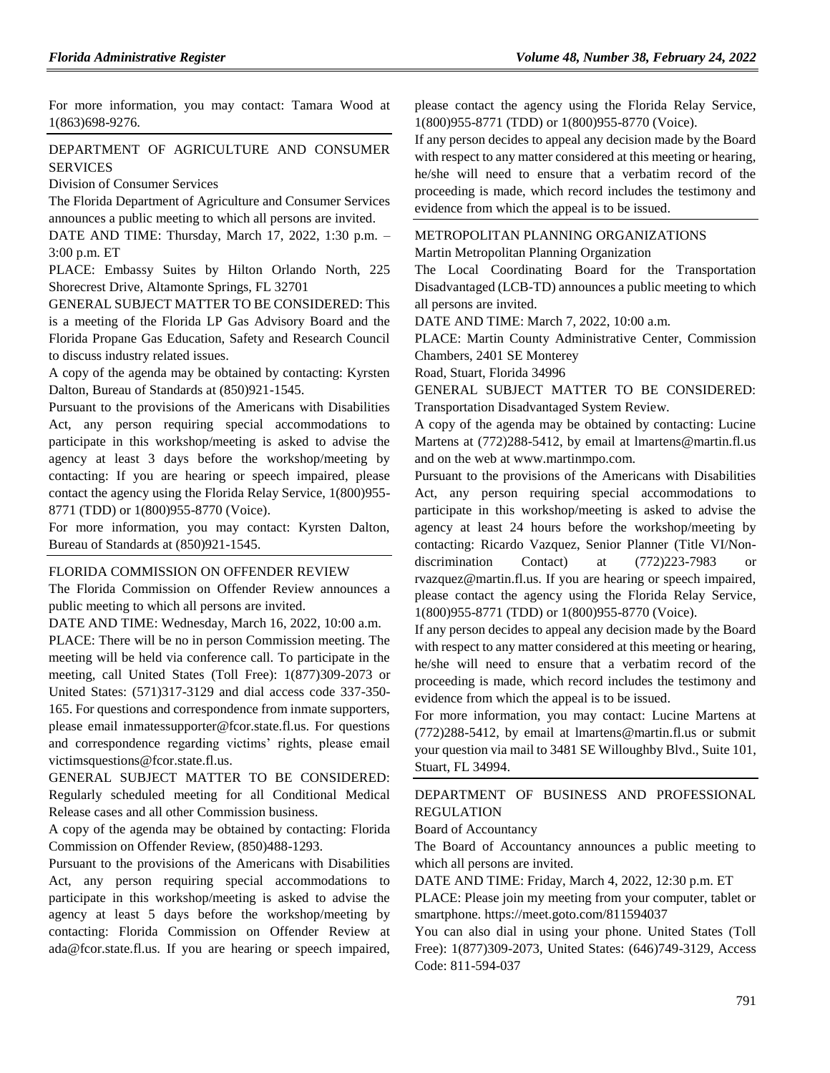For more information, you may contact: Tamara Wood at 1(863)698-9276.

# [DEPARTMENT OF AGRICULTURE AND CONSUMER](https://www.flrules.org/gateway/department.asp?id=5)  **[SERVICES](https://www.flrules.org/gateway/department.asp?id=5)**

[Division of Consumer Services](https://www.flrules.org/gateway/organization.asp?id=170)

The Florida Department of Agriculture and Consumer Services announces a public meeting to which all persons are invited.

DATE AND TIME: Thursday, March 17, 2022, 1:30 p.m. – 3:00 p.m. ET

PLACE: Embassy Suites by Hilton Orlando North, 225 Shorecrest Drive, Altamonte Springs, FL 32701

GENERAL SUBJECT MATTER TO BE CONSIDERED: This is a meeting of the Florida LP Gas Advisory Board and the Florida Propane Gas Education, Safety and Research Council to discuss industry related issues.

A copy of the agenda may be obtained by contacting: Kyrsten Dalton, Bureau of Standards at (850)921-1545.

Pursuant to the provisions of the Americans with Disabilities Act, any person requiring special accommodations to participate in this workshop/meeting is asked to advise the agency at least 3 days before the workshop/meeting by contacting: If you are hearing or speech impaired, please contact the agency using the Florida Relay Service, 1(800)955- 8771 (TDD) or 1(800)955-8770 (Voice).

For more information, you may contact: Kyrsten Dalton, Bureau of Standards at (850)921-1545.

### [FLORIDA COMMISSION ON OFFENDER REVIEW](https://www.flrules.org/gateway/department.asp?id=23)

The Florida Commission on Offender Review announces a public meeting to which all persons are invited.

DATE AND TIME: Wednesday, March 16, 2022, 10:00 a.m.

PLACE: There will be no in person Commission meeting. The meeting will be held via conference call. To participate in the meeting, call United States (Toll Free): 1(877)309-2073 or United States: (571)317-3129 and dial access code 337-350- 165. For questions and correspondence from inmate supporters, please email inmatessupporter@fcor.state.fl.us. For questions and correspondence regarding victims' rights, please email victimsquestions@fcor.state.fl.us.

GENERAL SUBJECT MATTER TO BE CONSIDERED: Regularly scheduled meeting for all Conditional Medical Release cases and all other Commission business.

A copy of the agenda may be obtained by contacting: Florida Commission on Offender Review, (850)488-1293.

Pursuant to the provisions of the Americans with Disabilities Act, any person requiring special accommodations to participate in this workshop/meeting is asked to advise the agency at least 5 days before the workshop/meeting by contacting: Florida Commission on Offender Review at ada@fcor.state.fl.us. If you are hearing or speech impaired, please contact the agency using the Florida Relay Service, 1(800)955-8771 (TDD) or 1(800)955-8770 (Voice).

If any person decides to appeal any decision made by the Board with respect to any matter considered at this meeting or hearing, he/she will need to ensure that a verbatim record of the proceeding is made, which record includes the testimony and evidence from which the appeal is to be issued.

### [METROPOLITAN PLANNING ORGANIZATIONS](https://www.flrules.org/gateway/department.asp?id=35) [Martin Metropolitan Planning Organization](https://www.flrules.org/gateway/organization.asp?id=828)

The Local Coordinating Board for the Transportation Disadvantaged (LCB-TD) announces a public meeting to which all persons are invited.

DATE AND TIME: March 7, 2022, 10:00 a.m.

PLACE: Martin County Administrative Center, Commission Chambers, 2401 SE Monterey

Road, Stuart, Florida 34996

GENERAL SUBJECT MATTER TO BE CONSIDERED: Transportation Disadvantaged System Review.

A copy of the agenda may be obtained by contacting: Lucine Martens at (772)288-5412, by email at lmartens@martin.fl.us and on the web at www.martinmpo.com.

Pursuant to the provisions of the Americans with Disabilities Act, any person requiring special accommodations to participate in this workshop/meeting is asked to advise the agency at least 24 hours before the workshop/meeting by contacting: Ricardo Vazquez, Senior Planner (Title VI/Nondiscrimination Contact) at  $(772)223-7983$ rvazquez@martin.fl.us. If you are hearing or speech impaired, please contact the agency using the Florida Relay Service, 1(800)955-8771 (TDD) or 1(800)955-8770 (Voice).

If any person decides to appeal any decision made by the Board with respect to any matter considered at this meeting or hearing, he/she will need to ensure that a verbatim record of the proceeding is made, which record includes the testimony and evidence from which the appeal is to be issued.

For more information, you may contact: Lucine Martens at (772)288-5412, by email at lmartens@martin.fl.us or submit your question via mail to 3481 SE Willoughby Blvd., Suite 101, Stuart, FL 34994.

# [DEPARTMENT OF BUSINESS AND PROFESSIONAL](https://www.flrules.org/gateway/department.asp?id=61)  [REGULATION](https://www.flrules.org/gateway/department.asp?id=61)

[Board of Accountancy](https://www.flrules.org/gateway/organization.asp?id=280)

The Board of Accountancy announces a public meeting to which all persons are invited.

DATE AND TIME: Friday, March 4, 2022, 12:30 p.m. ET

PLACE: Please join my meeting from your computer, tablet or smartphone. https://meet.goto.com/811594037

You can also dial in using your phone. United States (Toll Free): 1(877)309-2073, United States: (646)749-3129, Access Code: 811-594-037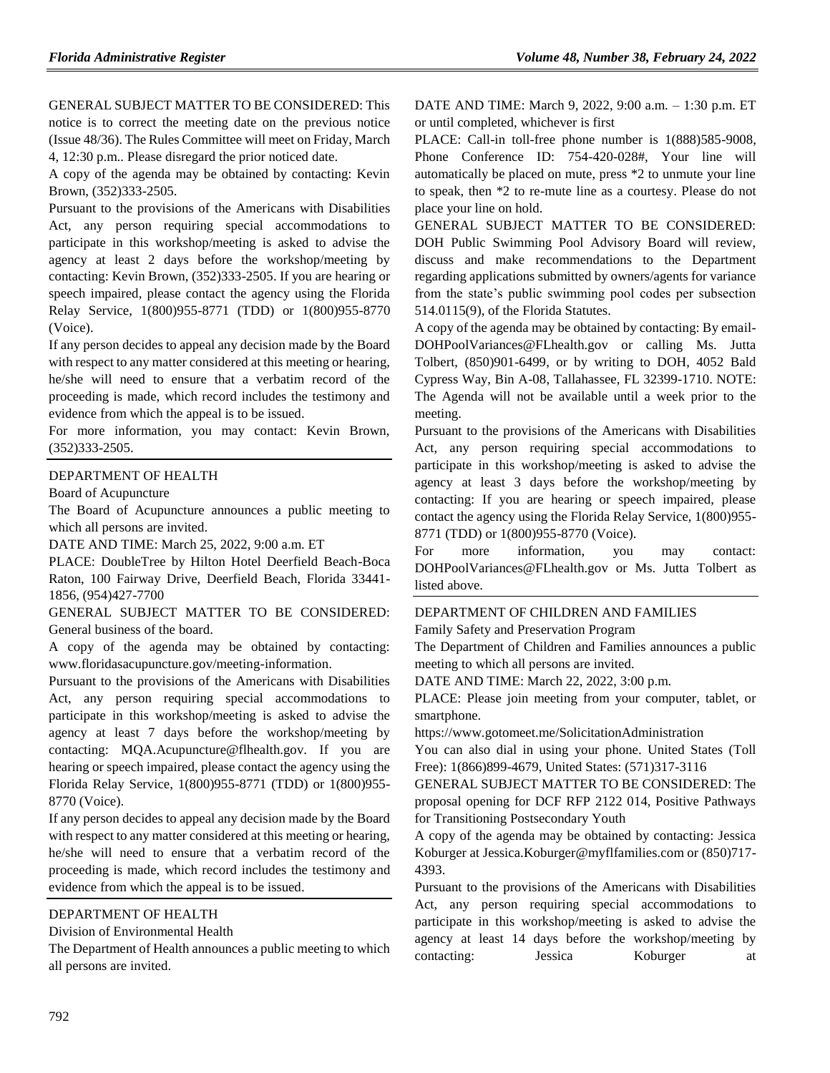GENERAL SUBJECT MATTER TO BE CONSIDERED: This notice is to correct the meeting date on the previous notice (Issue 48/36). The Rules Committee will meet on Friday, March 4, 12:30 p.m.. Please disregard the prior noticed date.

A copy of the agenda may be obtained by contacting: Kevin Brown, (352)333-2505.

Pursuant to the provisions of the Americans with Disabilities Act, any person requiring special accommodations to participate in this workshop/meeting is asked to advise the agency at least 2 days before the workshop/meeting by contacting: Kevin Brown, (352)333-2505. If you are hearing or speech impaired, please contact the agency using the Florida Relay Service, 1(800)955-8771 (TDD) or 1(800)955-8770 (Voice).

If any person decides to appeal any decision made by the Board with respect to any matter considered at this meeting or hearing, he/she will need to ensure that a verbatim record of the proceeding is made, which record includes the testimony and evidence from which the appeal is to be issued.

For more information, you may contact: Kevin Brown, (352)333-2505.

### [DEPARTMENT OF HEALTH](https://www.flrules.org/gateway/department.asp?id=64)

[Board of Acupuncture](https://www.flrules.org/gateway/organization.asp?id=300)

The Board of Acupuncture announces a public meeting to which all persons are invited.

DATE AND TIME: March 25, 2022, 9:00 a.m. ET

PLACE: DoubleTree by Hilton Hotel Deerfield Beach-Boca Raton, 100 Fairway Drive, Deerfield Beach, Florida 33441- 1856, (954)427-7700

GENERAL SUBJECT MATTER TO BE CONSIDERED: General business of the board.

A copy of the agenda may be obtained by contacting: www.floridasacupuncture.gov/meeting-information.

Pursuant to the provisions of the Americans with Disabilities Act, any person requiring special accommodations to participate in this workshop/meeting is asked to advise the agency at least 7 days before the workshop/meeting by contacting: MQA.Acupuncture@flhealth.gov. If you are hearing or speech impaired, please contact the agency using the Florida Relay Service, 1(800)955-8771 (TDD) or 1(800)955- 8770 (Voice).

If any person decides to appeal any decision made by the Board with respect to any matter considered at this meeting or hearing, he/she will need to ensure that a verbatim record of the proceeding is made, which record includes the testimony and evidence from which the appeal is to be issued.

# [DEPARTMENT OF HEALTH](https://www.flrules.org/gateway/department.asp?id=64)

[Division of Environmental Health](https://www.flrules.org/gateway/organization.asp?id=335)

The Department of Health announces a public meeting to which all persons are invited.

DATE AND TIME: March 9, 2022, 9:00 a.m. – 1:30 p.m. ET or until completed, whichever is first

PLACE: Call-in toll-free phone number is 1(888)585-9008, Phone Conference ID: 754-420-028#, Your line will automatically be placed on mute, press \*2 to unmute your line to speak, then \*2 to re-mute line as a courtesy. Please do not place your line on hold.

GENERAL SUBJECT MATTER TO BE CONSIDERED: DOH Public Swimming Pool Advisory Board will review, discuss and make recommendations to the Department regarding applications submitted by owners/agents for variance from the state's public swimming pool codes per subsection 514.0115(9), of the Florida Statutes.

A copy of the agenda may be obtained by contacting: By email-DOHPoolVariances@FLhealth.gov or calling Ms. Jutta Tolbert, (850)901-6499, or by writing to DOH, 4052 Bald Cypress Way, Bin A-08, Tallahassee, FL 32399-1710. NOTE: The Agenda will not be available until a week prior to the meeting.

Pursuant to the provisions of the Americans with Disabilities Act, any person requiring special accommodations to participate in this workshop/meeting is asked to advise the agency at least 3 days before the workshop/meeting by contacting: If you are hearing or speech impaired, please contact the agency using the Florida Relay Service, 1(800)955- 8771 (TDD) or 1(800)955-8770 (Voice).

For more information, you may contact: DOHPoolVariances@FLhealth.gov or Ms. Jutta Tolbert as listed above.

### [DEPARTMENT OF CHILDREN AND FAMILIES](https://www.flrules.org/gateway/department.asp?id=65)

[Family Safety and Preservation Program](https://www.flrules.org/gateway/organization.asp?id=342)

The Department of Children and Families announces a public meeting to which all persons are invited.

DATE AND TIME: March 22, 2022, 3:00 p.m.

PLACE: Please join meeting from your computer, tablet, or smartphone.

https://www.gotomeet.me/SolicitationAdministration

You can also dial in using your phone. United States (Toll Free): 1(866)899-4679, United States: (571)317-3116

GENERAL SUBJECT MATTER TO BE CONSIDERED: The proposal opening for DCF RFP 2122 014, Positive Pathways for Transitioning Postsecondary Youth

A copy of the agenda may be obtained by contacting: Jessica Koburger at Jessica.Koburger@myflfamilies.com or (850)717- 4393.

Pursuant to the provisions of the Americans with Disabilities Act, any person requiring special accommodations to participate in this workshop/meeting is asked to advise the agency at least 14 days before the workshop/meeting by contacting: Jessica Koburger at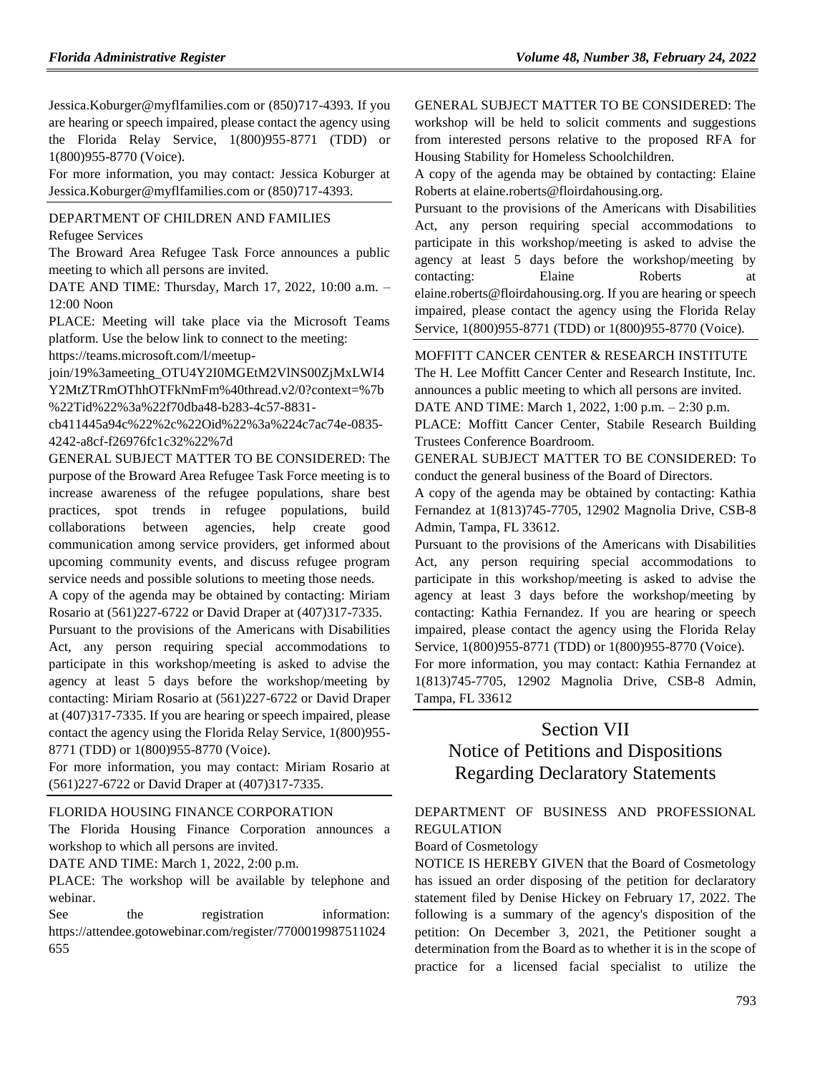Jessica.Koburger@myflfamilies.com or (850)717-4393. If you are hearing or speech impaired, please contact the agency using the Florida Relay Service, 1(800)955-8771 (TDD) or 1(800)955-8770 (Voice).

For more information, you may contact: Jessica Koburger at Jessica.Koburger@myflfamilies.com or (850)717-4393.

### [DEPARTMENT OF CHILDREN AND FAMILIES](https://www.flrules.org/gateway/department.asp?id=65)

[Refugee Services](https://www.flrules.org/gateway/organization.asp?id=528)

The Broward Area Refugee Task Force announces a public meeting to which all persons are invited.

DATE AND TIME: Thursday, March 17, 2022, 10:00 a.m. – 12:00 Noon

PLACE: Meeting will take place via the Microsoft Teams platform. Use the below link to connect to the meeting: https://teams.microsoft.com/l/meetup-

join/19%3ameeting\_OTU4Y2I0MGEtM2VlNS00ZjMxLWI4 Y2MtZTRmOThhOTFkNmFm%40thread.v2/0?context=%7b %22Tid%22%3a%22f70dba48-b283-4c57-8831-

cb411445a94c%22%2c%22Oid%22%3a%224c7ac74e-0835- 4242-a8cf-f26976fc1c32%22%7d

GENERAL SUBJECT MATTER TO BE CONSIDERED: The purpose of the Broward Area Refugee Task Force meeting is to increase awareness of the refugee populations, share best practices, spot trends in refugee populations, build collaborations between agencies, help create good communication among service providers, get informed about upcoming community events, and discuss refugee program service needs and possible solutions to meeting those needs.

A copy of the agenda may be obtained by contacting: Miriam Rosario at (561)227-6722 or David Draper at (407)317-7335.

Pursuant to the provisions of the Americans with Disabilities Act, any person requiring special accommodations to participate in this workshop/meeting is asked to advise the agency at least 5 days before the workshop/meeting by contacting: Miriam Rosario at (561)227-6722 or David Draper at (407)317-7335. If you are hearing or speech impaired, please contact the agency using the Florida Relay Service, 1(800)955- 8771 (TDD) or 1(800)955-8770 (Voice).

For more information, you may contact: Miriam Rosario at (561)227-6722 or David Draper at (407)317-7335.

### [FLORIDA HOUSING FINANCE CORPORATION](https://www.flrules.org/gateway/department.asp?id=67)

The Florida Housing Finance Corporation announces a workshop to which all persons are invited.

DATE AND TIME: March 1, 2022, 2:00 p.m.

PLACE: The workshop will be available by telephone and webinar.

See the registration information: https://attendee.gotowebinar.com/register/7700019987511024 655

GENERAL SUBJECT MATTER TO BE CONSIDERED: The workshop will be held to solicit comments and suggestions from interested persons relative to the proposed RFA for Housing Stability for Homeless Schoolchildren.

A copy of the agenda may be obtained by contacting: Elaine Roberts at elaine.roberts@floirdahousing.org.

Pursuant to the provisions of the Americans with Disabilities Act, any person requiring special accommodations to participate in this workshop/meeting is asked to advise the agency at least 5 days before the workshop/meeting by contacting: Elaine Roberts at elaine.roberts@floirdahousing.org. If you are hearing or speech impaired, please contact the agency using the Florida Relay Service, 1(800)955-8771 (TDD) or 1(800)955-8770 (Voice).

#### [MOFFITT CANCER CENTER & RESEARCH INSTITUTE](https://www.flrules.org/gateway/organization.asp?id=579)

The H. Lee Moffitt Cancer Center and Research Institute, Inc. announces a public meeting to which all persons are invited. DATE AND TIME: March 1, 2022, 1:00 p.m. – 2:30 p.m.

PLACE: Moffitt Cancer Center, Stabile Research Building Trustees Conference Boardroom.

GENERAL SUBJECT MATTER TO BE CONSIDERED: To conduct the general business of the Board of Directors.

A copy of the agenda may be obtained by contacting: Kathia Fernandez at 1(813)745-7705, 12902 Magnolia Drive, CSB-8 Admin, Tampa, FL 33612.

Pursuant to the provisions of the Americans with Disabilities Act, any person requiring special accommodations to participate in this workshop/meeting is asked to advise the agency at least 3 days before the workshop/meeting by contacting: Kathia Fernandez. If you are hearing or speech impaired, please contact the agency using the Florida Relay Service, 1(800)955-8771 (TDD) or 1(800)955-8770 (Voice).

For more information, you may contact: Kathia Fernandez at 1(813)745-7705, 12902 Magnolia Drive, CSB-8 Admin, Tampa, FL 33612

# Section VII Notice of Petitions and Dispositions

# Regarding Declaratory Statements

[DEPARTMENT OF BUSINESS AND PROFESSIONAL](https://www.flrules.org/gateway/department.asp?id=61)  [REGULATION](https://www.flrules.org/gateway/department.asp?id=61)

# [Board of Cosmetology](https://www.flrules.org/gateway/organization.asp?id=275)

NOTICE IS HEREBY GIVEN that the Board of Cosmetology has issued an order disposing of the petition for declaratory statement filed by Denise Hickey on February 17, 2022. The following is a summary of the agency's disposition of the petition: On December 3, 2021, the Petitioner sought a determination from the Board as to whether it is in the scope of practice for a licensed facial specialist to utilize the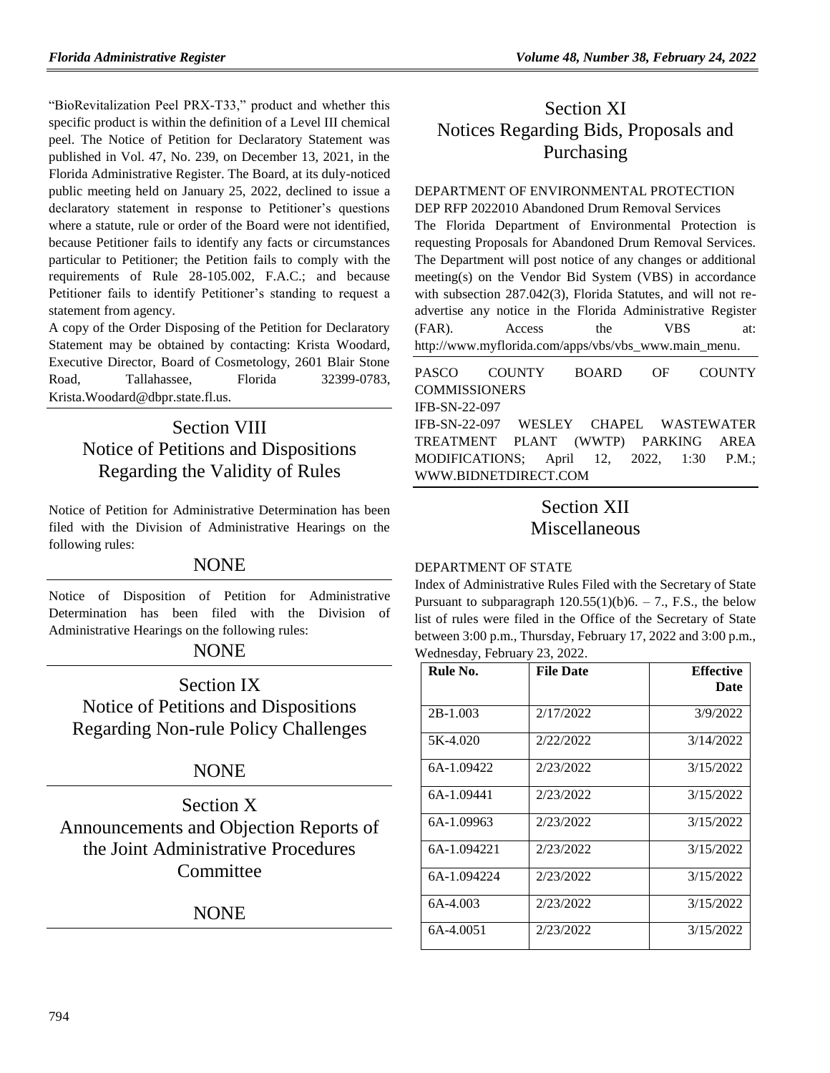"BioRevitalization Peel PRX-T33," product and whether this specific product is within the definition of a Level III chemical peel. The Notice of Petition for Declaratory Statement was published in Vol. 47, No. 239, on December 13, 2021, in the Florida Administrative Register. The Board, at its duly-noticed public meeting held on January 25, 2022, declined to issue a declaratory statement in response to Petitioner's questions where a statute, rule or order of the Board were not identified, because Petitioner fails to identify any facts or circumstances particular to Petitioner; the Petition fails to comply with the requirements of Rule 28-105.002, F.A.C.; and because Petitioner fails to identify Petitioner's standing to request a statement from agency.

A copy of the Order Disposing of the Petition for Declaratory Statement may be obtained by contacting: Krista Woodard, Executive Director, Board of Cosmetology, 2601 Blair Stone Road, Tallahassee, Florida 32399-0783, Krista.Woodard@dbpr.state.fl.us.

# Section VIII Notice of Petitions and Dispositions Regarding the Validity of Rules

Notice of Petition for Administrative Determination has been filed with the Division of Administrative Hearings on the following rules:

# NONE

Notice of Disposition of Petition for Administrative Determination has been filed with the Division of Administrative Hearings on the following rules:

# NONE

Section IX Notice of Petitions and Dispositions Regarding Non-rule Policy Challenges

# **NONE**

Section X Announcements and Objection Reports of the Joint Administrative Procedures **Committee** 

# NONE

# Section XI Notices Regarding Bids, Proposals and Purchasing

# [DEPARTMENT OF ENVIRONMENTAL PROTECTION](https://www.flrules.org/gateway/department.asp?id=62)

DEP RFP 2022010 Abandoned Drum Removal Services The Florida Department of Environmental Protection is requesting Proposals for Abandoned Drum Removal Services. The Department will post notice of any changes or additional meeting(s) on the Vendor Bid System (VBS) in accordance with subsection 287.042(3), Florida Statutes, and will not readvertise any notice in the Florida Administrative Register (FAR). Access the VBS at: [http://www.myflorida.com/apps/vbs/vbs\\_www.main\\_menu.](http://www.myflorida.com/apps/vbs/vbs_www.main_menu)

[PASCO COUNTY BOARD OF COUNTY](https://www.flrules.org/gateway/organization.asp?id=1352)  **[COMMISSIONERS](https://www.flrules.org/gateway/organization.asp?id=1352)** IFB-SN-22-097 IFB-SN-22-097 WESLEY CHAPEL WASTEWATER TREATMENT PLANT (WWTP) PARKING AREA MODIFICATIONS; April 12, 2022, 1:30 P.M.; [WWW.BIDNETDIRECT.COM](http://www.bidnetdirect.com/)

# Section XII Miscellaneous

# [DEPARTMENT OF STATE](https://www.flrules.org/gateway/department.asp?id=1)

Index of Administrative Rules Filed with the Secretary of State Pursuant to subparagraph  $120.55(1)(b)6. - 7$ ., F.S., the below list of rules were filed in the Office of the Secretary of State between 3:00 p.m., Thursday, February 17, 2022 and 3:00 p.m., Wednesday, February 23, 2022.

| Rule No.    | <b>File Date</b> | <b>Effective</b> |
|-------------|------------------|------------------|
|             |                  | <b>Date</b>      |
| $2B-1.003$  | 2/17/2022        | 3/9/2022         |
| 5K-4.020    | 2/22/2022        | 3/14/2022        |
| 6A-1.09422  | 2/23/2022        | 3/15/2022        |
| 6A-1.09441  | 2/23/2022        | 3/15/2022        |
| 6A-1.09963  | 2/23/2022        | 3/15/2022        |
| 6A-1.094221 | 2/23/2022        | 3/15/2022        |
| 6A-1.094224 | 2/23/2022        | 3/15/2022        |
| 6A-4.003    | 2/23/2022        | 3/15/2022        |
| 6A-4.0051   | 2/23/2022        | 3/15/2022        |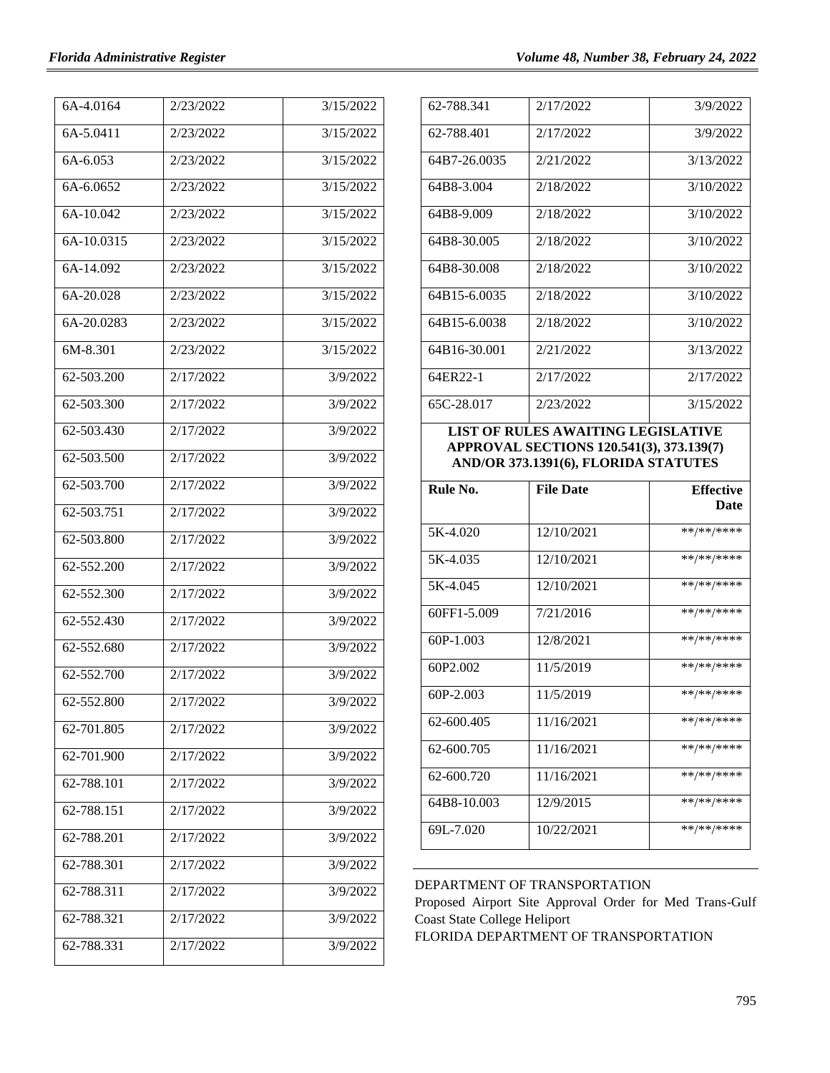| 6A-4.0164  | 2/23/2022 | 3/15/2022 |
|------------|-----------|-----------|
| 6A-5.0411  | 2/23/2022 | 3/15/2022 |
| 6A-6.053   | 2/23/2022 | 3/15/2022 |
| 6A-6.0652  | 2/23/2022 | 3/15/2022 |
| 6A-10.042  | 2/23/2022 | 3/15/2022 |
| 6A-10.0315 | 2/23/2022 | 3/15/2022 |
| 6A-14.092  | 2/23/2022 | 3/15/2022 |
| 6A-20.028  | 2/23/2022 | 3/15/2022 |
| 6A-20.0283 | 2/23/2022 | 3/15/2022 |
| 6M-8.301   | 2/23/2022 | 3/15/2022 |
| 62-503.200 | 2/17/2022 | 3/9/2022  |
| 62-503.300 | 2/17/2022 | 3/9/2022  |
| 62-503.430 | 2/17/2022 | 3/9/2022  |
| 62-503.500 | 2/17/2022 | 3/9/2022  |
| 62-503.700 | 2/17/2022 | 3/9/2022  |
| 62-503.751 | 2/17/2022 | 3/9/2022  |
| 62-503.800 | 2/17/2022 | 3/9/2022  |
| 62-552.200 | 2/17/2022 | 3/9/2022  |
| 62-552.300 | 2/17/2022 | 3/9/2022  |
| 62-552.430 | 2/17/2022 | 3/9/2022  |
| 62-552.680 | 2/17/2022 | 3/9/2022  |
| 62-552.700 | 2/17/2022 | 3/9/2022  |
| 62-552.800 | 2/17/2022 | 3/9/2022  |
| 62-701.805 | 2/17/2022 | 3/9/2022  |
| 62-701.900 | 2/17/2022 | 3/9/2022  |
| 62-788.101 | 2/17/2022 | 3/9/2022  |
| 62-788.151 | 2/17/2022 | 3/9/2022  |
| 62-788.201 | 2/17/2022 | 3/9/2022  |
| 62-788.301 | 2/17/2022 | 3/9/2022  |
| 62-788.311 | 2/17/2022 | 3/9/2022  |
| 62-788.321 | 2/17/2022 | 3/9/2022  |
| 62-788.331 | 2/17/2022 | 3/9/2022  |

| 62-788.341   | 2/17/2022 | 3/9/2022  |
|--------------|-----------|-----------|
| 62-788.401   | 2/17/2022 | 3/9/2022  |
| 64B7-26.0035 | 2/21/2022 | 3/13/2022 |
| 64B8-3.004   | 2/18/2022 | 3/10/2022 |
| 64B8-9.009   | 2/18/2022 | 3/10/2022 |
| 64B8-30.005  | 2/18/2022 | 3/10/2022 |
| 64B8-30.008  | 2/18/2022 | 3/10/2022 |
| 64B15-6.0035 | 2/18/2022 | 3/10/2022 |
| 64B15-6.0038 | 2/18/2022 | 3/10/2022 |
| 64B16-30.001 | 2/21/2022 | 3/13/2022 |
| 64ER22-1     | 2/17/2022 | 2/17/2022 |
| 65C-28.017   | 2/23/2022 | 3/15/2022 |

**LIST OF RULES AWAITING LEGISLATIVE APPROVAL SECTIONS 120.541(3), 373.139(7) AND/OR 373.1391(6), FLORIDA STATUTES**

| Rule No.    | <b>File Date</b> | <b>Effective</b><br><b>Date</b> |
|-------------|------------------|---------------------------------|
| 5K-4.020    | 12/10/2021       | **/**/****                      |
| 5K-4.035    | 12/10/2021       | **/**/****                      |
| 5K-4045     | 12/10/2021       | **/**/****                      |
| 60FF1-5.009 | 7/21/2016        | **/**/****                      |
| $60P-1.003$ | 12/8/2021        | **/**/****                      |
| 60P2.002    | 11/5/2019        | **/**/****                      |
| 60P-2.003   | 11/5/2019        | **/**/****                      |
| 62-600.405  | 11/16/2021       | **/**/****                      |
| 62-600.705  | 11/16/2021       | **/**/****                      |
| 62-600.720  | 11/16/2021       | **/**/****                      |
| 64B8-10.003 | 12/9/2015        | **/**/****                      |
| 69L-7.020   | 10/22/2021       | **/**/****                      |

### [DEPARTMENT OF TRANSPORTATION](https://www.flrules.org/gateway/department.asp?id=14)

Proposed Airport Site Approval Order for Med Trans-Gulf Coast State College Heliport

FLORIDA DEPARTMENT OF TRANSPORTATION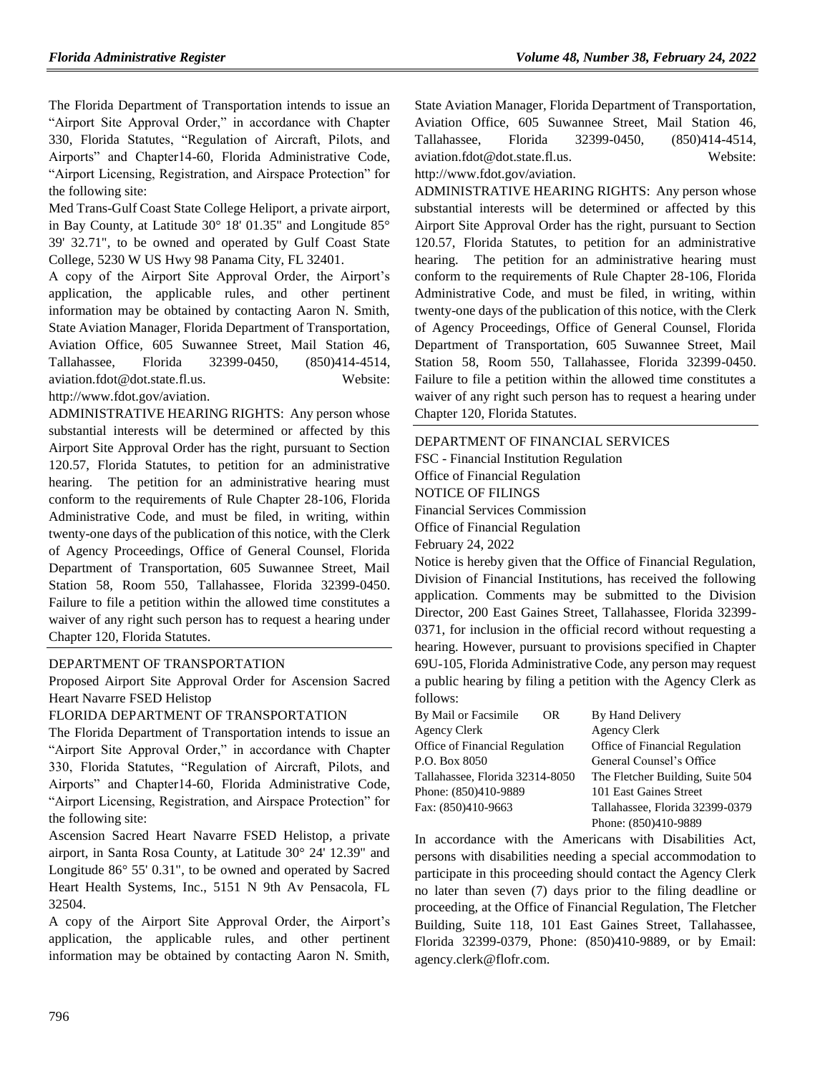The Florida Department of Transportation intends to issue an "Airport Site Approval Order," in accordance with Chapter 330, Florida Statutes, "Regulation of Aircraft, Pilots, and Airports" and Chapter14-60, Florida Administrative Code, "Airport Licensing, Registration, and Airspace Protection" for the following site:

Med Trans-Gulf Coast State College Heliport, a private airport, in Bay County, at Latitude 30° 18' 01.35" and Longitude 85° 39' 32.71", to be owned and operated by Gulf Coast State College, 5230 W US Hwy 98 Panama City, FL 32401.

A copy of the Airport Site Approval Order, the Airport's application, the applicable rules, and other pertinent information may be obtained by contacting Aaron N. Smith, State Aviation Manager, Florida Department of Transportation, Aviation Office, 605 Suwannee Street, Mail Station 46, Tallahassee, Florida 32399-0450, (850)414-4514, [aviation.fdot@dot.state.fl.us.](mailto:aviation.fdot@dot.state.fl.us) Website: [http://www.fdot.gov/aviation.](http://www.dot.state.fl.us/aviation)

ADMINISTRATIVE HEARING RIGHTS: Any person whose substantial interests will be determined or affected by this Airport Site Approval Order has the right, pursuant to Section 120.57, Florida Statutes, to petition for an administrative hearing. The petition for an administrative hearing must conform to the requirements of Rule Chapter 28-106, Florida Administrative Code, and must be filed, in writing, within twenty-one days of the publication of this notice, with the Clerk of Agency Proceedings, Office of General Counsel, Florida Department of Transportation, 605 Suwannee Street, Mail Station 58, Room 550, Tallahassee, Florida 32399-0450. Failure to file a petition within the allowed time constitutes a waiver of any right such person has to request a hearing under Chapter 120, Florida Statutes.

### [DEPARTMENT OF TRANSPORTATION](https://www.flrules.org/gateway/department.asp?id=14)

Proposed Airport Site Approval Order for Ascension Sacred Heart Navarre FSED Helistop

### FLORIDA DEPARTMENT OF TRANSPORTATION

The Florida Department of Transportation intends to issue an "Airport Site Approval Order," in accordance with Chapter 330, Florida Statutes, "Regulation of Aircraft, Pilots, and Airports" and Chapter14-60, Florida Administrative Code, "Airport Licensing, Registration, and Airspace Protection" for the following site:

Ascension Sacred Heart Navarre FSED Helistop, a private airport, in Santa Rosa County, at Latitude 30° 24' 12.39" and Longitude 86° 55' 0.31", to be owned and operated by Sacred Heart Health Systems, Inc., 5151 N 9th Av Pensacola, FL 32504.

A copy of the Airport Site Approval Order, the Airport's application, the applicable rules, and other pertinent information may be obtained by contacting Aaron N. Smith,

State Aviation Manager, Florida Department of Transportation, Aviation Office, 605 Suwannee Street, Mail Station 46, Tallahassee, Florida 32399-0450, (850)414-4514, [aviation.fdot@dot.state.fl.us.](mailto:aviation.fdot@dot.state.fl.us) Website:

# [http://www.fdot.gov/aviation.](http://www.dot.state.fl.us/aviation)

ADMINISTRATIVE HEARING RIGHTS: Any person whose substantial interests will be determined or affected by this Airport Site Approval Order has the right, pursuant to Section 120.57, Florida Statutes, to petition for an administrative hearing. The petition for an administrative hearing must conform to the requirements of Rule Chapter 28-106, Florida Administrative Code, and must be filed, in writing, within twenty-one days of the publication of this notice, with the Clerk of Agency Proceedings, Office of General Counsel, Florida Department of Transportation, 605 Suwannee Street, Mail Station 58, Room 550, Tallahassee, Florida 32399-0450. Failure to file a petition within the allowed time constitutes a waiver of any right such person has to request a hearing under Chapter 120, Florida Statutes.

# [DEPARTMENT OF FINANCIAL SERVICES](https://www.flrules.org/gateway/department.asp?id=69)

FSC - [Financial Institution Regulation](https://www.flrules.org/gateway/organization.asp?id=523) Office of Financial Regulation NOTICE OF FILINGS Financial Services Commission Office of Financial Regulation February 24, 2022

Notice is hereby given that the Office of Financial Regulation, Division of Financial Institutions, has received the following application. Comments may be submitted to the Division Director, 200 East Gaines Street, Tallahassee, Florida 32399- 0371, for inclusion in the official record without requesting a hearing. However, pursuant to provisions specified in Chapter 69U-105, Florida Administrative Code, any person may request a public hearing by filing a petition with the Agency Clerk as follows:

| By Mail or Facsimile            | OR. |
|---------------------------------|-----|
| Agency Clerk                    |     |
| Office of Financial Regulation  |     |
| P.O. Box 8050                   |     |
| Tallahassee, Florida 32314-8050 |     |
| Phone: (850)410-9889            |     |
| Fax: (850)410-9663              |     |
|                                 |     |

By Hand Delivery **Agency Clerk** Office of Financial Regulation General Counsel's Office The Fletcher Building, Suite 504 101 East Gaines Street Tallahassee, Florida 32399-0379 Phone: (850)410-9889

In accordance with the Americans with Disabilities Act, persons with disabilities needing a special accommodation to participate in this proceeding should contact the Agency Clerk no later than seven (7) days prior to the filing deadline or proceeding, at the Office of Financial Regulation, The Fletcher Building, Suite 118, 101 East Gaines Street, Tallahassee, Florida 32399-0379, Phone: (850)410-9889, or by Email: agency.clerk@flofr.com.